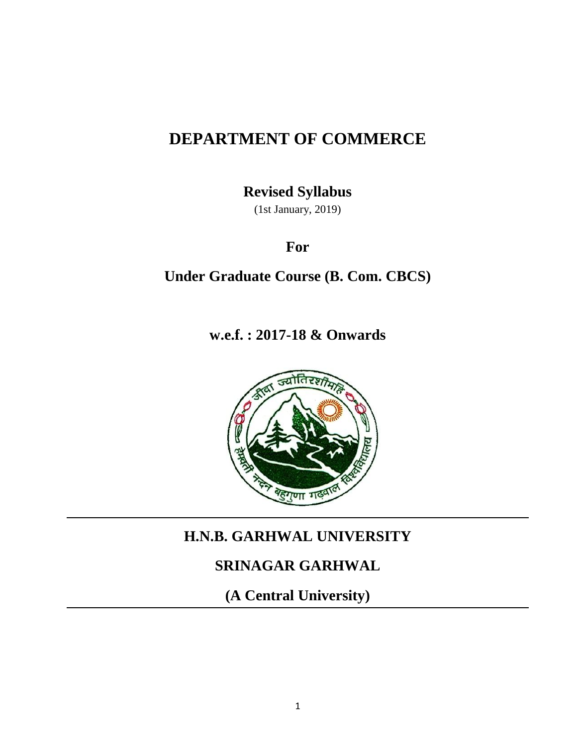# **DEPARTMENT OF COMMERCE**

**Revised Syllabus**

(1st January, 2019)

**For**

**Under Graduate Course (B. Com. CBCS)**

**w.e.f. : 2017-18 & Onwards** 



**H.N.B. GARHWAL UNIVERSITY**

# **SRINAGAR GARHWAL**

**(A Central University)**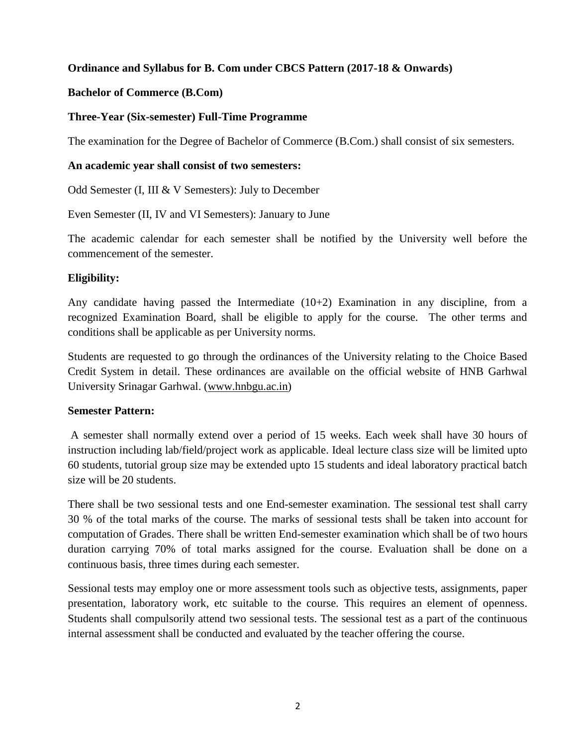#### **Ordinance and Syllabus for B. Com under CBCS Pattern (2017-18 & Onwards)**

#### **Bachelor of Commerce (B.Com)**

#### **Three-Year (Six-semester) Full-Time Programme**

The examination for the Degree of Bachelor of Commerce (B.Com.) shall consist of six semesters.

#### **An academic year shall consist of two semesters:**

Odd Semester (I, III & V Semesters): July to December

Even Semester (II, IV and VI Semesters): January to June

The academic calendar for each semester shall be notified by the University well before the commencement of the semester.

#### **Eligibility:**

Any candidate having passed the Intermediate  $(10+2)$  Examination in any discipline, from a recognized Examination Board, shall be eligible to apply for the course. The other terms and conditions shall be applicable as per University norms.

Students are requested to go through the ordinances of the University relating to the Choice Based Credit System in detail. These ordinances are available on the official website of HNB Garhwal University Srinagar Garhwal. [\(www.hnbgu.ac.in\)](http://www.hnbgu.ac.in/)

#### **Semester Pattern:**

A semester shall normally extend over a period of 15 weeks. Each week shall have 30 hours of instruction including lab/field/project work as applicable. Ideal lecture class size will be limited upto 60 students, tutorial group size may be extended upto 15 students and ideal laboratory practical batch size will be 20 students.

There shall be two sessional tests and one End-semester examination. The sessional test shall carry 30 % of the total marks of the course. The marks of sessional tests shall be taken into account for computation of Grades. There shall be written End-semester examination which shall be of two hours duration carrying 70% of total marks assigned for the course. Evaluation shall be done on a continuous basis, three times during each semester.

Sessional tests may employ one or more assessment tools such as objective tests, assignments, paper presentation, laboratory work, etc suitable to the course. This requires an element of openness. Students shall compulsorily attend two sessional tests. The sessional test as a part of the continuous internal assessment shall be conducted and evaluated by the teacher offering the course.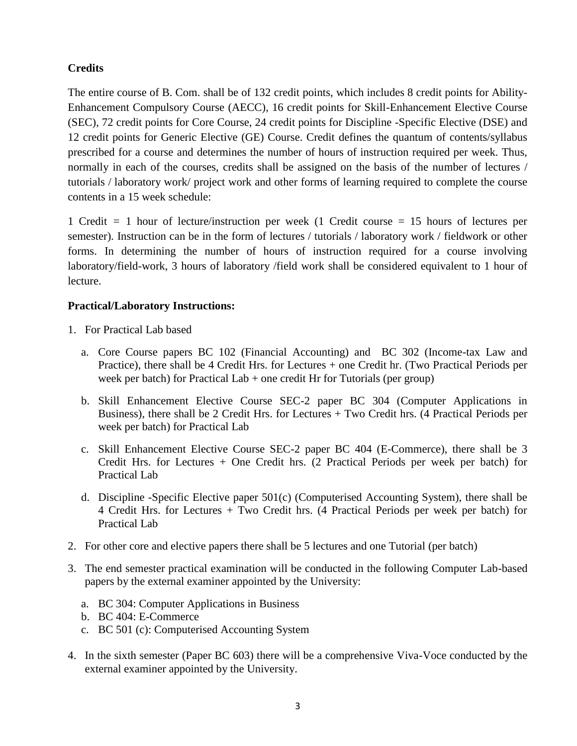### **Credits**

The entire course of B. Com. shall be of 132 credit points, which includes 8 credit points for Ability-Enhancement Compulsory Course (AECC), 16 credit points for Skill-Enhancement Elective Course (SEC), 72 credit points for Core Course, 24 credit points for Discipline -Specific Elective (DSE) and 12 credit points for Generic Elective (GE) Course. Credit defines the quantum of contents/syllabus prescribed for a course and determines the number of hours of instruction required per week. Thus, normally in each of the courses, credits shall be assigned on the basis of the number of lectures / tutorials / laboratory work/ project work and other forms of learning required to complete the course contents in a 15 week schedule:

1 Credit *=* 1 hour of lecture/instruction per week (1 Credit course = 15 hours of lectures per semester). Instruction can be in the form of lectures / tutorials / laboratory work / fieldwork or other forms. In determining the number of hours of instruction required for a course involving laboratory/field-work, 3 hours of laboratory /field work shall be considered equivalent to 1 hour of lecture.

### **Practical/Laboratory Instructions:**

- 1. For Practical Lab based
	- a. Core Course papers BC 102 (Financial Accounting) and BC 302 (Income-tax Law and Practice), there shall be 4 Credit Hrs. for Lectures + one Credit hr. (Two Practical Periods per week per batch) for Practical Lab  $+$  one credit Hr for Tutorials (per group)
	- b. Skill Enhancement Elective Course SEC-2 paper BC 304 (Computer Applications in Business), there shall be 2 Credit Hrs. for Lectures + Two Credit hrs. (4 Practical Periods per week per batch) for Practical Lab
	- c. Skill Enhancement Elective Course SEC-2 paper BC 404 (E-Commerce), there shall be 3 Credit Hrs. for Lectures + One Credit hrs. (2 Practical Periods per week per batch) for Practical Lab
	- d. Discipline -Specific Elective paper 501(c) (Computerised Accounting System), there shall be 4 Credit Hrs. for Lectures + Two Credit hrs. (4 Practical Periods per week per batch) for Practical Lab
- 2. For other core and elective papers there shall be 5 lectures and one Tutorial (per batch)
- 3. The end semester practical examination will be conducted in the following Computer Lab-based papers by the external examiner appointed by the University:
	- a. BC 304: Computer Applications in Business
	- b. BC 404: E-Commerce
	- c. BC 501 (c): Computerised Accounting System
- 4. In the sixth semester (Paper BC 603) there will be a comprehensive Viva-Voce conducted by the external examiner appointed by the University.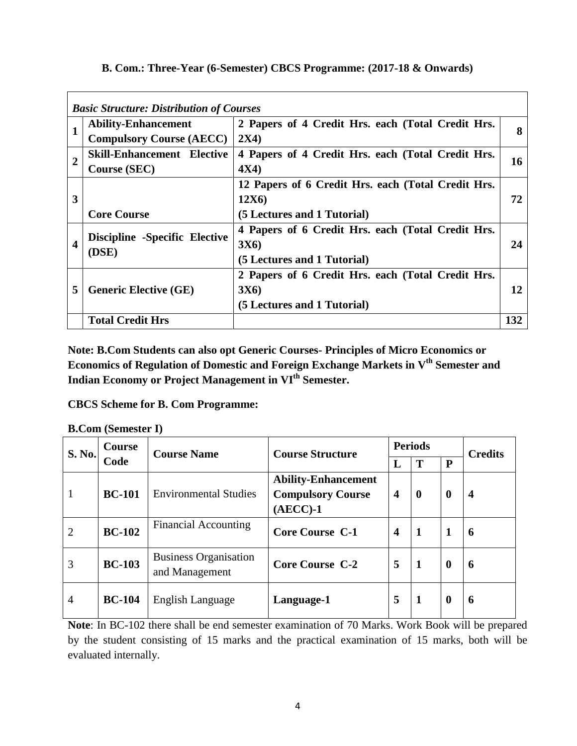|  |  |  | B. Com.: Three-Year (6-Semester) CBCS Programme: (2017-18 & Onwards) |  |  |
|--|--|--|----------------------------------------------------------------------|--|--|
|  |  |  |                                                                      |  |  |

|                         | <b>Basic Structure: Distribution of Courses</b> |                                                    |     |  |  |
|-------------------------|-------------------------------------------------|----------------------------------------------------|-----|--|--|
| $\mathbf{1}$            | <b>Ability-Enhancement</b>                      | 2 Papers of 4 Credit Hrs. each (Total Credit Hrs.  |     |  |  |
|                         | <b>Compulsory Course (AECC)</b>                 | 2X4                                                | 8   |  |  |
| $\overline{2}$          | <b>Skill-Enhancement Elective</b>               | 4 Papers of 4 Credit Hrs. each (Total Credit Hrs.  | 16  |  |  |
|                         | <b>Course (SEC)</b>                             | <b>4X4)</b>                                        |     |  |  |
|                         |                                                 | 12 Papers of 6 Credit Hrs. each (Total Credit Hrs. |     |  |  |
| 3                       |                                                 | 12X6                                               | 72  |  |  |
|                         | <b>Core Course</b>                              | (5 Lectures and 1 Tutorial)                        |     |  |  |
|                         |                                                 | 4 Papers of 6 Credit Hrs. each (Total Credit Hrs.  |     |  |  |
| $\overline{\mathbf{4}}$ | <b>Discipline -Specific Elective</b>            | 3X6                                                | 24  |  |  |
|                         | (DSE)                                           | (5 Lectures and 1 Tutorial)                        |     |  |  |
|                         |                                                 | 2 Papers of 6 Credit Hrs. each (Total Credit Hrs.  |     |  |  |
| 5                       | <b>Generic Elective (GE)</b>                    | <b>3X6</b> )                                       | 12  |  |  |
|                         |                                                 | (5 Lectures and 1 Tutorial)                        |     |  |  |
|                         | <b>Total Credit Hrs</b>                         |                                                    | 132 |  |  |

**Note: B.Com Students can also opt Generic Courses- Principles of Micro Economics or Economics of Regulation of Domestic and Foreign Exchange Markets in Vth Semester and Indian Economy or Project Management in VIth Semester.**

**CBCS Scheme for B. Com Programme:**

|                | <b>B.Com</b> (Semester I)                                                                         |                                                |                                                                      |   |                  |                  |   |
|----------------|---------------------------------------------------------------------------------------------------|------------------------------------------------|----------------------------------------------------------------------|---|------------------|------------------|---|
| S. No.         | Course                                                                                            | <b>Course Name</b>                             | <b>Course Structure</b>                                              |   | <b>Periods</b>   | <b>Credits</b>   |   |
|                | Code                                                                                              |                                                |                                                                      | L | Т                | P                |   |
| 1              | <b>BC-101</b>                                                                                     | <b>Environmental Studies</b>                   | <b>Ability-Enhancement</b><br><b>Compulsory Course</b><br>$(AECC)-1$ | 4 | $\boldsymbol{0}$ | $\mathbf 0$      | 4 |
| $\overline{2}$ | <b>BC-102</b>                                                                                     | <b>Financial Accounting</b>                    | <b>Core Course C-1</b>                                               | 4 | 1                | 1                | 6 |
| 3              | <b>BC-103</b>                                                                                     | <b>Business Organisation</b><br>and Management | <b>Core Course C-2</b>                                               | 5 | 1                | $\mathbf 0$      | 6 |
| 4              | <b>BC-104</b>                                                                                     | English Language                               | Language-1                                                           | 5 | 1                | $\boldsymbol{0}$ | 6 |
|                | <b>Note:</b> In BC-102 there shall be end semester examination of 70 Marks. Work Book will be pre |                                                |                                                                      |   |                  |                  |   |

**Note**: In BC-102 there shall be end semester examination of 70 Marks. Work Book will be prepared by the student consisting of 15 marks and the practical examination of 15 marks, both will be evaluated internally.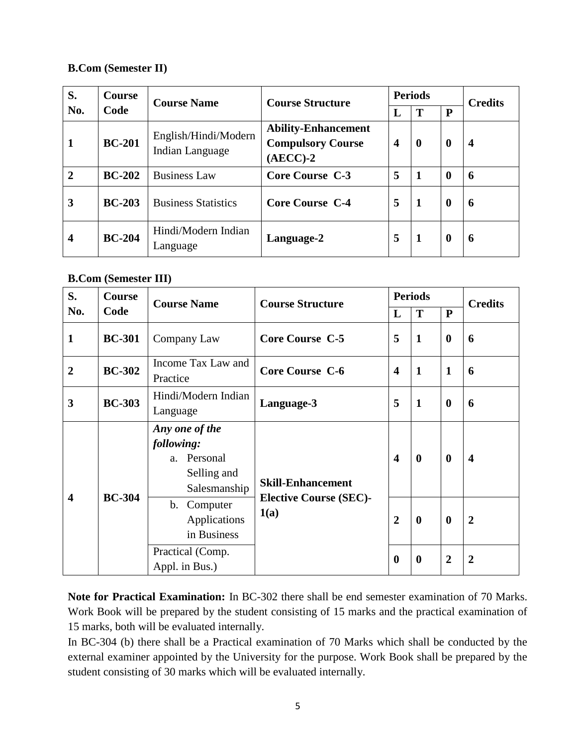### **B.Com (Semester II)**

| S.             | <b>Course</b> | <b>Course Name</b>                             | <b>Course Structure</b>                                              |                  | <b>Periods</b> |          | <b>Credits</b> |  |
|----------------|---------------|------------------------------------------------|----------------------------------------------------------------------|------------------|----------------|----------|----------------|--|
| No.            | Code          |                                                |                                                                      | L                | T              | P        |                |  |
| 1              | <b>BC-201</b> | English/Hindi/Modern<br><b>Indian Language</b> | <b>Ability-Enhancement</b><br><b>Compulsory Course</b><br>$(AECC)-2$ | $\boldsymbol{4}$ | $\bf{0}$       | $\bf{0}$ | $\overline{4}$ |  |
| $\overline{2}$ | $BC-202$      | <b>Business Law</b>                            | <b>Core Course C-3</b>                                               | 5                | 1              | $\bf{0}$ | 6              |  |
| 3              | $BC-203$      | <b>Business Statistics</b>                     | <b>Core Course C-4</b>                                               | 5                | 1              | $\bf{0}$ | 6              |  |
| 4              | $BC-204$      | Hindi/Modern Indian<br>Language                | Language-2                                                           | 5                | $\mathbf{1}$   | $\bf{0}$ | 6              |  |

### **B.Com (Semester III)**

| S.                      | Course        | <b>Course Name</b>                                                                        | <b>Course Structure</b>                                   |                         | <b>Periods</b>   | <b>Credits</b> |                  |
|-------------------------|---------------|-------------------------------------------------------------------------------------------|-----------------------------------------------------------|-------------------------|------------------|----------------|------------------|
| No.                     | Code          |                                                                                           |                                                           | L                       | T                | ${\bf P}$      |                  |
| 1                       | <b>BC-301</b> | Company Law                                                                               | <b>Core Course C-5</b>                                    | 5                       | $\mathbf{1}$     | $\bf{0}$       | 6                |
| $\overline{2}$          | <b>BC-302</b> | Income Tax Law and<br>Practice                                                            | <b>Core Course C-6</b>                                    | $\overline{\mathbf{4}}$ | $\mathbf{1}$     | $\mathbf{1}$   | 6                |
| 3                       | <b>BC-303</b> | Hindi/Modern Indian<br>Language                                                           | Language-3                                                | 5                       | $\mathbf{1}$     | $\mathbf{0}$   | 6                |
| $\overline{\mathbf{4}}$ | <b>BC-304</b> | Any one of the<br>following:<br>Personal<br>a <sub>z</sub><br>Selling and<br>Salesmanship | <b>Skill-Enhancement</b><br><b>Elective Course (SEC)-</b> | $\overline{\mathbf{4}}$ | $\boldsymbol{0}$ | $\mathbf{0}$   | $\boldsymbol{4}$ |
|                         |               | Computer<br>b.<br>Applications<br>in Business                                             | 1(a)                                                      | $\overline{2}$          | $\boldsymbol{0}$ | $\bf{0}$       | $\overline{2}$   |
|                         |               | Practical (Comp.<br>Appl. in Bus.)                                                        |                                                           | $\boldsymbol{0}$        | $\boldsymbol{0}$ | $\overline{2}$ | $\overline{2}$   |

**Note for Practical Examination:** In BC-302 there shall be end semester examination of 70 Marks. Work Book will be prepared by the student consisting of 15 marks and the practical examination of 15 marks, both will be evaluated internally.

In BC-304 (b) there shall be a Practical examination of 70 Marks which shall be conducted by the external examiner appointed by the University for the purpose. Work Book shall be prepared by the student consisting of 30 marks which will be evaluated internally.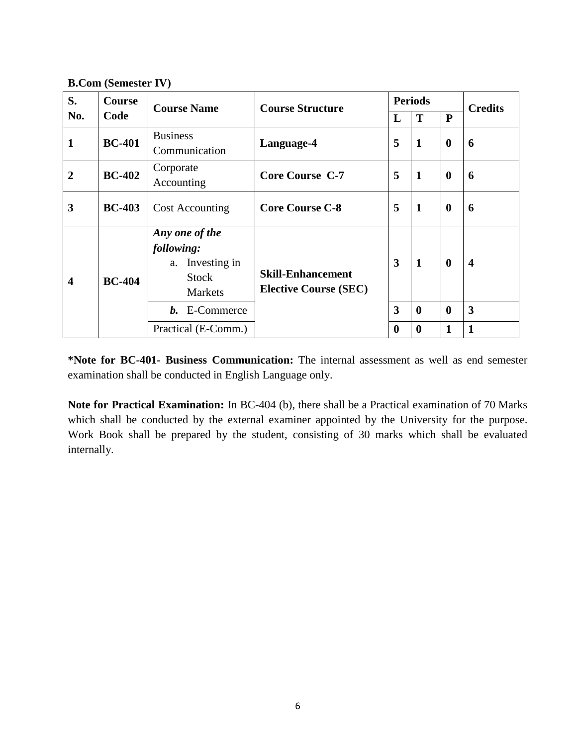**B.Com (Semester IV)** 

| S.             | Course        | <b>Course Name</b>     | <b>Course Structure</b>      | <b>Periods</b> |                  | <b>Credits</b> |                  |
|----------------|---------------|------------------------|------------------------------|----------------|------------------|----------------|------------------|
| No.            | Code          |                        |                              | L              | T                | $\mathbf{P}$   |                  |
| 1              | <b>BC-401</b> | <b>Business</b>        | Language-4                   | 5              | $\mathbf{1}$     | $\mathbf 0$    | 6                |
|                |               | Communication          |                              |                |                  |                |                  |
| $\overline{2}$ | <b>BC-402</b> | Corporate              | <b>Core Course C-7</b>       | 5              | $\mathbf{1}$     | $\mathbf 0$    | 6                |
|                |               | Accounting             |                              |                |                  |                |                  |
| 3              | <b>BC-403</b> | <b>Cost Accounting</b> | <b>Core Course C-8</b>       | 5              | $\mathbf{1}$     | $\mathbf 0$    | 6                |
|                |               |                        |                              |                |                  |                |                  |
|                |               | Any one of the         |                              |                |                  |                |                  |
|                |               | following:             |                              |                | $\mathbf{1}$     |                |                  |
|                |               | Investing in<br>a.     |                              | 3              |                  | $\mathbf{0}$   | $\boldsymbol{4}$ |
| 4              | <b>BC-404</b> | <b>Stock</b>           | <b>Skill-Enhancement</b>     |                |                  |                |                  |
|                |               | <b>Markets</b>         | <b>Elective Course (SEC)</b> |                |                  |                |                  |
|                |               | $b. E-Commerce$        |                              | 3              | $\mathbf{0}$     | 0              | 3                |
|                |               | Practical (E-Comm.)    |                              | 0              | $\boldsymbol{0}$ | 1              | 1                |

**\*Note for BC-401- Business Communication:** The internal assessment as well as end semester examination shall be conducted in English Language only.

**Note for Practical Examination:** In BC-404 (b), there shall be a Practical examination of 70 Marks which shall be conducted by the external examiner appointed by the University for the purpose. Work Book shall be prepared by the student, consisting of 30 marks which shall be evaluated internally.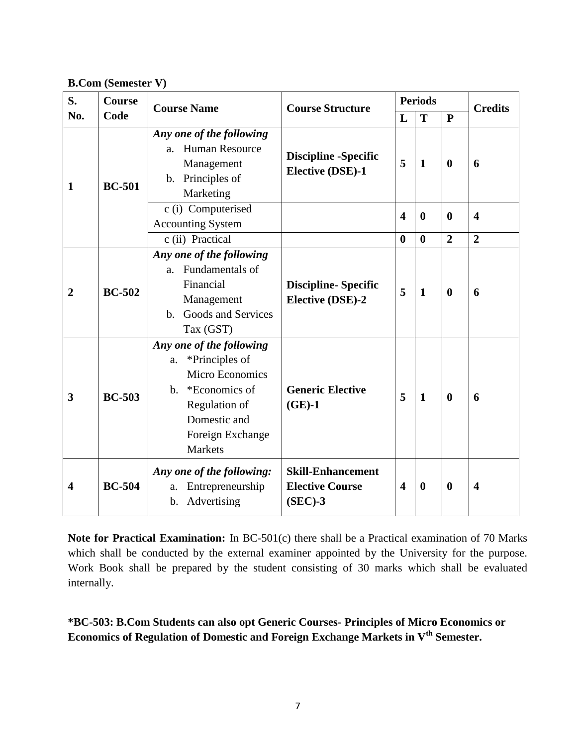#### **B.Com (Semester V)**

| S.                      | <b>Course</b> | <b>Course Name</b>                                                                                                                                                            | <b>Course Structure</b>                                       | <b>Periods</b>          |              |                | <b>Credits</b>          |
|-------------------------|---------------|-------------------------------------------------------------------------------------------------------------------------------------------------------------------------------|---------------------------------------------------------------|-------------------------|--------------|----------------|-------------------------|
| No.                     | Code          |                                                                                                                                                                               |                                                               | L                       | T            | $\mathbf{P}$   |                         |
| $\mathbf{1}$            | <b>BC-501</b> | Any one of the following<br>Human Resource<br>a <sub>z</sub><br>Management<br>b. Principles of<br>Marketing                                                                   | <b>Discipline</b> -Specific<br><b>Elective (DSE)-1</b>        | 5                       | $\mathbf{1}$ | $\mathbf{0}$   | 6                       |
|                         |               | c (i) Computerised<br><b>Accounting System</b>                                                                                                                                |                                                               | $\overline{\mathbf{4}}$ | $\bf{0}$     | $\bf{0}$       | $\overline{\mathbf{4}}$ |
|                         |               | c (ii) Practical                                                                                                                                                              |                                                               | $\boldsymbol{0}$        | $\mathbf 0$  | $\overline{2}$ | $\overline{2}$          |
| $\overline{2}$          | <b>BC-502</b> | Any one of the following<br>a. Fundamentals of<br>Financial<br>Management<br>Goods and Services<br>$\mathbf{b}$ .<br>Tax (GST)                                                | <b>Discipline-Specific</b><br><b>Elective (DSE)-2</b>         | 5                       | $\mathbf{1}$ | $\bf{0}$       | 6                       |
| 3                       | <b>BC-503</b> | Any one of the following<br>*Principles of<br>a.<br><b>Micro Economics</b><br>*Economics of<br>$h_{-}$<br>Regulation of<br>Domestic and<br>Foreign Exchange<br><b>Markets</b> | <b>Generic Elective</b><br>$(GE)-1$                           | 5                       | $\mathbf{1}$ | $\mathbf{0}$   | 6                       |
| $\overline{\mathbf{4}}$ | <b>BC-504</b> | Any one of the following:<br>Entrepreneurship<br>a.<br>Advertising<br>b.                                                                                                      | <b>Skill-Enhancement</b><br><b>Elective Course</b><br>(SEC).3 | $\overline{\mathbf{4}}$ | $\bf{0}$     | $\bf{0}$       | $\overline{\mathbf{4}}$ |

**Note for Practical Examination:** In BC-501(c) there shall be a Practical examination of 70 Marks which shall be conducted by the external examiner appointed by the University for the purpose. Work Book shall be prepared by the student consisting of 30 marks which shall be evaluated internally.

**\*BC-503: B.Com Students can also opt Generic Courses- Principles of Micro Economics or Economics of Regulation of Domestic and Foreign Exchange Markets in Vth Semester.**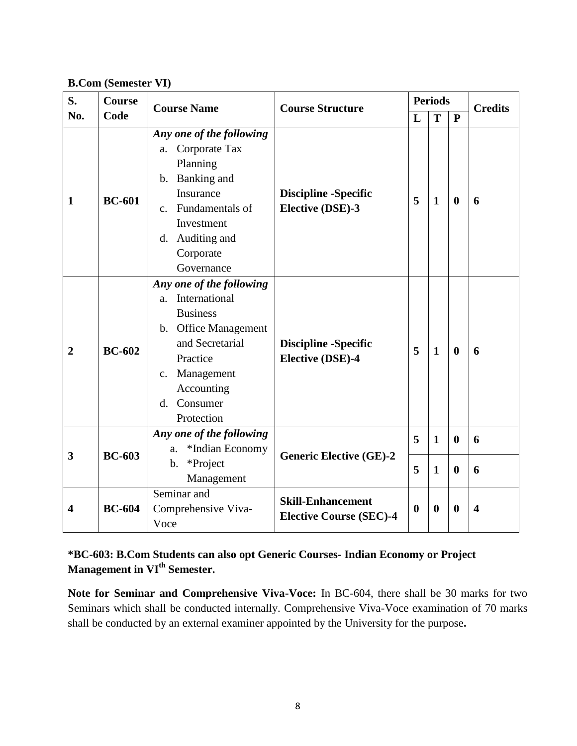### **B.Com (Semester VI)**

| S.<br><b>Course</b> |               | <b>Course Name</b>                                                                                                                                                                                           | <b>Course Structure</b>                                    |          | <b>Periods</b>               | <b>Credits</b>       |                         |
|---------------------|---------------|--------------------------------------------------------------------------------------------------------------------------------------------------------------------------------------------------------------|------------------------------------------------------------|----------|------------------------------|----------------------|-------------------------|
| No.                 | Code          |                                                                                                                                                                                                              |                                                            | L        | T                            | ${\bf P}$            |                         |
| $\mathbf{1}$        | <b>BC-601</b> | Any one of the following<br>Corporate Tax<br>a.<br>Planning<br>Banking and<br>$\mathbf b$ .<br>Insurance<br>Fundamentals of<br>$\mathbf{c}$ .<br>Investment<br>Auditing and<br>d.<br>Corporate<br>Governance | <b>Discipline -Specific</b><br><b>Elective (DSE)-3</b>     | 5        | $\mathbf{1}$                 | $\boldsymbol{0}$     | 6                       |
| $\boldsymbol{2}$    | <b>BC-602</b> | Any one of the following<br>International<br>a.<br><b>Business</b><br>b. Office Management<br>and Secretarial<br>Practice<br>Management<br>$\mathbf{C}$ .<br>Accounting<br>Consumer<br>d.<br>Protection      | <b>Discipline</b> -Specific<br><b>Elective (DSE)-4</b>     | 5        | $\mathbf{1}$                 | $\boldsymbol{0}$     | 6                       |
| 3                   | <b>BC-603</b> | Any one of the following<br>*Indian Economy<br>a.<br>*Project<br>b.<br>Management                                                                                                                            | <b>Generic Elective (GE)-2</b>                             | 5<br>5   | $\mathbf{1}$<br>$\mathbf{1}$ | $\bf{0}$<br>$\bf{0}$ | 6<br>6                  |
| 4                   | <b>BC-604</b> | Seminar and<br>Comprehensive Viva-<br>Voce                                                                                                                                                                   | <b>Skill-Enhancement</b><br><b>Elective Course (SEC)-4</b> | $\bf{0}$ | $\boldsymbol{0}$             | $\bf{0}$             | $\overline{\mathbf{4}}$ |

# **\*BC-603: B.Com Students can also opt Generic Courses- Indian Economy or Project Management in VIth Semester.**

**Note for Seminar and Comprehensive Viva-Voce:** In BC-604, there shall be 30 marks for two Seminars which shall be conducted internally. Comprehensive Viva-Voce examination of 70 marks shall be conducted by an external examiner appointed by the University for the purpose**.**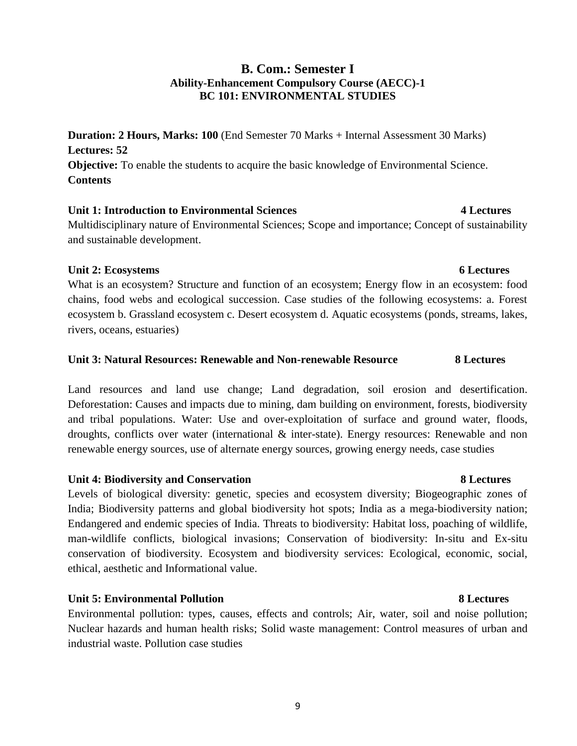### **B. Com.: Semester I Ability-Enhancement Compulsory Course (AECC)-1 BC 101: ENVIRONMENTAL STUDIES**

**Duration: 2 Hours, Marks: 100** (End Semester 70 Marks + Internal Assessment 30 Marks) **Lectures: 52 Objective:** To enable the students to acquire the basic knowledge of Environmental Science. **Contents**

### **Unit 1: Introduction to Environmental Sciences 4 Lectures**

Multidisciplinary nature of Environmental Sciences; Scope and importance; Concept of sustainability and sustainable development.

### **Unit 2: Ecosystems 6 Lectures**

What is an ecosystem? Structure and function of an ecosystem; Energy flow in an ecosystem: food chains, food webs and ecological succession. Case studies of the following ecosystems: a. Forest ecosystem b. Grassland ecosystem c. Desert ecosystem d. Aquatic ecosystems (ponds, streams, lakes, rivers, oceans, estuaries)

### **Unit 3: Natural Resources: Renewable and Non-renewable Resource 8 Lectures**

Land resources and land use change; Land degradation, soil erosion and desertification. Deforestation: Causes and impacts due to mining, dam building on environment, forests, biodiversity and tribal populations. Water: Use and over-exploitation of surface and ground water, floods, droughts, conflicts over water (international & inter-state). Energy resources: Renewable and non renewable energy sources, use of alternate energy sources, growing energy needs, case studies

## **Unit 4: Biodiversity and Conservation 8 Lectures**

Levels of biological diversity: genetic, species and ecosystem diversity; Biogeographic zones of India; Biodiversity patterns and global biodiversity hot spots; India as a mega-biodiversity nation; Endangered and endemic species of India. Threats to biodiversity: Habitat loss, poaching of wildlife, man-wildlife conflicts, biological invasions; Conservation of biodiversity: In-situ and Ex-situ conservation of biodiversity. Ecosystem and biodiversity services: Ecological, economic, social, ethical, aesthetic and Informational value.

## **Unit 5: Environmental Pollution 8 Lectures**

Environmental pollution: types, causes, effects and controls; Air, water, soil and noise pollution; Nuclear hazards and human health risks; Solid waste management: Control measures of urban and industrial waste. Pollution case studies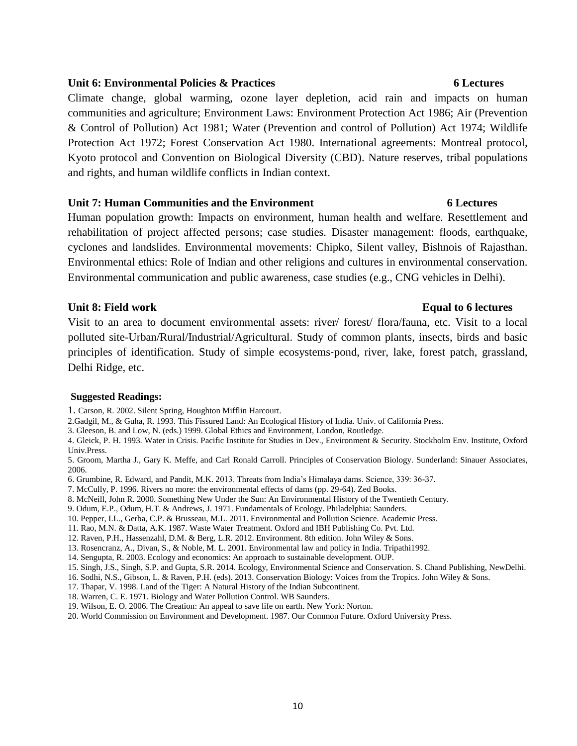# cyclones and landslides. Environmental movements: Chipko, Silent valley, Bishnois of Rajasthan.

and rights, and human wildlife conflicts in Indian context.

#### Environmental ethics: Role of Indian and other religions and cultures in environmental conservation. Environmental communication and public awareness, case studies (e.g., CNG vehicles in Delhi).

Human population growth: Impacts on environment, human health and welfare. Resettlement and rehabilitation of project affected persons; case studies. Disaster management: floods, earthquake,

Climate change, global warming, ozone layer depletion, acid rain and impacts on human communities and agriculture; Environment Laws: Environment Protection Act 1986; Air (Prevention & Control of Pollution) Act 1981; Water (Prevention and control of Pollution) Act 1974; Wildlife Protection Act 1972; Forest Conservation Act 1980. International agreements: Montreal protocol, Kyoto protocol and Convention on Biological Diversity (CBD). Nature reserves, tribal populations

#### Unit 8: Field work **Equal to 6** lectures

Visit to an area to document environmental assets: river/ forest/ flora/fauna, etc. Visit to a local polluted site-Urban/Rural/Industrial/Agricultural. Study of common plants, insects, birds and basic principles of identification. Study of simple ecosystems‐pond, river, lake, forest patch, grassland, Delhi Ridge, etc.

#### **Suggested Readings:**

1. Carson, R. 2002. Silent Spring, Houghton Mifflin Harcourt.

2.Gadgil, M., & Guha, R. 1993. This Fissured Land: An Ecological History of India. Univ. of California Press.

3. Gleeson, B. and Low, N. (eds.) 1999. Global Ethics and Environment, London, Routledge.

4. Gleick, P. H. 1993. Water in Crisis. Pacific Institute for Studies in Dev., Environment & Security. Stockholm Env. Institute, Oxford Univ.Press.

5. Groom, Martha J., Gary K. Meffe, and Carl Ronald Carroll. Principles of Conservation Biology. Sunderland: Sinauer Associates, 2006.

6. Grumbine, R. Edward, and Pandit, M.K. 2013. Threats from India's Himalaya dams. Science, 339: 36-37.

7. McCully, P. 1996. Rivers no more: the environmental effects of dams (pp. 29-64). Zed Books.

- 8. McNeill, John R. 2000. Something New Under the Sun: An Environmental History of the Twentieth Century.
- 9. Odum, E.P., Odum, H.T. & Andrews, J. 1971. Fundamentals of Ecology. Philadelphia: Saunders.
- 10. Pepper, I.L., Gerba, C.P. & Brusseau, M.L. 2011. Environmental and Pollution Science. Academic Press.

11. Rao, M.N. & Datta, A.K. 1987. Waste Water Treatment. Oxford and IBH Publishing Co. Pvt. Ltd.

- 12. Raven, P.H., Hassenzahl, D.M. & Berg, L.R. 2012. Environment. 8th edition. John Wiley & Sons.
- 13. Rosencranz, A., Divan, S., & Noble, M. L. 2001. Environmental law and policy in India. Tripathi1992.
- 14. Sengupta, R. 2003. Ecology and economics: An approach to sustainable development. OUP.

- 16. Sodhi, N.S., Gibson, L. & Raven, P.H. (eds). 2013. Conservation Biology: Voices from the Tropics. John Wiley & Sons.
- 17. Thapar, V. 1998. Land of the Tiger: A Natural History of the Indian Subcontinent.
- 18. Warren, C. E. 1971. Biology and Water Pollution Control. WB Saunders.
- 19. Wilson, E. O. 2006. The Creation: An appeal to save life on earth. New York: Norton.

20. World Commission on Environment and Development. 1987. Our Common Future. Oxford University Press.

#### **Unit 6: Environmental Policies & Practices 6 Lectures**

### **Unit 7: Human Communities and the Environment 6 Lectures**

<sup>15.</sup> Singh, J.S., Singh, S.P. and Gupta, S.R. 2014. Ecology, Environmental Science and Conservation. S. Chand Publishing, NewDelhi.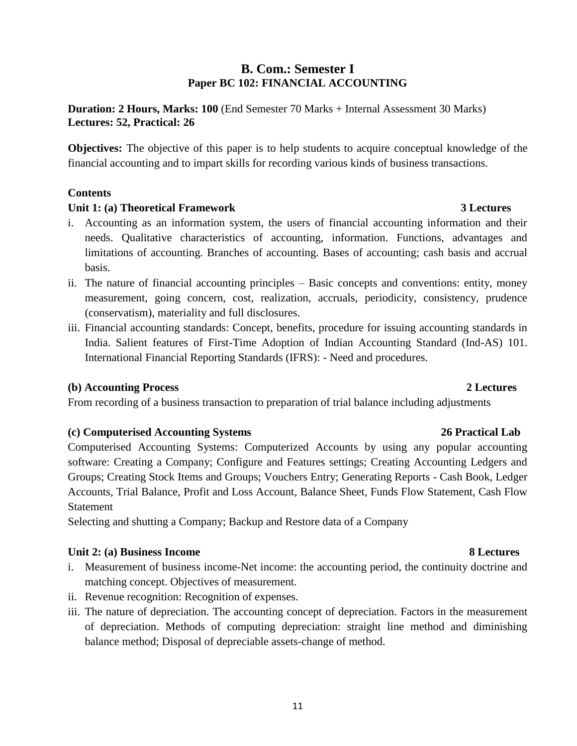# **B. Com.: Semester I Paper BC 102: FINANCIAL ACCOUNTING**

**Duration: 2 Hours, Marks: 100** (End Semester 70 Marks + Internal Assessment 30 Marks) **Lectures: 52, Practical: 26**

**Objectives:** The objective of this paper is to help students to acquire conceptual knowledge of the financial accounting and to impart skills for recording various kinds of business transactions.

### **Contents**

## **Unit 1: (a) Theoretical Framework 3 Lectures**

- i. Accounting as an information system, the users of financial accounting information and their needs. Qualitative characteristics of accounting, information. Functions, advantages and limitations of accounting. Branches of accounting. Bases of accounting; cash basis and accrual basis.
- ii. The nature of financial accounting principles Basic concepts and conventions: entity, money measurement, going concern, cost, realization, accruals, periodicity, consistency, prudence (conservatism), materiality and full disclosures.
- iii. Financial accounting standards: Concept, benefits, procedure for issuing accounting standards in India. Salient features of First-Time Adoption of Indian Accounting Standard (Ind-AS) 101. International Financial Reporting Standards (IFRS): - Need and procedures.

### **(b) Accounting Process 2 Lectures**

From recording of a business transaction to preparation of trial balance including adjustments

## **(c) Computerised Accounting Systems 26 Practical Lab**

Computerised Accounting Systems: Computerized Accounts by using any popular accounting software: Creating a Company; Configure and Features settings; Creating Accounting Ledgers and Groups; Creating Stock Items and Groups; Vouchers Entry; Generating Reports - Cash Book, Ledger Accounts, Trial Balance, Profit and Loss Account, Balance Sheet, Funds Flow Statement, Cash Flow Statement

Selecting and shutting a Company; Backup and Restore data of a Company

### Unit 2: (a) Business Income **8** Lectures

- i. Measurement of business income-Net income: the accounting period, the continuity doctrine and matching concept. Objectives of measurement.
- ii. Revenue recognition: Recognition of expenses.
- iii. The nature of depreciation. The accounting concept of depreciation. Factors in the measurement of depreciation. Methods of computing depreciation: straight line method and diminishing balance method; Disposal of depreciable assets-change of method.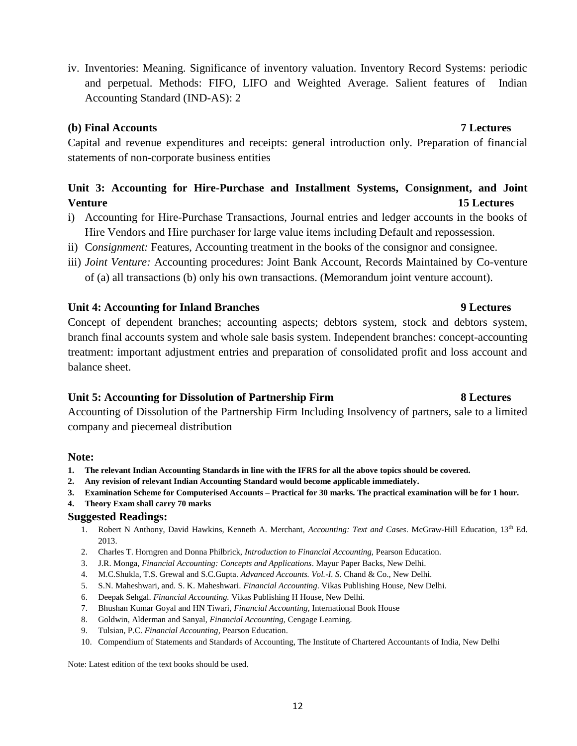iv. Inventories: Meaning. Significance of inventory valuation. Inventory Record Systems: periodic and perpetual. Methods: FIFO, LIFO and Weighted Average. Salient features of Indian Accounting Standard (IND-AS): 2

#### **(b) Final Accounts 7 Lectures**

Capital and revenue expenditures and receipts: general introduction only. Preparation of financial statements of non-corporate business entities

### **Unit 3: Accounting for Hire-Purchase and Installment Systems, Consignment, and Joint Venture 15 Lectures**

- i) Accounting for Hire-Purchase Transactions, Journal entries and ledger accounts in the books of Hire Vendors and Hire purchaser for large value items including Default and repossession.
- ii) C*onsignment:* Features, Accounting treatment in the books of the consignor and consignee.
- iii) *Joint Venture:* Accounting procedures: Joint Bank Account, Records Maintained by Co-venture of (a) all transactions (b) only his own transactions. (Memorandum joint venture account).

#### **Unit 4: Accounting for Inland Branches 9 Lectures**

Concept of dependent branches; accounting aspects; debtors system, stock and debtors system, branch final accounts system and whole sale basis system. Independent branches: concept-accounting treatment: important adjustment entries and preparation of consolidated profit and loss account and balance sheet.

### **Unit 5: Accounting for Dissolution of Partnership Firm 8 Lectures**

Accounting of Dissolution of the Partnership Firm Including Insolvency of partners, sale to a limited company and piecemeal distribution

#### **Note:**

- **1. The relevant Indian Accounting Standards in line with the IFRS for all the above topics should be covered.**
- **2. Any revision of relevant Indian Accounting Standard would become applicable immediately.**
- **3. Examination Scheme for Computerised Accounts – Practical for 30 marks. The practical examination will be for 1 hour.**
- **4. Theory Exam shall carry 70 marks**

#### **Suggested Readings:**

- 1. Robert N Anthony, David Hawkins, Kenneth A. Merchant, *Accounting: Text and Cases*. McGraw-Hill Education, 13th Ed. 2013.
- 2. Charles T. Horngren and Donna Philbrick, *Introduction to Financial Accounting,* Pearson Education.
- 3. J.R. Monga, *Financial Accounting: Concepts and Applications*. Mayur Paper Backs, New Delhi.
- 4. M.C.Shukla, T.S. Grewal and S.C.Gupta*. Advanced Accounts. Vol.-I. S.* Chand & Co., New Delhi.
- 5. S.N. Maheshwari, and. S. K. Maheshwari. *Financial Accounting*. Vikas Publishing House, New Delhi.
- 6. Deepak Sehgal. *Financial Accounting.* Vikas Publishing H House, New Delhi.
- 7. Bhushan Kumar Goyal and HN Tiwari, *Financial Accounting,* International Book House
- 8. Goldwin, Alderman and Sanyal, *Financial Accounting,* Cengage Learning*.*
- 9. Tulsian, P.C. *Financial Accounting,* Pearson Education.
- 10. Compendium of Statements and Standards of Accounting, The Institute of Chartered Accountants of India, New Delhi

Note: Latest edition of the text books should be used.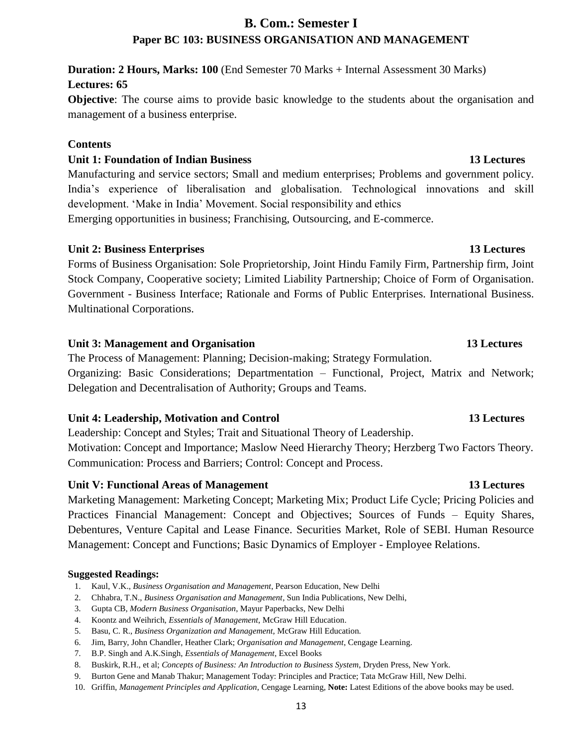# **B. Com.: Semester I Paper BC 103: BUSINESS ORGANISATION AND MANAGEMENT**

**Duration: 2 Hours, Marks: 100** (End Semester 70 Marks + Internal Assessment 30 Marks) **Lectures: 65**

**Objective**: The course aims to provide basic knowledge to the students about the organisation and management of a business enterprise.

### **Contents**

### **Unit 1: Foundation of Indian Business 13 Lectures**

Manufacturing and service sectors; Small and medium enterprises; Problems and government policy. India's experience of liberalisation and globalisation. Technological innovations and skill development. 'Make in India' Movement. Social responsibility and ethics Emerging opportunities in business; Franchising, Outsourcing, and E-commerce.

### **Unit 2: Business Enterprises 13 Lectures**

Forms of Business Organisation: Sole Proprietorship, Joint Hindu Family Firm, Partnership firm, Joint Stock Company, Cooperative society; Limited Liability Partnership; Choice of Form of Organisation. Government - Business Interface; Rationale and Forms of Public Enterprises. International Business. Multinational Corporations.

### **Unit 3: Management and Organisation 13 Lectures**

The Process of Management: Planning; Decision-making; Strategy Formulation. Organizing: Basic Considerations; Departmentation – Functional, Project, Matrix and Network; Delegation and Decentralisation of Authority; Groups and Teams.

### **Unit 4: Leadership, Motivation and Control 13 Lectures**

Leadership: Concept and Styles; Trait and Situational Theory of Leadership. Motivation: Concept and Importance; Maslow Need Hierarchy Theory; Herzberg Two Factors Theory. Communication: Process and Barriers; Control: Concept and Process.

## **Unit V: Functional Areas of Management 13 Lectures**

Marketing Management: Marketing Concept; Marketing Mix; Product Life Cycle; Pricing Policies and Practices Financial Management: Concept and Objectives; Sources of Funds – Equity Shares, Debentures, Venture Capital and Lease Finance. Securities Market, Role of SEBI. Human Resource Management: Concept and Functions; Basic Dynamics of Employer - Employee Relations.

### **Suggested Readings:**

- 1. Kaul, V.K., *Business Organisation and Management*, Pearson Education, New Delhi
- 2. Chhabra, T.N., *Business Organisation and Management*, Sun India Publications, New Delhi,
- 3. Gupta CB, *Modern Business Organisation*, Mayur Paperbacks, New Delhi
- 4. Koontz and Weihrich, *Essentials of Management*, McGraw Hill Education.
- 5. Basu, C. R., *Business Organization and Management*, McGraw Hill Education.
- 6. Jim, Barry, John Chandler, Heather Clark; *Organisation and Management*, Cengage Learning.
- 7. B.P. Singh and A.K.Singh, *Essentials of Management*, Excel Books
- 8. Buskirk, R.H., et al; *Concepts of Business: An Introduction to Business System*, Dryden Press, New York.
- 9. Burton Gene and Manab Thakur; Management Today: Principles and Practice; Tata McGraw Hill, New Delhi.
- 10. Griffin, *Management Principles and Application*, Cengage Learning, **Note:** Latest Editions of the above books may be used.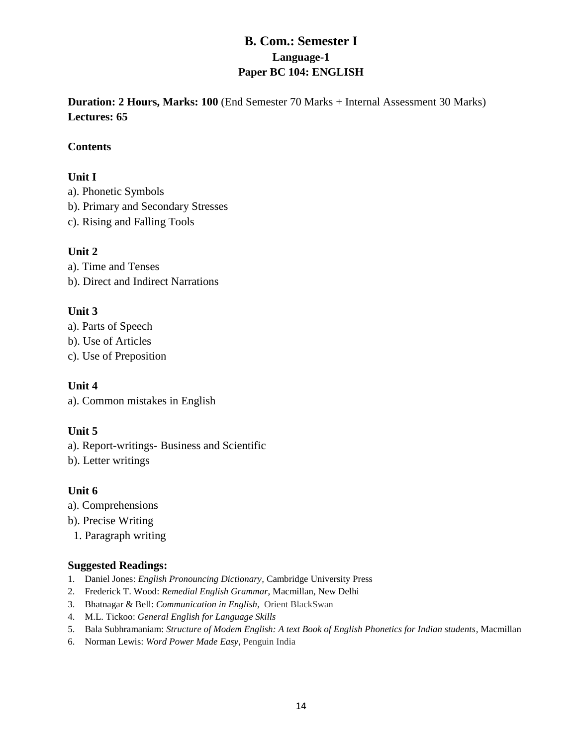# **B. Com.: Semester I Language-1 Paper BC 104: ENGLISH**

**Duration: 2 Hours, Marks: 100** (End Semester 70 Marks + Internal Assessment 30 Marks) **Lectures: 65**

### **Contents**

### **Unit I**

a). Phonetic Symbols b). Primary and Secondary Stresses

c). Rising and Falling Tools

### **Unit 2**

a). Time and Tenses b). Direct and Indirect Narrations

### **Unit 3**

a). Parts of Speech b). Use of Articles c). Use of Preposition

**Unit 4** a). Common mistakes in English

## **Unit 5**

a). Report-writings- Business and Scientific

b). Letter writings

### **Unit 6**

- a). Comprehensions
- b). Precise Writing
- 1. Paragraph writing

### **Suggested Readings:**

- 1. Daniel Jones: *English Pronouncing Dictionary,* Cambridge University Press
- 2. [Frederick T. Wood:](http://www.amazon.in/s/ref=dp_byline_sr_book_1?ie=UTF8&field-author=Frederick+T.+Wood&search-alias=stripbooks) *Remedial English Grammar*, Macmillan, New Delhi
- 3. Bhatnagar & Bell: *Communication in English,* Orient BlackSwan
- 4. M.L. Tickoo: *General English for Language Skills*
- 5. Bala Subhramaniam: *Structure of Modem English: A text Book of English Phonetics for Indian students*, Macmillan
- 6. Norman Lewis: *Word Power Made Easy,* Penguin India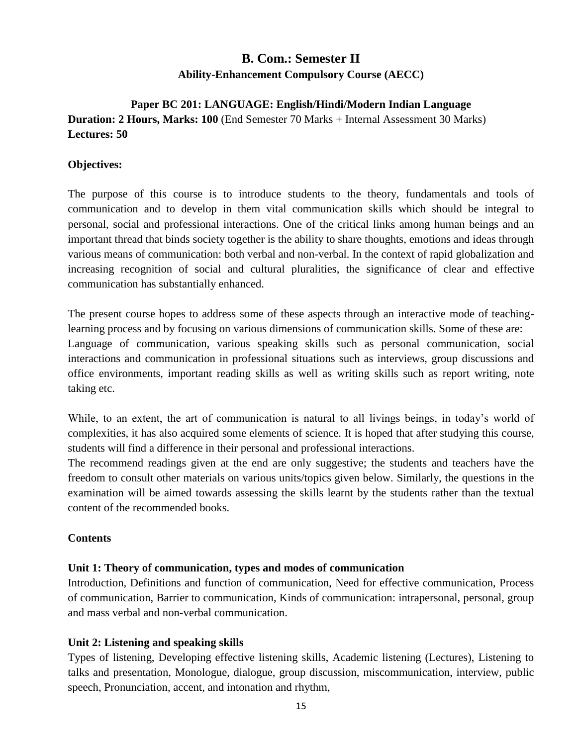# **B. Com.: Semester II Ability-Enhancement Compulsory Course (AECC)**

# **Paper BC 201: LANGUAGE: English/Hindi/Modern Indian Language Duration: 2 Hours, Marks: 100** (End Semester 70 Marks + Internal Assessment 30 Marks) **Lectures: 50**

### **Objectives:**

The purpose of this course is to introduce students to the theory, fundamentals and tools of communication and to develop in them vital communication skills which should be integral to personal, social and professional interactions. One of the critical links among human beings and an important thread that binds society together is the ability to share thoughts, emotions and ideas through various means of communication: both verbal and non-verbal. In the context of rapid globalization and increasing recognition of social and cultural pluralities, the significance of clear and effective communication has substantially enhanced.

The present course hopes to address some of these aspects through an interactive mode of teachinglearning process and by focusing on various dimensions of communication skills. Some of these are: Language of communication, various speaking skills such as personal communication, social interactions and communication in professional situations such as interviews, group discussions and office environments, important reading skills as well as writing skills such as report writing, note taking etc.

While, to an extent, the art of communication is natural to all livings beings, in today's world of complexities, it has also acquired some elements of science. It is hoped that after studying this course, students will find a difference in their personal and professional interactions.

The recommend readings given at the end are only suggestive; the students and teachers have the freedom to consult other materials on various units/topics given below. Similarly, the questions in the examination will be aimed towards assessing the skills learnt by the students rather than the textual content of the recommended books.

### **Contents**

### **Unit 1: Theory of communication, types and modes of communication**

Introduction, Definitions and function of communication, Need for effective communication, Process of communication, Barrier to communication, Kinds of communication: intrapersonal, personal, group and mass verbal and non-verbal communication.

### **Unit 2: Listening and speaking skills**

Types of listening, Developing effective listening skills, Academic listening (Lectures), Listening to talks and presentation, Monologue, dialogue, group discussion, miscommunication, interview, public speech, Pronunciation, accent, and intonation and rhythm,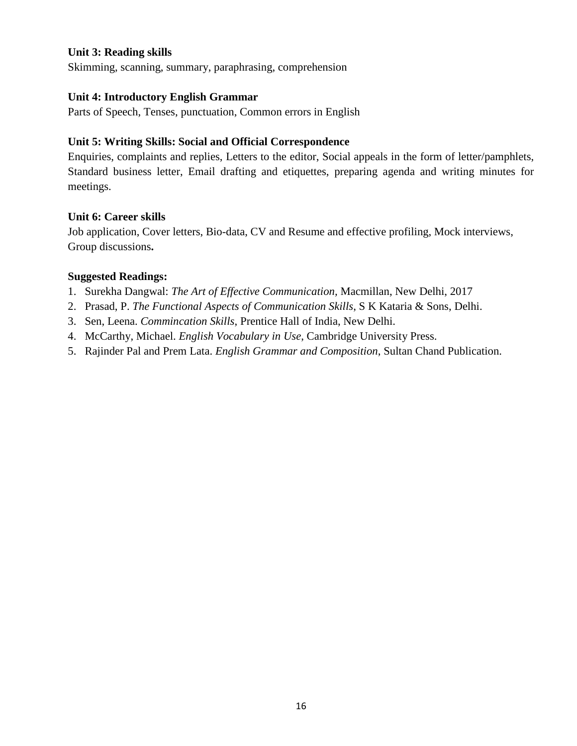### **Unit 3: Reading skills**

Skimming, scanning, summary, paraphrasing, comprehension

#### **Unit 4: Introductory English Grammar**

Parts of Speech, Tenses, punctuation, Common errors in English

### **Unit 5: Writing Skills: Social and Official Correspondence**

Enquiries, complaints and replies, Letters to the editor, Social appeals in the form of letter/pamphlets, Standard business letter, Email drafting and etiquettes, preparing agenda and writing minutes for meetings.

#### **Unit 6: Career skills**

Job application, Cover letters, Bio-data, CV and Resume and effective profiling, Mock interviews, Group discussions**.**

#### **Suggested Readings:**

- 1. Surekha Dangwal: *The Art of Effective Communication,* Macmillan, New Delhi, 2017
- 2. Prasad, P. *The Functional Aspects of Communication Skills*, S K Kataria & Sons, Delhi.
- 3. Sen, Leena. *Commincation Skills*, Prentice Hall of India, New Delhi.
- 4. McCarthy, Michael. *English Vocabulary in Use*, Cambridge University Press.
- 5. Rajinder Pal and Prem Lata. *English Grammar and Composition*, Sultan Chand Publication.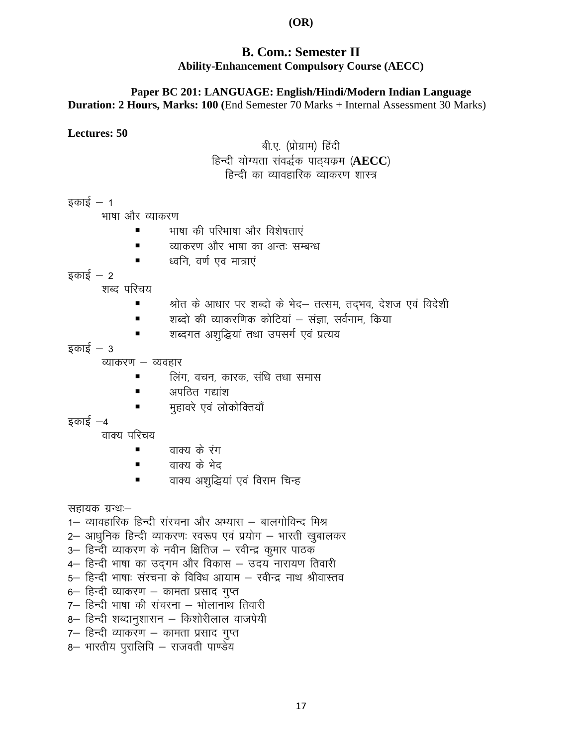#### **(OR)**

### **B. Com.: Semester II Ability-Enhancement Compulsory Course (AECC)**

#### **Paper BC 201: LANGUAGE: English/Hindi/Modern Indian Language Duration: 2 Hours, Marks: 100 (**End Semester 70 Marks + Internal Assessment 30 Marks)

#### **Lectures: 50**

बी.ए. (प्रोग्राम) हिंदी

# हिन्दी योग्यता संवर्द्धक पाठयकम (AECC)

हिन्दी का व्यावहारिक व्याकरण शास्त्र

इकाई  $-1$ 

भाषा और व्याकरण

- $\blacksquare$  भाषा की परिभाषा और विशेषताएं
- व्याकरण और भाषा का अन्त: सम्बन्ध
- ध्वनि, वर्ण एव मात्राएं

इकाई  $-2$ 

शब्द परिचय

- श्रोत के आधार पर शब्दो के भेद– तत्सम, तदभव, देशज एवं विदेशी
- शब्दो की व्याकरणिक कोटियां संज्ञा, सर्वनाम, किया
- शब्दगत अशुद्धियां तथा उपसर्ग एवं प्रत्यय

इकाई  $-3$ 

व्याकरण – व्यवहार

- लिंग, वचन, कारक, संधि तधा समास
- $\blacksquare$  3) अपठित गद्यांश
- महावरे एवं लोकोक्तियाँ

इकाई –4

वाक्य परिचय

- $\blacksquare$  वाक्य के रंग
- वाक्य के भेद
- वाक्य अशुद्धियां एवं विराम चिन्ह

सहायक ग्रन्थ:–

- 1– व्यावहारिक हिन्दी संरचना और अभ्यास बालगोविन्द मिश्र
- $2-$  आधुनिक हिन्दी व्याकरणः स्वरूप एवं प्रयोग  $-$  भारती खुबालकर
- $3-$  हिन्दी व्याकरण के नवीन क्षितिज रवीन्द्र कुमार पाठक
- 4— हिन्दी भाषा का उदगम और विकास उदय नारायण तिवारी
- 5— हिन्दी भाषाः संरचना के विविध आयाम रवीन्द्र नाथ श्रीवास्तव
- 6- हिन्दी व्याकरण कामता प्रसाद गुप्त
- $7-$  हिन्दी भाषा की संचरना भोलानाथ तिवारी
- $8-$  हिन्दी शब्दानुशासन  $-$  किशोरीलाल वाजपेयी
- $7-$  हिन्दी व्याकरण कामता प्रसाद गुप्त
- 8— भारतीय पुरालिपि राजवती पाण्डेय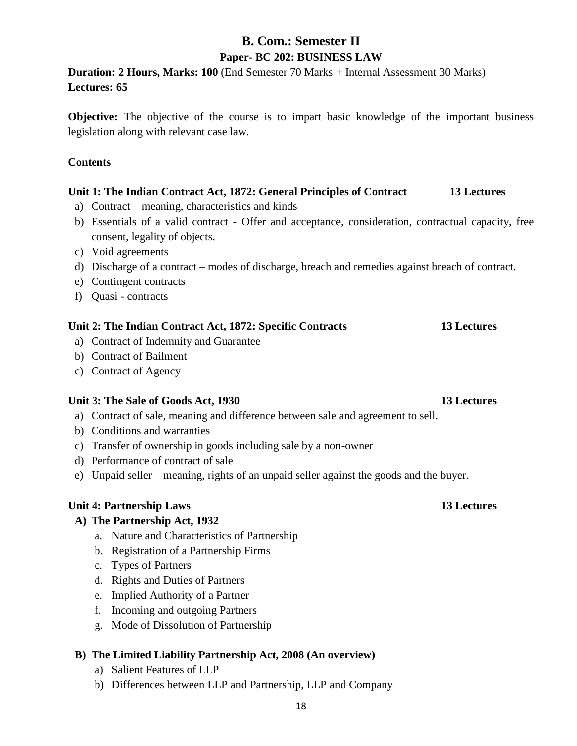# **B. Com.: Semester II Paper- BC 202: BUSINESS LAW**

**Duration: 2 Hours, Marks: 100** (End Semester 70 Marks + Internal Assessment 30 Marks) **Lectures: 65**

**Objective:** The objective of the course is to impart basic knowledge of the important business legislation along with relevant case law.

# **Contents**

# **Unit 1: The Indian Contract Act, 1872: General Principles of Contract 13 Lectures**

- a) Contract meaning, characteristics and kinds
- b) Essentials of a valid contract Offer and acceptance, consideration, contractual capacity, free consent, legality of objects.
- c) Void agreements
- d) Discharge of a contract modes of discharge, breach and remedies against breach of contract.
- e) Contingent contracts
- f) Quasi contracts

# **Unit 2: The Indian Contract Act, 1872: Specific Contracts 13 Lectures**

- a) Contract of Indemnity and Guarantee
- b) Contract of Bailment
- c) Contract of Agency

# **Unit 3: The Sale of Goods Act, 1930 13 Lectures**

- a) Contract of sale, meaning and difference between sale and agreement to sell.
- b) Conditions and warranties
- c) Transfer of ownership in goods including sale by a non-owner
- d) Performance of contract of sale
- e) Unpaid seller meaning, rights of an unpaid seller against the goods and the buyer.

# **Unit 4: Partnership Laws 13 Lectures**

# **A) The Partnership Act, 1932**

- a. Nature and Characteristics of Partnership
- b. Registration of a Partnership Firms
- c. Types of Partners
- d. Rights and Duties of Partners
- e. Implied Authority of a Partner
- f. Incoming and outgoing Partners
- g. Mode of Dissolution of Partnership

# **B) The Limited Liability Partnership Act, 2008 (An overview)**

- a) Salient Features of LLP
- b) Differences between LLP and Partnership, LLP and Company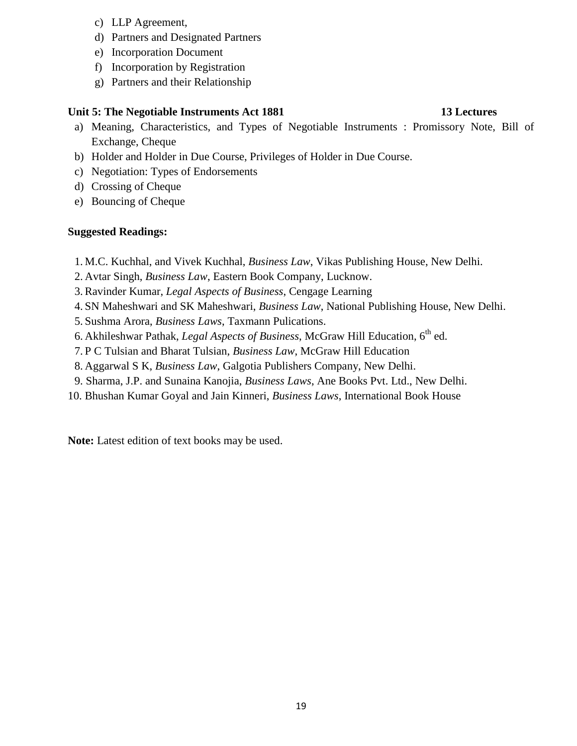- c) LLP Agreement,
- d) Partners and Designated Partners
- e) Incorporation Document
- f) Incorporation by Registration
- g) Partners and their Relationship

### **Unit 5: The Negotiable Instruments Act 1881 13 Lectures**

- a) Meaning, Characteristics, and Types of Negotiable Instruments : Promissory Note, Bill of Exchange, Cheque
- b) Holder and Holder in Due Course, Privileges of Holder in Due Course.
- c) Negotiation: Types of Endorsements
- d) Crossing of Cheque
- e) Bouncing of Cheque

## **Suggested Readings:**

- 1. M.C. Kuchhal, and Vivek Kuchhal, *Business Law*, Vikas Publishing House, New Delhi.
- 2. Avtar Singh, *Business Law*, Eastern Book Company, Lucknow.
- 3. Ravinder Kumar, *Legal Aspects of Business*, Cengage Learning
- 4. SN Maheshwari and SK Maheshwari, *Business Law*, National Publishing House, New Delhi.
- 5. Sushma Arora, *Business Laws*, Taxmann Pulications.
- 6. Akhileshwar Pathak, *Legal Aspects of Business*, McGraw Hill Education, 6th ed.
- 7. P C Tulsian and Bharat Tulsian, *Business Law*, McGraw Hill Education
- 8. Aggarwal S K, *Business Law*, Galgotia Publishers Company, New Delhi.
- 9. Sharma, J.P. and Sunaina Kanojia, *Business Laws*, Ane Books Pvt. Ltd., New Delhi.
- 10. Bhushan Kumar Goyal and Jain Kinneri, *Business Laws*, International Book House

**Note:** Latest edition of text books may be used.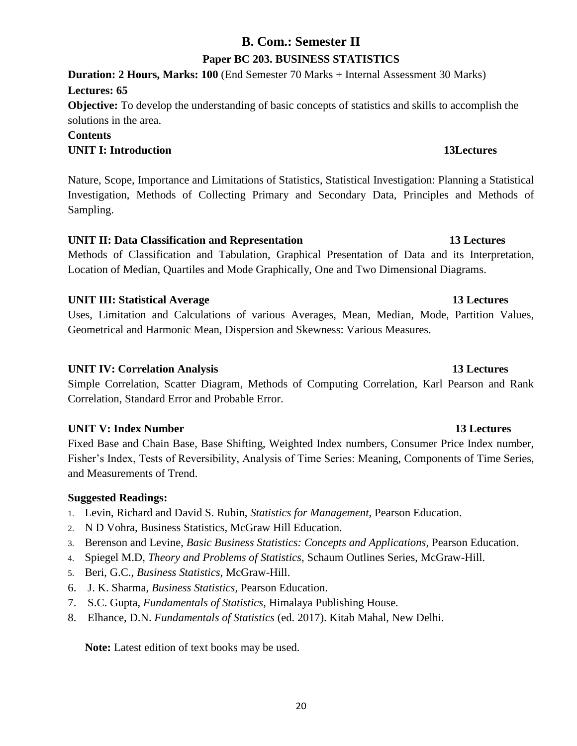### **Paper BC 203. BUSINESS STATISTICS**

**Duration: 2 Hours, Marks: 100** (End Semester 70 Marks + Internal Assessment 30 Marks) **Lectures: 65 Objective:** To develop the understanding of basic concepts of statistics and skills to accomplish the solutions in the area. **Contents UNIT I: Introduction 13Lectures** 

Nature, Scope, Importance and Limitations of Statistics, Statistical Investigation: Planning a Statistical Investigation, Methods of Collecting Primary and Secondary Data, Principles and Methods of Sampling.

#### **UNIT II: Data Classification and Representation 13 Lectures**

Methods of Classification and Tabulation, Graphical Presentation of Data and its Interpretation, Location of Median, Quartiles and Mode Graphically, One and Two Dimensional Diagrams.

#### **UNIT III: Statistical Average 13 Lectures**

Uses, Limitation and Calculations of various Averages, Mean, Median, Mode, Partition Values, Geometrical and Harmonic Mean, Dispersion and Skewness: Various Measures.

#### **UNIT IV: Correlation Analysis 13 Lectures**

Simple Correlation, Scatter Diagram, Methods of Computing Correlation, Karl Pearson and Rank Correlation, Standard Error and Probable Error.

#### **UNIT V: Index Number 13 Lectures**

Fixed Base and Chain Base, Base Shifting, Weighted Index numbers, Consumer Price Index number, Fisher's Index, Tests of Reversibility, Analysis of Time Series: Meaning, Components of Time Series, and Measurements of Trend.

#### **Suggested Readings:**

- 1. Levin, Richard and David S. Rubin, *Statistics for Management*, Pearson Education.
- 2. N D Vohra, Business Statistics, McGraw Hill Education.
- 3. Berenson and Levine, *Basic Business Statistics: Concepts and Applications,* Pearson Education.
- 4. Spiegel M.D, *Theory and Problems of Statistics,* Schaum Outlines Series, McGraw-Hill.
- 5. Beri, G.C., *Business Statistics,* McGraw-Hill.
- 6. J. K. Sharma, *Business Statistics,* Pearson Education.
- 7. S.C. Gupta, *Fundamentals of Statistics,* Himalaya Publishing House.
- 8. Elhance, D.N. *Fundamentals of Statistics* (ed. 2017). Kitab Mahal, New Delhi.

**Note:** Latest edition of text books may be used.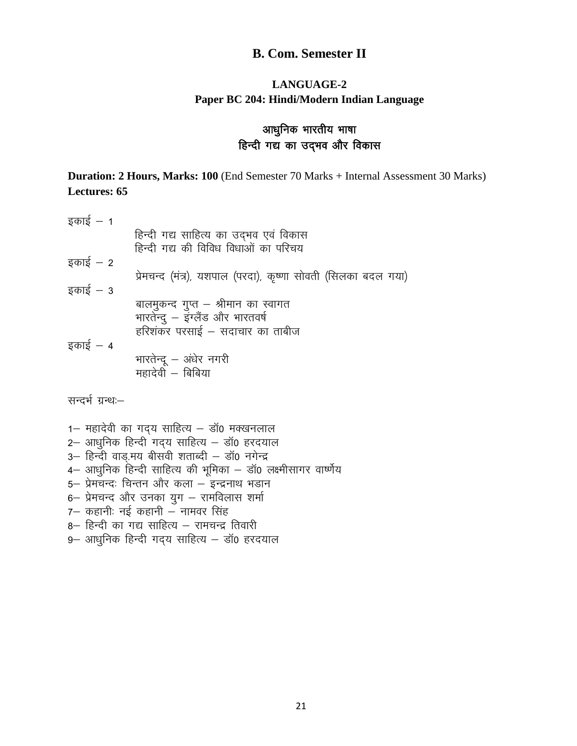### **LANGUAGE-2 Paper BC 204: Hindi/Modern Indian Language**

# आधुनिक भारतीय भाषा हिन्दी गद्य का उदमव और विकास

**Duration: 2 Hours, Marks: 100** (End Semester 70 Marks + Internal Assessment 30 Marks) **Lectures: 65**

| इकाई $-1$        | हिन्दी गद्य साहित्य का उद्भव एवं विकास<br>हिन्दी गद्य की विविध विधाओं का परिचय                             |
|------------------|------------------------------------------------------------------------------------------------------------|
| इकाई $-2$        | प्रेमचन्द (मंत्र), यशपाल (परदा), कृष्णा सोवती (सिलका बदल गया)                                              |
| इकाई $-3$        | बालमुकन्द गुप्त – श्रीमान का स्वागत<br>भारतेन्दु – इंग्लैंड और भारतवर्ष<br>हरिशंकर परसाई – सदाचार का ताबीज |
| इकाई $-4$        | भारतेन्द्र् – अंधेर नगरी<br>महादेवी – बिबिया                                                               |
| सन्दर्भ ग्रन्थ:– |                                                                                                            |
|                  | 1– महादेवी का गद्य साहित्य – डॉ0 मक्खनलाल                                                                  |

 $2-$  आधुनिक हिन्दी गद्य साहित्य – डॉ0 हरदयाल  $3-$  हिन्दी वाड.मय बीसवी शताब्दी – डॉ0 नगेन्द्र  $4-$  आधुनिक हिन्दी साहित्य की भूमिका – डॉ0 लक्ष्मीसागर वार्ष्णेय 5– प्रेमचन्दः चिन्तन और कला – इन्द्रनाथ भडान  $6-$  प्रेमचन्द और उनका युग  $-$  रामविलास शर्मा  $7-$  कहानीः नई कहानी  $-$  नामवर सिंह  $8-$  हिन्दी का गद्य साहित्य – रामचन्द्र तिवारी 9 - आधुनिक हिन्दी गदय साहित्य – डॉ0 हरदयाल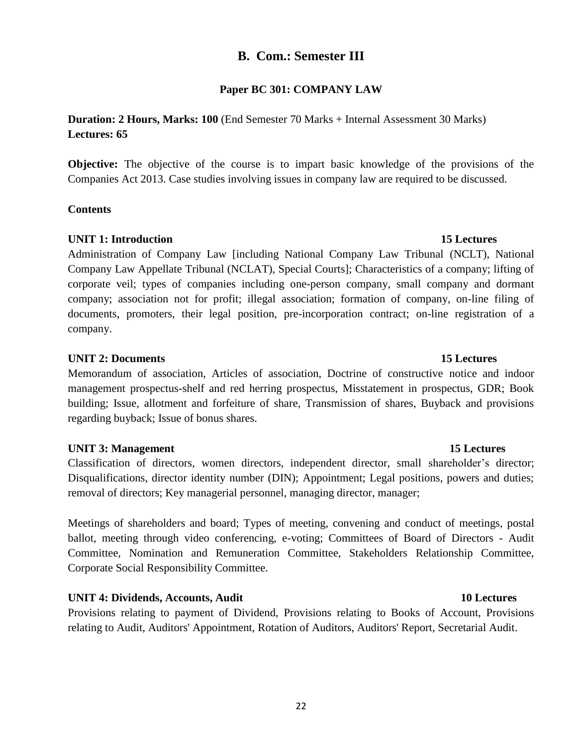# **Paper BC 301: COMPANY LAW**

**Duration: 2 Hours, Marks: 100** (End Semester 70 Marks + Internal Assessment 30 Marks) **Lectures: 65**

**Objective:** The objective of the course is to impart basic knowledge of the provisions of the Companies Act 2013. Case studies involving issues in company law are required to be discussed.

### **Contents**

## **UNIT 1: Introduction 15 Lectures**

Administration of Company Law [including National Company Law Tribunal (NCLT), National Company Law Appellate Tribunal (NCLAT), Special Courts]; Characteristics of a company; lifting of corporate veil; types of companies including one-person company, small company and dormant company; association not for profit; illegal association; formation of company, on-line filing of documents, promoters, their legal position, pre-incorporation contract; on-line registration of a company.

### **UNIT 2: Documents 15 Lectures**

Memorandum of association, Articles of association, Doctrine of constructive notice and indoor management prospectus-shelf and red herring prospectus, Misstatement in prospectus, GDR; Book building; Issue, allotment and forfeiture of share, Transmission of shares, Buyback and provisions regarding buyback; Issue of bonus shares.

## **UNIT 3: Management** 15 Lectures **15 Lectures**

Classification of directors, women directors, independent director, small shareholder's director; Disqualifications, director identity number (DIN); Appointment; Legal positions, powers and duties; removal of directors; Key managerial personnel, managing director, manager;

Meetings of shareholders and board; Types of meeting, convening and conduct of meetings, postal ballot, meeting through video conferencing, e-voting; Committees of Board of Directors - Audit Committee, Nomination and Remuneration Committee, Stakeholders Relationship Committee, Corporate Social Responsibility Committee.

## **UNIT 4: Dividends, Accounts, Audit 10 Lectures**

Provisions relating to payment of Dividend, Provisions relating to Books of Account, Provisions relating to Audit, Auditors' Appointment, Rotation of Auditors, Auditors' Report, Secretarial Audit.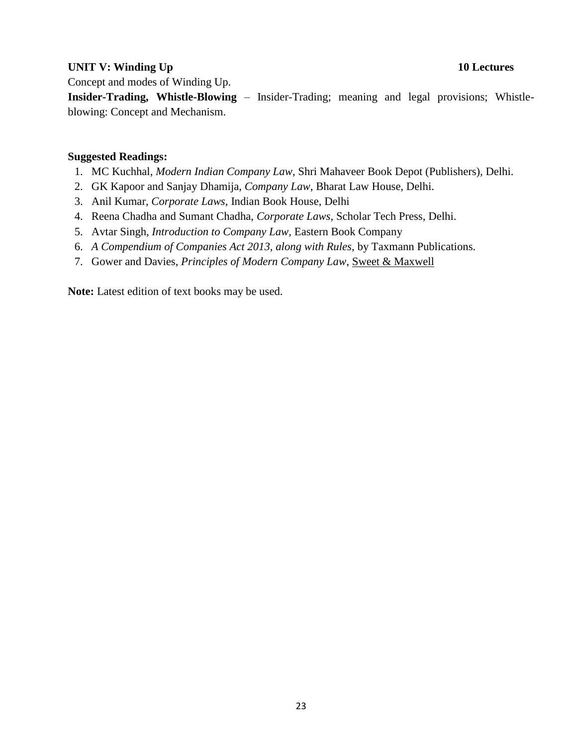### **UNIT V: Winding Up 10 Lectures**

Concept and modes of Winding Up.

**Insider-Trading, Whistle-Blowing** – Insider-Trading; meaning and legal provisions; Whistleblowing: Concept and Mechanism.

#### **Suggested Readings:**

- 1. MC Kuchhal, *Modern Indian Company Law*, Shri Mahaveer Book Depot (Publishers), Delhi.
- 2. GK Kapoor and Sanjay Dhamija, *Company Law*, Bharat Law House, Delhi.
- 3. Anil Kumar, *Corporate Laws,* Indian Book House, Delhi
- 4. Reena Chadha and Sumant Chadha, *Corporate Laws*, Scholar Tech Press, Delhi.
- 5. Avtar Singh*, Introduction to Company Law,* Eastern Book Company
- 6. *A Compendium of Companies Act 2013, along with Rules*, by Taxmann Publications.
- 7. Gower and Davies, *Principles of Modern Company Law*, Sweet & Maxwell

Note: Latest edition of text books may be used.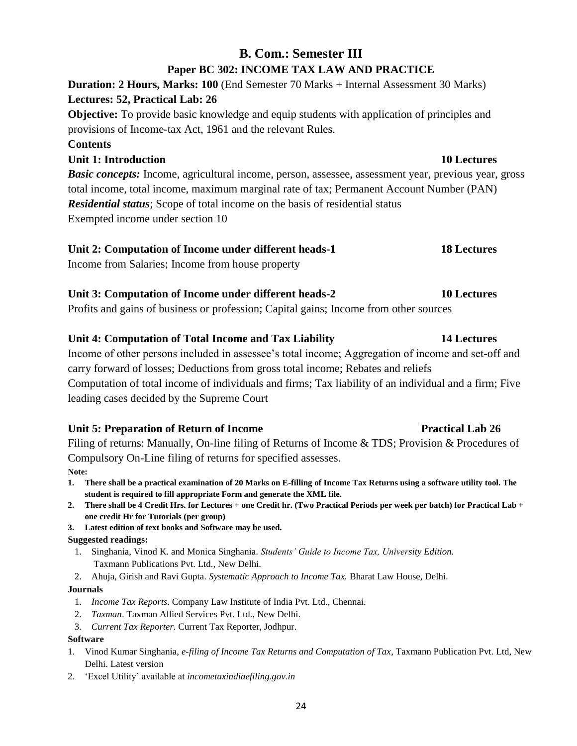### **Paper BC 302: INCOME TAX LAW AND PRACTICE**

**Duration: 2 Hours, Marks: 100** (End Semester 70 Marks + Internal Assessment 30 Marks) **Lectures: 52, Practical Lab: 26**

**Objective:** To provide basic knowledge and equip students with application of principles and provisions of Income-tax Act, 1961 and the relevant Rules.

### **Contents**

## **Unit 1: Introduction 10 Lectures**

**Basic concepts:** Income, agricultural income, person, assessee, assessment year, previous year, gross total income, total income, maximum marginal rate of tax; Permanent Account Number (PAN) *Residential status*; Scope of total income on the basis of residential status Exempted income under section 10

### **Unit 2: Computation of Income under different heads-1 18 Lectures**

Income from Salaries; Income from house property

## **Unit 3: Computation of Income under different heads-2 10 Lectures**

Profits and gains of business or profession; Capital gains; Income from other sources

### **Unit 4: Computation of Total Income and Tax Liability 14 Lectures**

Income of other persons included in assessee's total income; Aggregation of income and set-off and carry forward of losses; Deductions from gross total income; Rebates and reliefs

Computation of total income of individuals and firms; Tax liability of an individual and a firm; Five leading cases decided by the Supreme Court

### **Unit 5: Preparation of Return of Income <b>Practical Lab 26 Practical Lab 26**

Filing of returns: Manually, On-line filing of Returns of Income & TDS; Provision & Procedures of Compulsory On-Line filing of returns for specified assesses.

**Note:**

- **1. There shall be a practical examination of 20 Marks on E-filling of Income Tax Returns using a software utility tool. The student is required to fill appropriate Form and generate the XML file.**
- **2. There shall be 4 Credit Hrs. for Lectures + one Credit hr. (Two Practical Periods per week per batch) for Practical Lab + one credit Hr for Tutorials (per group)**
- **3. Latest edition of text books and Software may be used.**

#### **Suggested readings:**

1. Singhania, Vinod K. and Monica Singhania. *Students' Guide to Income Tax, University Edition.* Taxmann Publications Pvt. Ltd., New Delhi.

2. Ahuja, Girish and Ravi Gupta. *Systematic Approach to Income Tax.* Bharat Law House, Delhi.

#### **Journals**

- 1. *Income Tax Reports*. Company Law Institute of India Pvt. Ltd., Chennai.
- 2. *Taxman*. Taxman Allied Services Pvt. Ltd., New Delhi.
- 3. *Current Tax Reporter*. Current Tax Reporter, Jodhpur.

#### **Software**

- 1. Vinod Kumar Singhania, *e-filing of Income Tax Returns and Computation of Tax*, Taxmann Publication Pvt. Ltd, New Delhi. Latest version
- 2. ‗Excel Utility' available at *incometaxindiaefiling.gov.in*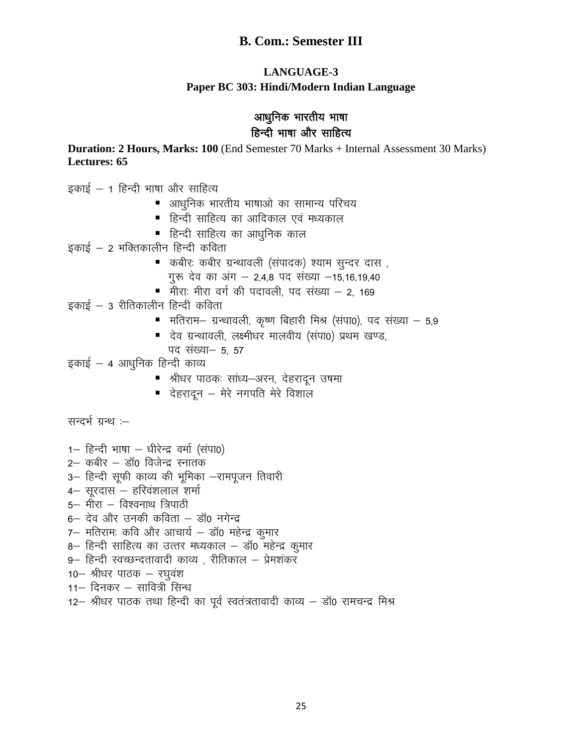# **LANGUAGE-3**

### **Paper BC 303: Hindi/Modern Indian Language**

# आधुनिक भारतीय भाषा हिन्दी भाषा और साहित्य

**Duration: 2 Hours, Marks: 100** (End Semester 70 Marks + Internal Assessment 30 Marks) **Lectures: 65**

- इकाई  $-$  1 हिन्दी भाषा और साहित्य
	- आधुनिक भारतीय भाषाओ का सामान्य परिचय
	- $\blacksquare$  हिन्दी साहित्य का आदिकाल एवं मध्यकाल
	- $\blacksquare$  हिन्दी साहित्य का आधुनिक काल

इकाई  $-$  2 भक्तिकालीन हिन्दी कविता

- $\blacksquare$  कबीरः कबीर ग्रन्थावली (संपादक) श्याम सुन्दर दास , गुरू देव का अंग - 2,4,8 पद संख्या -15,16,19,40
- **•** मीराः मीरा वर्ग की पदावली, पद संख्या 2, 169
- इकाई  $-$  3 रीतिकालीन हिन्दी कविता
	- $\blacksquare$  मतिराम– ग्रन्थावली, कृष्ण बिहारी मिश्र (संपा0), पद संख्या 5,9
	- n देव ग्रन्थावली, लक्ष्मीधर मालवीय (संपा0) प्रथम खण्ड,
		- पद संख्या– 5, 57
- इकाई  $-$  4 आधुनिक हिन्दी काव्य
	- श्रीधर पाठकः सांध्य—अरन, देहरादून उषमा
	- $\blacksquare$  देहरादुन मेरे नगपति मेरे विशाल

सन्दर्भ ग्रन्थ :-

- $1-$  हिन्दी भाषा धीरेन्द्र वर्मा (संपा0)
- 2— कबीर डॉ0 विजेन्द्र स्नातक
- 3– हिन्दी सूफी काव्य की भूमिका –रामपूजन तिवारी
- $4-$  सुरदास हरिवंशलाल शर्मा
- $5-$  मीरा विश्वनाथ त्रिपाठी
- $6-$  देव और उनकी कविता  $-$  डॉ0 नगेन्द्र
- $7-$  मतिरामः कवि और आचार्य डॉ0 महेन्द्र कुमार
- 8— हिन्दी साहित्य का उत्तर मध्यकाल डॉ0 महेन्द्र कुमार
- 9— हिन्दी स्वच्छन्दतावादी काव्य , रीतिकाल प्रेमशंकर
- $10-$  श्रीधर पाठक  $-$  रघुवंश
- $11-$  दिनकर सावित्री सिन्ध
- $12-$  श्रीधर पाठक तथा हिन्दी का पूर्व स्वतंत्रतावादी काव्य डॉ0 रामचन्द्र मिश्र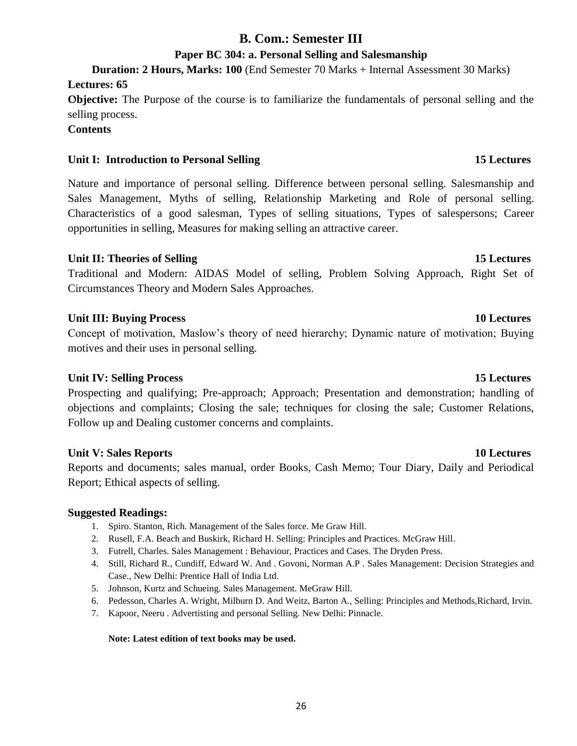### **Paper BC 304: a. Personal Selling and Salesmanship**

**Duration: 2 Hours, Marks: 100** (End Semester 70 Marks + Internal Assessment 30 Marks)

### **Lectures: 65**

**Objective:** The Purpose of the course is to familiarize the fundamentals of personal selling and the selling process.

### **Contents**

### **Unit I: Introduction to Personal Selling 15 Lectures**

Nature and importance of personal selling. Difference between personal selling. Salesmanship and Sales Management, Myths of selling, Relationship Marketing and Role of personal selling. Characteristics of a good salesman, Types of selling situations, Types of salespersons; Career opportunities in selling, Measures for making selling an attractive career.

### **Unit II: Theories of Selling 15 Lectures**

Traditional and Modern: AIDAS Model of selling, Problem Solving Approach, Right Set of Circumstances Theory and Modern Sales Approaches.

### **Unit III: Buying Process 10 Lectures**

Concept of motivation, Maslow's theory of need hierarchy; Dynamic nature of motivation; Buying motives and their uses in personal selling.

## **Unit IV: Selling Process 15 Lectures**

Prospecting and qualifying; Pre-approach; Approach; Presentation and demonstration; handling of objections and complaints; Closing the sale; techniques for closing the sale; Customer Relations, Follow up and Dealing customer concerns and complaints.

## **Unit V: Sales Reports 10 Lectures**

Reports and documents; sales manual, order Books, Cash Memo; Tour Diary, Daily and Periodical Report; Ethical aspects of selling.

### **Suggested Readings:**

- 1. Spiro. Stanton, Rich. Management of the Sales force. Me Graw Hill.
- 2. Rusell, F.A. Beach and Buskirk, Richard H. Selling: Principles and Practices. McGraw Hill.
- 3. Futrell, Charles. Sales Management : Behaviour, Practices and Cases. The Dryden Press.
- 4. Still, Richard R., Cundiff, Edward W. And . Govoni, Norman A.P . Sales Management: Decision Strategies and Case., New Delhi: Prentice Hall of India Ltd.
- 5. Johnson, Kurtz and Schueing. Sales Management. MeGraw Hill.
- 6. Pedesson, Charles A. Wright, Milburn D. And Weitz, Barton A., Selling: Principles and Methods,Richard, Irvin.
- 7. Kapoor, Neeru . Advertisting and personal Selling. New Delhi: Pinnacle.

#### **Note: Latest edition of text books may be used.**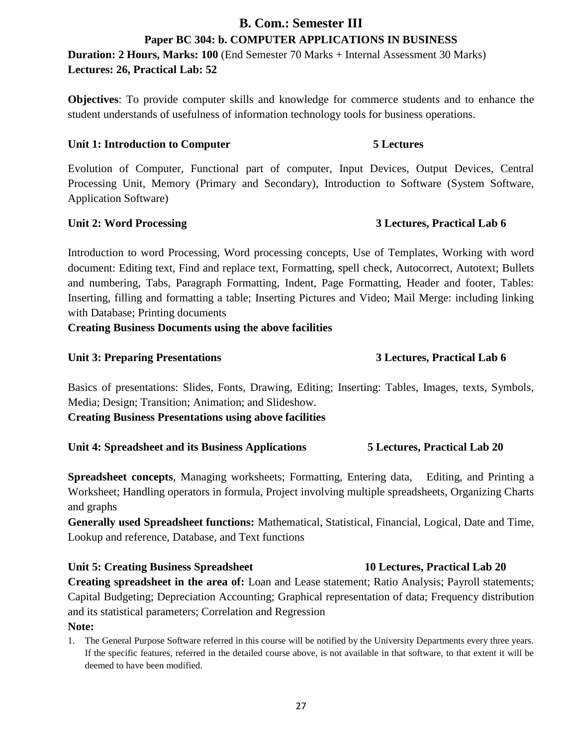**Paper BC 304: b. COMPUTER APPLICATIONS IN BUSINESS Duration: 2 Hours, Marks: 100** (End Semester 70 Marks + Internal Assessment 30 Marks)

**Lectures: 26, Practical Lab: 52**

**Objectives**: To provide computer skills and knowledge for commerce students and to enhance the student understands of usefulness of information technology tools for business operations.

### **Unit 1: Introduction to Computer 5 Lectures**

Evolution of Computer, Functional part of computer, Input Devices, Output Devices, Central Processing Unit, Memory (Primary and Secondary), Introduction to Software (System Software, Application Software)

### **Unit 2: Word Processing 3 Lectures, Practical Lab 6**

Introduction to word Processing, Word processing concepts, Use of Templates, Working with word document: Editing text, Find and replace text, Formatting, spell check, Autocorrect, Autotext; Bullets and numbering, Tabs, Paragraph Formatting, Indent, Page Formatting, Header and footer, Tables: Inserting, filling and formatting a table; Inserting Pictures and Video; Mail Merge: including linking with Database; Printing documents

**Creating Business Documents using the above facilities**

### **Unit 3: Preparing Presentations 3 Lectures, Practical Lab 6**

Basics of presentations: Slides, Fonts, Drawing, Editing; Inserting: Tables, Images, texts, Symbols, Media; Design; Transition; Animation; and Slideshow.

**Creating Business Presentations using above facilities**

**Unit 4: Spreadsheet and its Business Applications 5 Lectures, Practical Lab 20**

**Spreadsheet concepts**, Managing worksheets; Formatting, Entering data, Editing, and Printing a Worksheet; Handling operators in formula, Project involving multiple spreadsheets, Organizing Charts and graphs

**Generally used Spreadsheet functions:** Mathematical, Statistical, Financial, Logical, Date and Time, Lookup and reference, Database, and Text functions

## **Unit 5: Creating Business Spreadsheet 10 Lectures, Practical Lab 20**

**Creating spreadsheet in the area of:** Loan and Lease statement; Ratio Analysis; Payroll statements; Capital Budgeting; Depreciation Accounting; Graphical representation of data; Frequency distribution and its statistical parameters; Correlation and Regression

### **Note:**

1. The General Purpose Software referred in this course will be notified by the University Departments every three years. If the specific features, referred in the detailed course above, is not available in that software, to that extent it will be deemed to have been modified.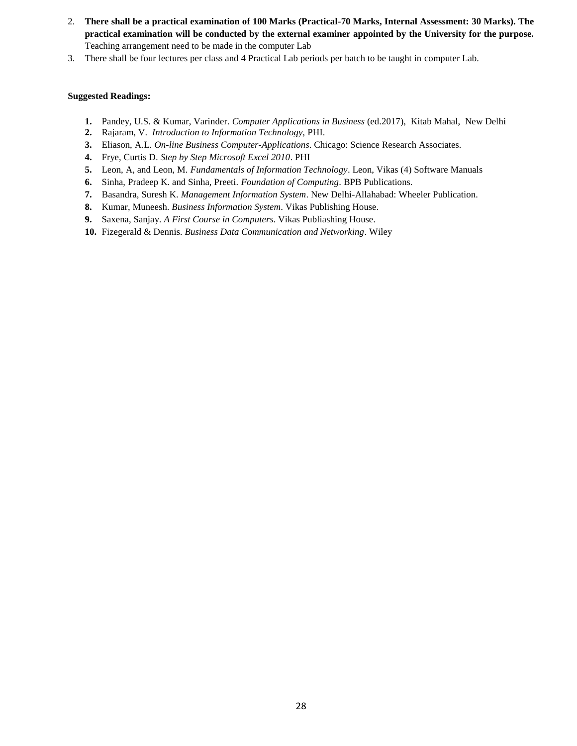- 2. **There shall be a practical examination of 100 Marks (Practical-70 Marks, Internal Assessment: 30 Marks). The practical examination will be conducted by the external examiner appointed by the University for the purpose.** Teaching arrangement need to be made in the computer Lab
- 3. There shall be four lectures per class and 4 Practical Lab periods per batch to be taught in computer Lab.

#### **Suggested Readings:**

- **1.** Pandey, U.S. & Kumar, Varinder. *Computer Applications in Business* (ed.2017), Kitab Mahal, New Delhi
- **2.** Rajaram, V. *Introduction to Information Technology,* PHI.
- **3.** Eliason, A.L. *On-line Business Computer-Applications*. Chicago: Science Research Associates.
- **4.** Frye, Curtis D. *Step by Step Microsoft Excel 2010*. PHI
- **5.** Leon, A, and Leon, M. *Fundamentals of Information Technology*. Leon, Vikas (4) Software Manuals
- **6.** Sinha, Pradeep K. and Sinha, Preeti. *Foundation of Computing*. BPB Publications.
- **7.** Basandra, Suresh K. *Management Information System*. New Delhi-Allahabad: Wheeler Publication.
- **8.** Kumar, Muneesh. *Business Information System*. Vikas Publishing House.
- **9.** Saxena, Sanjay. *A First Course in Computers*. Vikas Publiashing House.
- **10.** Fizegerald & Dennis. *Business Data Communication and Networking*. Wiley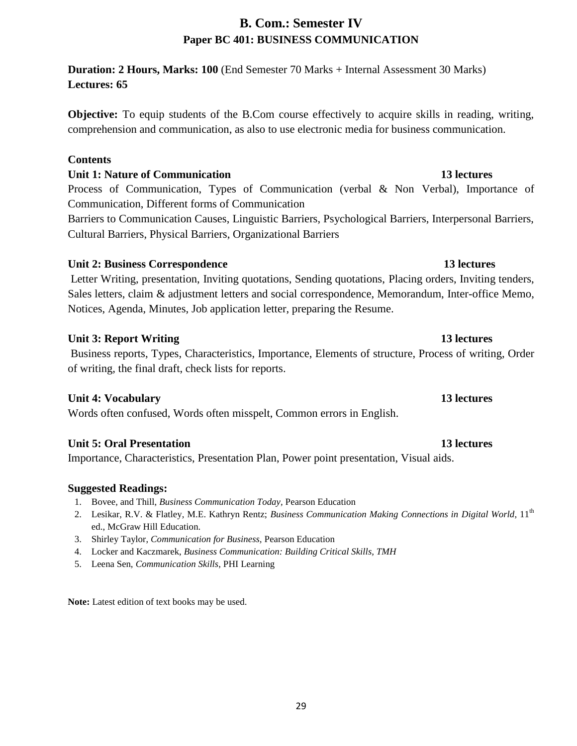# **B. Com.: Semester IV Paper BC 401: BUSINESS COMMUNICATION**

**Duration: 2 Hours, Marks: 100** (End Semester 70 Marks + Internal Assessment 30 Marks) **Lectures: 65**

**Objective:** To equip students of the B.Com course effectively to acquire skills in reading, writing, comprehension and communication, as also to use electronic media for business communication.

### **Contents**

### **Unit 1: Nature of Communication 13 lectures**

Process of Communication, Types of Communication (verbal & Non Verbal), Importance of Communication, Different forms of Communication

Barriers to Communication Causes, Linguistic Barriers, Psychological Barriers, Interpersonal Barriers, Cultural Barriers, Physical Barriers, Organizational Barriers

### **Unit 2: Business Correspondence 13 lectures**

Letter Writing, presentation, Inviting quotations, Sending quotations, Placing orders, Inviting tenders, Sales letters, claim & adjustment letters and social correspondence, Memorandum, Inter-office Memo, Notices, Agenda, Minutes, Job application letter, preparing the Resume.

### **Unit 3: Report Writing 13 lectures**

Business reports, Types, Characteristics, Importance, Elements of structure, Process of writing, Order of writing, the final draft, check lists for reports.

### **Unit 4: Vocabulary 13 lectures**

Words often confused, Words often misspelt, Common errors in English.

## **Unit 5: Oral Presentation 13 lectures**

Importance, Characteristics, Presentation Plan, Power point presentation, Visual aids.

### **Suggested Readings:**

- 1. Bovee, and Thill, *Business Communication Today,* Pearson Education
- 2. Lesikar, R.V. & Flatley, M.E. Kathryn Rentz; *Business Communication Making Connections in Digital World*, 11<sup>th</sup> ed., McGraw Hill Education.
- 3. Shirley Taylor, *Communication for Business,* Pearson Education
- 4. Locker and Kaczmarek, *Business Communication: Building Critical Skills, TMH*
- 5. Leena Sen, *Communication Skills*, PHI Learning

Note: Latest edition of text books may be used.

#### 29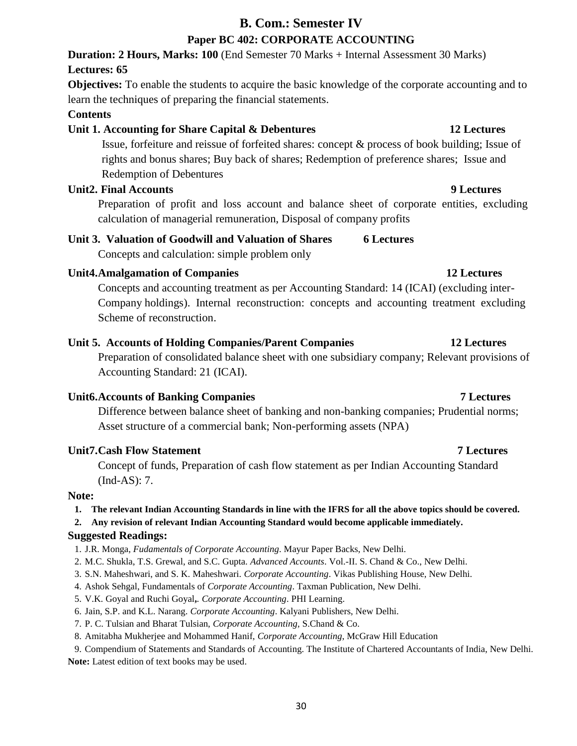### **B. Com.: Semester IV Paper BC 402: CORPORATE ACCOUNTING**

# **Duration: 2 Hours, Marks: 100** (End Semester 70 Marks + Internal Assessment 30 Marks)

### **Lectures: 65**

**Objectives:** To enable the students to acquire the basic knowledge of the corporate accounting and to learn the techniques of preparing the financial statements.

### **Contents**

### **Unit 1. Accounting for Share Capital & Debentures 12 Lectures**

 Issue, forfeiture and reissue of forfeited shares: concept & process of book building; Issue of rights and bonus shares; Buy back of shares; Redemption of preference shares; Issue and Redemption of Debentures

### **Unit2. Final Accounts 9 Lectures**

Preparation of profit and loss account and balance sheet of corporate entities, excluding calculation of managerial remuneration, Disposal of company profits

# **Unit 3. Valuation of Goodwill and Valuation of Shares 6 Lectures**

Concepts and calculation: simple problem only

## **Unit4.Amalgamation of Companies 12 Lectures**

Concepts and accounting treatment as per Accounting Standard: 14 (ICAI) (excluding inter-Company holdings). Internal reconstruction: concepts and accounting treatment excluding Scheme of reconstruction.

## **Unit 5. Accounts of Holding Companies/Parent Companies 12 Lectures**

Preparation of consolidated balance sheet with one subsidiary company; Relevant provisions of Accounting Standard: 21 (ICAI).

## **Unit6.Accounts of Banking Companies 7 Lectures**

Difference between balance sheet of banking and non-banking companies; Prudential norms; Asset structure of a commercial bank; Non-performing assets (NPA)

## **Unit7.Cash Flow Statement 7 Lectures**

Concept of funds, Preparation of cash flow statement as per Indian Accounting Standard (Ind-AS): 7.

#### **Note:**

### **1. The relevant Indian Accounting Standards in line with the IFRS for all the above topics should be covered.**

**2. Any revision of relevant Indian Accounting Standard would become applicable immediately.** 

### **Suggested Readings:**

- 1. J.R. Monga, *Fudamentals of Corporate Accounting*. Mayur Paper Backs, New Delhi.
- 2. M.C. Shukla, T.S. Grewal, and S.C. Gupta*. Advanced Accounts*. Vol.-II. S. Chand & Co., New Delhi.
- 3. S.N. Maheshwari, and S. K. Maheshwari. *Corporate Accounting*. Vikas Publishing House, New Delhi.
- 4. Ashok Sehgal, Fundamentals of *Corporate Accounting*. Taxman Publication, New Delhi.
- 5. V.K. Goyal and Ruchi Goyal**,***. Corporate Accounting*. PHI Learning.
- 6. Jain, S.P. and K.L. Narang. *Corporate Accounting*. Kalyani Publishers, New Delhi.
- 7. P. C. Tulsian and Bharat Tulsian, *Corporate Accounting,* S.Chand & Co.
- 8. Amitabha Mukherjee and Mohammed Hanif, *Corporate Accounting*, McGraw Hill Education

9. Compendium of Statements and Standards of Accounting. The Institute of Chartered Accountants of India, New Delhi. Note: Latest edition of text books may be used.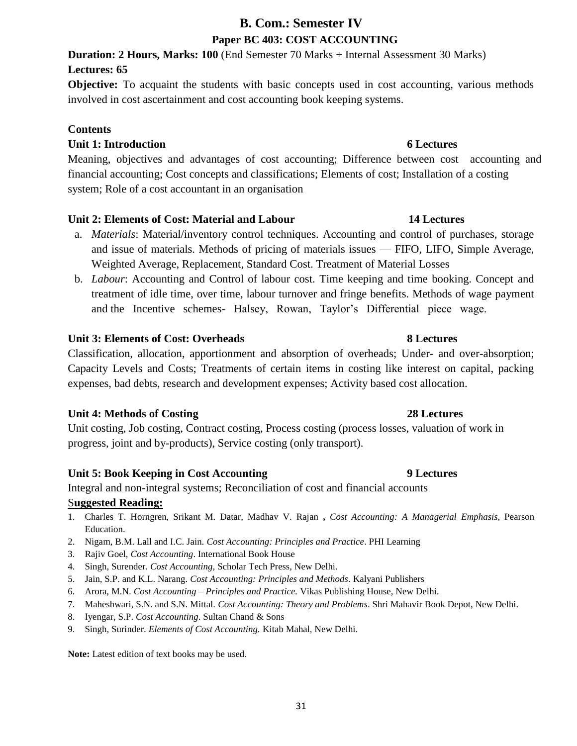# **Duration: 2 Hours, Marks: 100** (End Semester 70 Marks + Internal Assessment 30 Marks)

**Objective:** To acquaint the students with basic concepts used in cost accounting, various methods involved in cost ascertainment and cost accounting book keeping systems.

**B. Com.: Semester IV Paper BC 403: COST ACCOUNTING** 

#### **Contents**

**Lectures: 65**

#### **Unit 1: Introduction 6 Lectures**

Meaning, objectives and advantages of cost accounting; Difference between cost accounting and financial accounting; Cost concepts and classifications; Elements of cost; Installation of a costing system; Role of a cost accountant in an organisation

#### **Unit 2: Elements of Cost: Material and Labour 14 Lectures**

- a. *Materials*: Material/inventory control techniques. Accounting and control of purchases, storage and issue of materials. Methods of pricing of materials issues — FIFO, LIFO, Simple Average, Weighted Average, Replacement, Standard Cost. Treatment of Material Losses
- b. *Labour*: Accounting and Control of labour cost. Time keeping and time booking. Concept and treatment of idle time, over time, labour turnover and fringe benefits. Methods of wage payment and the Incentive schemes- Halsey, Rowan, Taylor's Differential piece wage.

#### **Unit 3: Elements of Cost: Overheads 8 Lectures**

Classification, allocation, apportionment and absorption of overheads; Under- and over-absorption; Capacity Levels and Costs; Treatments of certain items in costing like interest on capital, packing expenses, bad debts, research and development expenses; Activity based cost allocation.

#### **Unit 4: Methods of Costing 28 Lectures**

Unit costing, Job costing, Contract costing, Process costing (process losses, valuation of work in progress, joint and by-products), Service costing (only transport).

#### **Unit 5: Book Keeping in Cost Accounting 9 Lectures**

Integral and non-integral systems; Reconciliation of cost and financial accounts S**uggested Reading:**

- 1. Charles T. Horngren, Srikant M. Datar, Madhav V. Rajan **,** *Cost Accounting: A Managerial Emphasis*, Pearson Education.
- 2. Nigam, B.M. Lall and I.C. Jain. *Cost Accounting: Principles and Practice*. PHI Learning
- 3. Rajiv Goel, *Cost Accounting*. International Book House
- 4. Singh, Surender. *Cost Accounting,* Scholar Tech Press*,* New Delhi.
- 5. Jain, S.P. and K.L. Narang. *Cost Accounting: Principles and Methods*. Kalyani Publishers
- 6. Arora, M.N. *Cost Accounting – Principles and Practice.* Vikas Publishing House, New Delhi.
- 7. Maheshwari, S.N. and S.N. Mittal. *Cost Accounting: Theory and Problems*. Shri Mahavir Book Depot, New Delhi.
- 8. Iyengar, S.P. *Cost Accounting*. Sultan Chand & Sons
- 9. Singh, Surinder. *Elements of Cost Accounting.* Kitab Mahal, New Delhi.

Note: Latest edition of text books may be used.

#### 31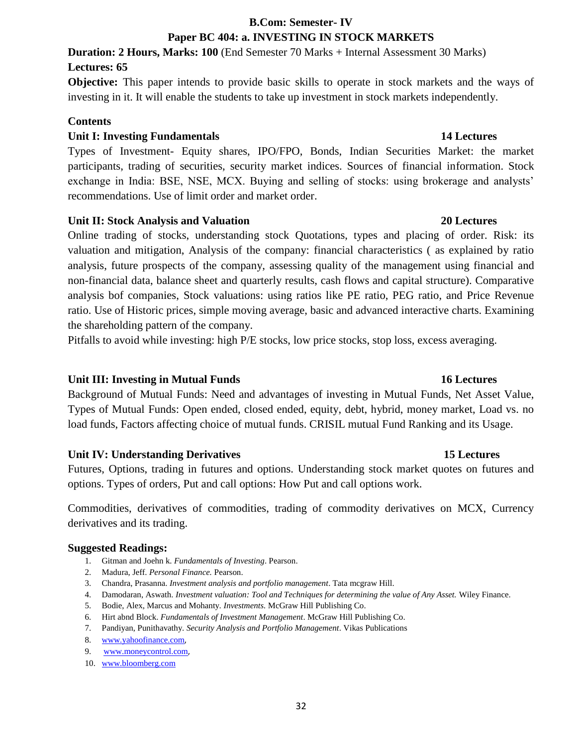#### **B.Com: Semester- IV**

### **Paper BC 404: a. INVESTING IN STOCK MARKETS**

**Duration: 2 Hours, Marks: 100** (End Semester 70 Marks + Internal Assessment 30 Marks) **Lectures: 65**

**Objective:** This paper intends to provide basic skills to operate in stock markets and the ways of investing in it. It will enable the students to take up investment in stock markets independently.

### **Contents**

#### **Unit I: Investing Fundamentals 14 Lectures**

Types of Investment- Equity shares, IPO/FPO, Bonds, Indian Securities Market: the market participants, trading of securities, security market indices. Sources of financial information. Stock exchange in India: BSE, NSE, MCX. Buying and selling of stocks: using brokerage and analysts' recommendations. Use of limit order and market order.

### **Unit II: Stock Analysis and Valuation 20 Lectures**

Online trading of stocks, understanding stock Quotations, types and placing of order. Risk: its valuation and mitigation, Analysis of the company: financial characteristics ( as explained by ratio analysis, future prospects of the company, assessing quality of the management using financial and non-financial data, balance sheet and quarterly results, cash flows and capital structure). Comparative analysis bof companies, Stock valuations: using ratios like PE ratio, PEG ratio, and Price Revenue ratio. Use of Historic prices, simple moving average, basic and advanced interactive charts. Examining the shareholding pattern of the company.

Pitfalls to avoid while investing: high P/E stocks, low price stocks, stop loss, excess averaging.

### **Unit III: Investing in Mutual Funds 16 Lectures**

Background of Mutual Funds: Need and advantages of investing in Mutual Funds, Net Asset Value, Types of Mutual Funds: Open ended, closed ended, equity, debt, hybrid, money market, Load vs. no load funds, Factors affecting choice of mutual funds. CRISIL mutual Fund Ranking and its Usage.

### **Unit IV: Understanding Derivatives 15 Lectures**

Futures, Options, trading in futures and options. Understanding stock market quotes on futures and options. Types of orders, Put and call options: How Put and call options work.

Commodities, derivatives of commodities, trading of commodity derivatives on MCX, Currency derivatives and its trading.

### **Suggested Readings:**

- 1. Gitman and Joehn k. *Fundamentals of Investing*. Pearson.
- 2. Madura, Jeff. *Personal Finance.* Pearson.
- 3. Chandra, Prasanna. *Investment analysis and portfolio management*. Tata mcgraw Hill.
- 4. Damodaran, Aswath. *Investment valuation: Tool and Techniques for determining the value of Any Asset.* Wiley Finance.
- 5. Bodie, Alex, Marcus and Mohanty. *Investments.* McGraw Hill Publishing Co.
- 6. Hirt abnd Block. *Fundamentals of Investment Management*. McGraw Hill Publishing Co.
- 7. Pandiyan, Punithavathy. *Security Analysis and Portfolio Management*. Vikas Publications
- 8. [www.yahoofinance.com](http://www.yahoofinance.com/),
- 9. [www.moneycontrol.com](http://www.moneycontrol.com/),
- 10. [www.bloomberg.com](http://www.bloomberg.com/)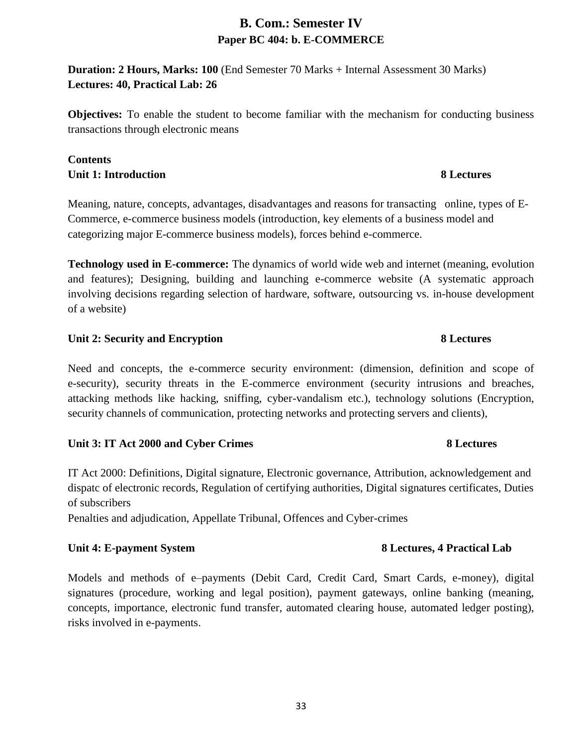# **B. Com.: Semester IV Paper BC 404: b. E-COMMERCE**

**Duration: 2 Hours, Marks: 100** (End Semester 70 Marks + Internal Assessment 30 Marks) **Lectures: 40, Practical Lab: 26**

**Objectives:** To enable the student to become familiar with the mechanism for conducting business transactions through electronic means

# **Contents Unit 1: Introduction 8 Lectures**

Meaning, nature, concepts, advantages, disadvantages and reasons for transacting online, types of E-Commerce, e-commerce business models (introduction, key elements of a business model and categorizing major E-commerce business models), forces behind e-commerce.

**Technology used in E-commerce:** The dynamics of world wide web and internet (meaning, evolution and features); Designing, building and launching e-commerce website (A systematic approach involving decisions regarding selection of hardware, software, outsourcing vs. in-house development of a website)

# **Unit 2: Security and Encryption 8 Lectures**

Need and concepts, the e-commerce security environment: (dimension, definition and scope of e-security), security threats in the E-commerce environment (security intrusions and breaches, attacking methods like hacking, sniffing, cyber-vandalism etc.), technology solutions (Encryption, security channels of communication, protecting networks and protecting servers and clients),

# **Unit 3: IT Act 2000 and Cyber Crimes 8 Lectures**

IT Act 2000: Definitions, Digital signature, Electronic governance, Attribution, acknowledgement and dispatc of electronic records, Regulation of certifying authorities, Digital signatures certificates, Duties of subscribers

Penalties and adjudication, Appellate Tribunal, Offences and Cyber-crimes

# **Unit 4: E-payment System 8 2 8 Lectures, 4 Practical Lab**

Models and methods of e–payments (Debit Card, Credit Card, Smart Cards, e-money), digital signatures (procedure, working and legal position), payment gateways, online banking (meaning, concepts, importance, electronic fund transfer, automated clearing house, automated ledger posting), risks involved in e-payments.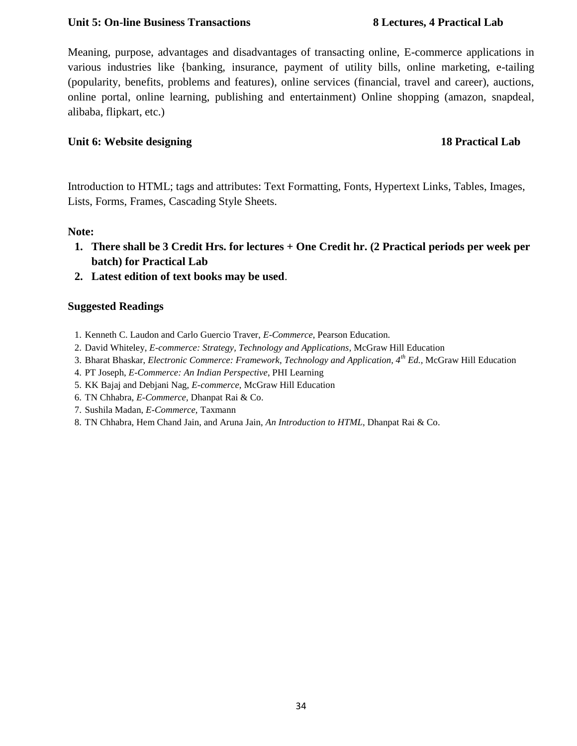#### **Unit 5: On-line Business Transactions 8 Lectures, 4 Practical Lab**

Meaning, purpose, advantages and disadvantages of transacting online, E-commerce applications in various industries like {banking, insurance, payment of utility bills, online marketing, e-tailing (popularity, benefits, problems and features), online services (financial, travel and career), auctions, online portal, online learning, publishing and entertainment) Online shopping (amazon, snapdeal, alibaba, flipkart, etc.)

#### **Unit 6: Website designing 18 Practical Lab**

Introduction to HTML; tags and attributes: Text Formatting, Fonts, Hypertext Links, Tables, Images, Lists, Forms, Frames, Cascading Style Sheets.

#### **Note:**

- **1. There shall be 3 Credit Hrs. for lectures + One Credit hr. (2 Practical periods per week per batch) for Practical Lab**
- **2. Latest edition of text books may be used**.

### **Suggested Readings**

- 1. Kenneth C. Laudon and Carlo Guercio Traver, *E-Commerce*, Pearson Education.
- 2. David Whiteley, *E-commerce: Strategy, Technology and Applications*, McGraw Hill Education
- 3. Bharat Bhaskar, *Electronic Commerce: Framework, Technology and Application, 4th Ed.,* McGraw Hill Education
- 4. PT Joseph, *E-Commerce: An Indian Perspective*, PHI Learning
- 5. KK Bajaj and Debjani Nag, *E-commerce,* McGraw Hill Education
- 6. TN Chhabra, *E-Commerce,* Dhanpat Rai & Co.
- 7. Sushila Madan, *E-Commerce,* Taxmann
- 8. TN Chhabra, Hem Chand Jain, and Aruna Jain, *An Introduction to HTML*, Dhanpat Rai & Co.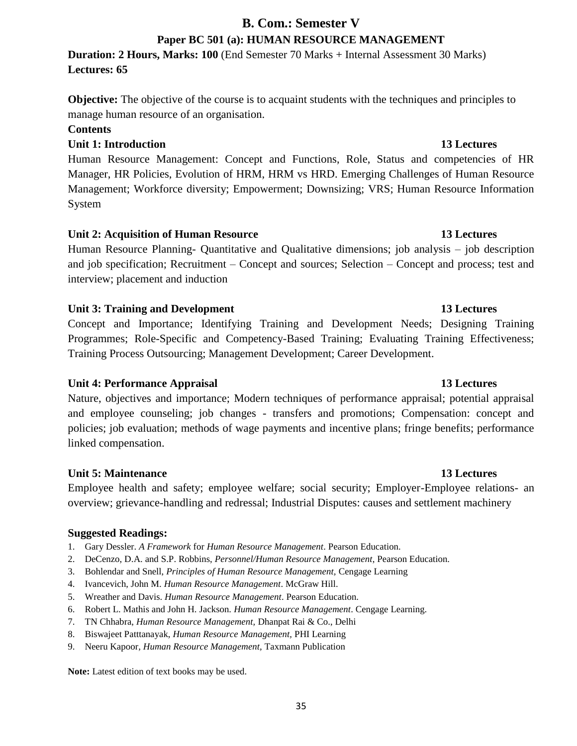### **Paper BC 501 (a): HUMAN RESOURCE MANAGEMENT**

**Duration: 2 Hours, Marks: 100** (End Semester 70 Marks + Internal Assessment 30 Marks) **Lectures: 65**

**Objective:** The objective of the course is to acquaint students with the techniques and principles to manage human resource of an organisation.

#### **Contents**

### **Unit 1: Introduction 13 Lectures**

Human Resource Management: Concept and Functions, Role, Status and competencies of HR Manager, HR Policies, Evolution of HRM, HRM vs HRD. Emerging Challenges of Human Resource Management; Workforce diversity; Empowerment; Downsizing; VRS; Human Resource Information System

### **Unit 2: Acquisition of Human Resource 13 Lectures**

Human Resource Planning- Quantitative and Qualitative dimensions; job analysis – job description and job specification; Recruitment – Concept and sources; Selection – Concept and process; test and interview; placement and induction

#### **Unit 3: Training and Development 13 Lectures**

Concept and Importance; Identifying Training and Development Needs; Designing Training Programmes; Role-Specific and Competency-Based Training; Evaluating Training Effectiveness; Training Process Outsourcing; Management Development; Career Development.

### **Unit 4: Performance Appraisal 13 Lectures**

Nature, objectives and importance; Modern techniques of performance appraisal; potential appraisal and employee counseling; job changes - transfers and promotions; Compensation: concept and policies; job evaluation; methods of wage payments and incentive plans; fringe benefits; performance linked compensation.

### **Unit 5: Maintenance 13 Lectures**

Employee health and safety; employee welfare; social security; Employer-Employee relations- an overview; grievance-handling and redressal; Industrial Disputes: causes and settlement machinery

#### **Suggested Readings:**

- 1. Gary Dessler. *A Framework* for *Human Resource Management*. Pearson Education.
- 2. DeCenzo, D.A. and S.P. Robbins, *Personnel/Human Resource Management*, Pearson Education.
- 3. Bohlendar and Snell, *Principles of Human Resource Management,* Cengage Learning
- 4. Ivancevich, John M. *Human Resource Management*. McGraw Hill.
- 5. Wreather and Davis. *Human Resource Management*. Pearson Education.
- 6. Robert L. Mathis and John H. Jackson. *Human Resource Management*. Cengage Learning.
- 7. TN Chhabra, *Human Resource Management,* Dhanpat Rai & Co., Delhi
- 8. Biswajeet Patttanayak, *Human Resource Management,* PHI Learning
- 9. Neeru Kapoor*, Human Resource Management,* Taxmann Publication

Note: Latest edition of text books may be used.

#### 35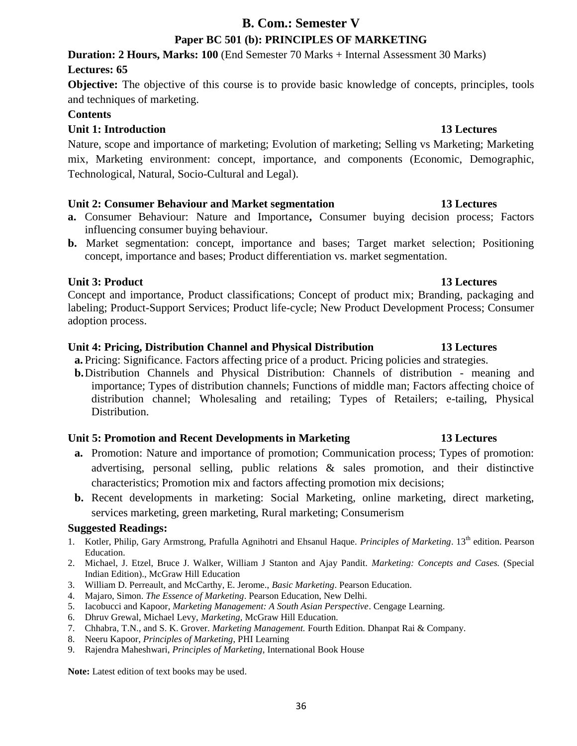### **Paper BC 501 (b): PRINCIPLES OF MARKETING**

**Duration: 2 Hours, Marks: 100** (End Semester 70 Marks + Internal Assessment 30 Marks)

### **Lectures: 65**

**Objective:** The objective of this course is to provide basic knowledge of concepts, principles, tools and techniques of marketing.

### **Contents**

### **Unit 1: Introduction 13 Lectures**

Nature, scope and importance of marketing; Evolution of marketing; Selling vs Marketing; Marketing mix, Marketing environment: concept, importance, and components (Economic, Demographic, Technological, Natural, Socio-Cultural and Legal).

### **Unit 2: Consumer Behaviour and Market segmentation 13 Lectures**

- **a.** Consumer Behaviour: Nature and Importance**,** Consumer buying decision process; Factors influencing consumer buying behaviour.
- **b.** Market segmentation: concept, importance and bases; Target market selection; Positioning concept, importance and bases; Product differentiation vs. market segmentation.

### **Unit 3: Product 13 Lectures**

Concept and importance, Product classifications; Concept of product mix; Branding, packaging and labeling; Product-Support Services; Product life-cycle; New Product Development Process; Consumer adoption process.

### **Unit 4: Pricing, Distribution Channel and Physical Distribution 13 Lectures**

**a.** Pricing: Significance. Factors affecting price of a product. Pricing policies and strategies.

**b.**Distribution Channels and Physical Distribution: Channels of distribution - meaning and importance; Types of distribution channels; Functions of middle man; Factors affecting choice of distribution channel; Wholesaling and retailing; Types of Retailers; e-tailing, Physical Distribution.

### **Unit 5: Promotion and Recent Developments in Marketing 13 Lectures**

- **a.** Promotion: Nature and importance of promotion; Communication process; Types of promotion: advertising, personal selling, public relations & sales promotion, and their distinctive characteristics; Promotion mix and factors affecting promotion mix decisions;
- **b.** Recent developments in marketing: Social Marketing, online marketing, direct marketing, services marketing, green marketing, Rural marketing; Consumerism

### **Suggested Readings:**

- 1. Kotler, Philip, Gary Armstrong, Prafulla Agnihotri and Ehsanul Haque. *Principles of Marketing*. 13<sup>th</sup> edition. Pearson Education.
- 2. Michael, J. Etzel, Bruce J. Walker, William J Stanton and Ajay Pandit. *Marketing: Concepts and Cases.* (Special Indian Edition)., McGraw Hill Education
- 3. William D. Perreault, and McCarthy, E. Jerome., *Basic Marketing*. Pearson Education.
- 4. Majaro, Simon. *The Essence of Marketing*. Pearson Education, New Delhi.
- 5. Iacobucci and Kapoor, *Marketing Management: A South Asian Perspective*. Cengage Learning.
- 6. Dhruv Grewal, Michael Levy, *Marketing,* McGraw Hill Education.
- 7. Chhabra, T.N., and S. K. Grover. *Marketing Management.* Fourth Edition. Dhanpat Rai & Company.
- 8. Neeru Kapoor, *Principles of Marketing*, PHI Learning
- 9. Rajendra Maheshwari, *Principles of Marketing*, International Book House

Note: Latest edition of text books may be used.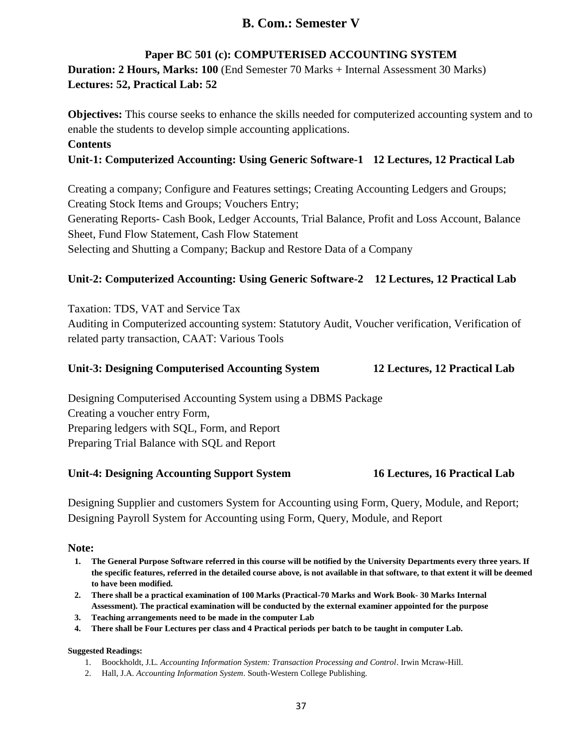### **Paper BC 501 (c): COMPUTERISED ACCOUNTING SYSTEM**

**Duration: 2 Hours, Marks: 100** (End Semester 70 Marks + Internal Assessment 30 Marks) **Lectures: 52, Practical Lab: 52**

**Objectives:** This course seeks to enhance the skills needed for computerized accounting system and to enable the students to develop simple accounting applications.

#### **Contents**

### **Unit-1: Computerized Accounting: Using Generic Software-1 12 Lectures, 12 Practical Lab**

Creating a company; Configure and Features settings; Creating Accounting Ledgers and Groups; Creating Stock Items and Groups; Vouchers Entry; Generating Reports- Cash Book, Ledger Accounts, Trial Balance, Profit and Loss Account, Balance Sheet, Fund Flow Statement, Cash Flow Statement Selecting and Shutting a Company; Backup and Restore Data of a Company

### **Unit-2: Computerized Accounting: Using Generic Software-2 12 Lectures, 12 Practical Lab**

Taxation: TDS, VAT and Service Tax Auditing in Computerized accounting system: Statutory Audit, Voucher verification, Verification of related party transaction, CAAT: Various Tools

#### **Unit-3: Designing Computerised Accounting System 12 Lectures, 12 Practical Lab**

Designing Computerised Accounting System using a DBMS Package Creating a voucher entry Form, Preparing ledgers with SQL, Form, and Report Preparing Trial Balance with SQL and Report

### **Unit-4: Designing Accounting Support System 16 Lectures, 16 Practical Lab**

Designing Supplier and customers System for Accounting using Form, Query, Module, and Report; Designing Payroll System for Accounting using Form, Query, Module, and Report

#### **Note:**

- **1. The General Purpose Software referred in this course will be notified by the University Departments every three years. If the specific features, referred in the detailed course above, is not available in that software, to that extent it will be deemed to have been modified.**
- **2. There shall be a practical examination of 100 Marks (Practical-70 Marks and Work Book- 30 Marks Internal Assessment). The practical examination will be conducted by the external examiner appointed for the purpose**
- **3. Teaching arrangements need to be made in the computer Lab**
- **4. There shall be Four Lectures per class and 4 Practical periods per batch to be taught in computer Lab.**

#### **Suggested Readings:**

- 1. Boockholdt, J.L. Accounting Information System: Transaction Processing and Control. Irwin Mcraw-Hill.
- 2. Hall, J.A. *Accounting Information System*. South-Western College Publishing.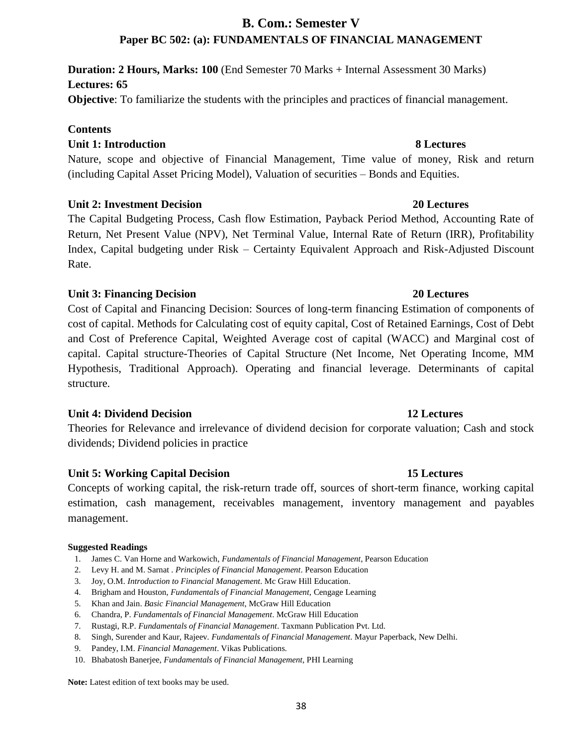# **B. Com.: Semester V Paper BC 502: (a): FUNDAMENTALS OF FINANCIAL MANAGEMENT**

**Duration: 2 Hours, Marks: 100** (End Semester 70 Marks + Internal Assessment 30 Marks) **Lectures: 65 Objective**: To familiarize the students with the principles and practices of financial management.

#### **Contents**

### **Unit 1: Introduction 8 Lectures**

Nature, scope and objective of Financial Management, Time value of money, Risk and return (including Capital Asset Pricing Model), Valuation of securities – Bonds and Equities.

### **Unit 2: Investment Decision 20 Lectures**

The Capital Budgeting Process, Cash flow Estimation, Payback Period Method, Accounting Rate of Return, Net Present Value (NPV), Net Terminal Value, Internal Rate of Return (IRR), Profitability Index, Capital budgeting under Risk – Certainty Equivalent Approach and Risk-Adjusted Discount Rate.

### **Unit 3: Financing Decision 20 Lectures**

Cost of Capital and Financing Decision: Sources of long-term financing Estimation of components of cost of capital. Methods for Calculating cost of equity capital, Cost of Retained Earnings, Cost of Debt and Cost of Preference Capital, Weighted Average cost of capital (WACC) and Marginal cost of capital. Capital structure-Theories of Capital Structure (Net Income, Net Operating Income, MM Hypothesis, Traditional Approach). Operating and financial leverage. Determinants of capital structure.

### **Unit 4: Dividend Decision 12 Lectures**

Theories for Relevance and irrelevance of dividend decision for corporate valuation; Cash and stock dividends; Dividend policies in practice

### **Unit 5: Working Capital Decision 15 Lectures**

Concepts of working capital, the risk-return trade off, sources of short-term finance, working capital estimation, cash management, receivables management, inventory management and payables management.

#### **Suggested Readings**

- 1. James C. Van Horne and Warkowich, *Fundamentals of Financial Management*, Pearson Education
- 2. Levy H. and M. Sarnat *. Principles of Financial Management*. Pearson Education
- 3. Joy, O.M. *Introduction to Financial Management*. Mc Graw Hill Education.
- 4. Brigham and Houston, *Fundamentals of Financial Management,* Cengage Learning
- 5. Khan and Jain. *Basic Financial Management*, McGraw Hill Education
- 6. Chandra, P. *Fundamentals of Financial Management*. McGraw Hill Education
- 7. Rustagi, R.P. *Fundamentals of Financial Management*. Taxmann Publication Pvt. Ltd.
- 8. Singh, Surender and Kaur, Rajeev. *Fundamentals of Financial Management*. Mayur Paperback, New Delhi.
- 9. Pandey, I.M. *Financial Management*. Vikas Publications.
- 10. Bhabatosh Banerjee, *Fundamentals of Financial Management,* PHI Learning

**Note:** Latest edition of text books may be used.

#### 38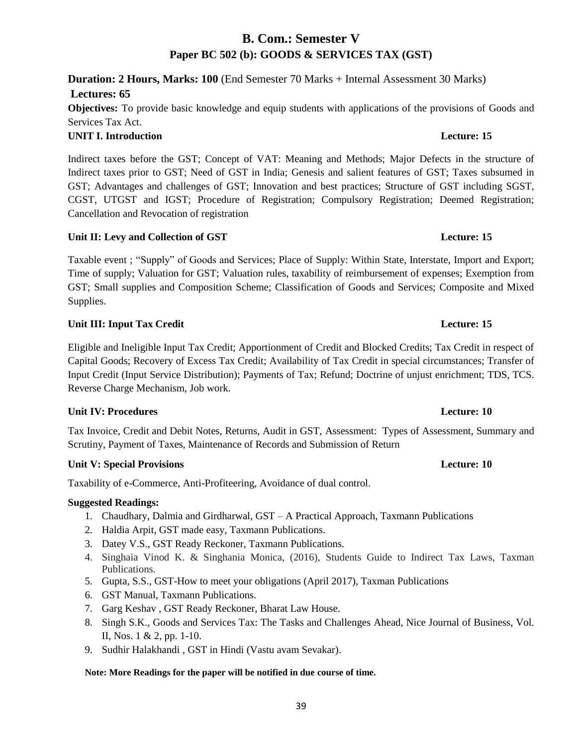# **B. Com.: Semester V Paper BC 502 (b): GOODS & SERVICES TAX (GST)**

# **Duration: 2 Hours, Marks: 100** (End Semester 70 Marks + Internal Assessment 30 Marks)

### **Lectures: 65**

**Objectives:** To provide basic knowledge and equip students with applications of the provisions of Goods and Services Tax Act.

### **UNIT I. Introduction Lecture: 15**

Indirect taxes before the GST; Concept of VAT: Meaning and Methods; Major Defects in the structure of Indirect taxes prior to GST; Need of GST in India; Genesis and salient features of GST; Taxes subsumed in GST; Advantages and challenges of GST; Innovation and best practices; Structure of GST including SGST, CGST, UTGST and IGST; Procedure of Registration; Compulsory Registration; Deemed Registration; Cancellation and Revocation of registration

### **Unit II: Levy and Collection of GST Lecture: 15**

Taxable event; "Supply" of Goods and Services; Place of Supply: Within State, Interstate, Import and Export; Time of supply; Valuation for GST; Valuation rules, taxability of reimbursement of expenses; Exemption from GST; Small supplies and Composition Scheme; Classification of Goods and Services; Composite and Mixed Supplies.

## **Unit III: Input Tax Credit Lecture: 15**

Eligible and Ineligible Input Tax Credit; Apportionment of Credit and Blocked Credits; Tax Credit in respect of Capital Goods; Recovery of Excess Tax Credit; Availability of Tax Credit in special circumstances; Transfer of Input Credit (Input Service Distribution); Payments of Tax; Refund; Doctrine of unjust enrichment; TDS, TCS. Reverse Charge Mechanism, Job work.

### **Unit IV: Procedures Lecture: 10**

Tax Invoice, Credit and Debit Notes, Returns, Audit in GST, Assessment: Types of Assessment, Summary and Scrutiny, Payment of Taxes, Maintenance of Records and Submission of Return

## **Unit V: Special Provisions Lecture: 10**

Taxability of e-Commerce, Anti-Profiteering, Avoidance of dual control.

### **Suggested Readings:**

- 1. Chaudhary, Dalmia and Girdharwal, GST A Practical Approach, Taxmann Publications
- 2. Haldia Arpit, GST made easy, Taxmann Publications.
- 3. Datey V.S., GST Ready Reckoner, Taxmann Publications.
- 4. Singhaia Vinod K. & Singhania Monica, (2016), Students Guide to Indirect Tax Laws, Taxman Publications.
- 5. Gupta, S.S., GST-How to meet your obligations (April 2017), Taxman Publications
- 6. GST Manual, Taxmann Publications.
- 7. Garg Keshav , GST Ready Reckoner, Bharat Law House.
- 8. Singh S.K., Goods and Services Tax: The Tasks and Challenges Ahead, Nice Journal of Business, Vol. II, Nos. 1 & 2, pp. 1-10.
- 9. Sudhir Halakhandi , GST in Hindi (Vastu avam Sevakar).

### **Note: More Readings for the paper will be notified in due course of time.**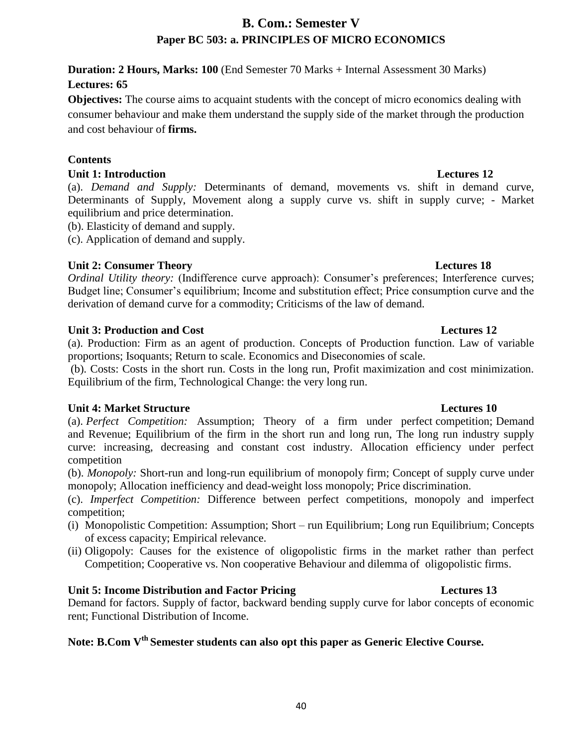# **B. Com.: Semester V Paper BC 503: a. PRINCIPLES OF MICRO ECONOMICS**

**Duration: 2 Hours, Marks: 100** (End Semester 70 Marks + Internal Assessment 30 Marks) **Lectures: 65**

**Objectives:** The course aims to acquaint students with the concept of micro economics dealing with consumer behaviour and make them understand the supply side of the market through the production and cost behaviour of **firms.**

# **Contents**

# **Unit 1: Introduction Lectures 12**

(a). *Demand and Supply:* Determinants of demand, movements vs. shift in demand curve, Determinants of Supply, Movement along a supply curve vs. shift in supply curve; - Market equilibrium and price determination.

- (b). Elasticity of demand and supply.
- (c). Application of demand and supply.

# **Unit 2: Consumer Theory Lectures 18**

*Ordinal Utility theory:* (Indifference curve approach): Consumer's preferences; Interference curves; Budget line; Consumer's equilibrium; Income and substitution effect; Price consumption curve and the derivation of demand curve for a commodity; Criticisms of the law of demand.

## **Unit 3: Production and Cost Lectures 12**

(a). Production: Firm as an agent of production. Concepts of Production function. Law of variable proportions; Isoquants; Return to scale. Economics and Diseconomies of scale.

(b). Costs: Costs in the short run. Costs in the long run, Profit maximization and cost minimization. Equilibrium of the firm, Technological Change: the very long run.

# **Unit 4: Market Structure Lectures 10**

(a). *Perfect Competition:* Assumption; Theory of a firm under perfect competition; Demand and Revenue; Equilibrium of the firm in the short run and long run, The long run industry supply curve: increasing, decreasing and constant cost industry. Allocation efficiency under perfect competition

(b). *Monopoly:* Short-run and long-run equilibrium of monopoly firm; Concept of supply curve under monopoly; Allocation inefficiency and dead-weight loss monopoly; Price discrimination.

(c). *Imperfect Competition:* Difference between perfect competitions, monopoly and imperfect competition;

- (i) Monopolistic Competition: Assumption; Short run Equilibrium; Long run Equilibrium; Concepts of excess capacity; Empirical relevance.
- (ii) Oligopoly: Causes for the existence of oligopolistic firms in the market rather than perfect Competition; Cooperative vs. Non cooperative Behaviour and dilemma of oligopolistic firms.

# **Unit 5: Income Distribution and Factor Pricing Lectures 13**

Demand for factors. Supply of factor, backward bending supply curve for labor concepts of economic rent; Functional Distribution of Income.

# **Note: B.Com Vth Semester students can also opt this paper as Generic Elective Course.**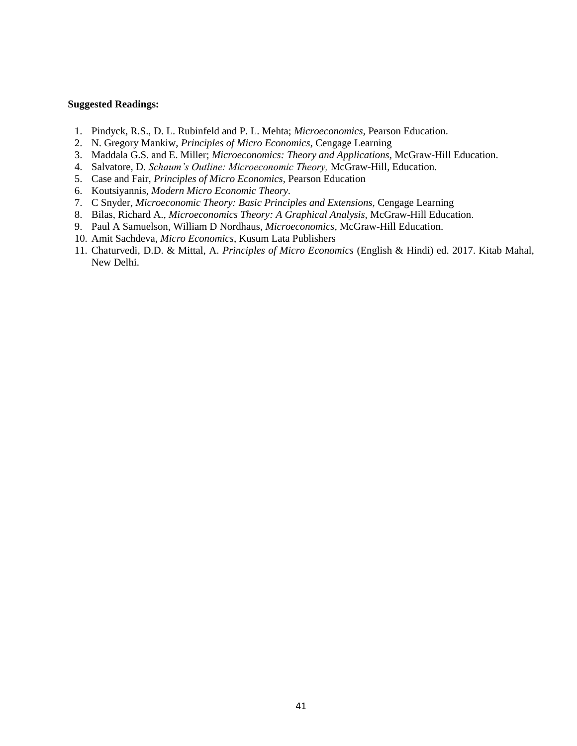#### **Suggested Readings:**

- 1. Pindyck, R.S., D. L. Rubinfeld and P. L. Mehta; *Microeconomics*, Pearson Education.
- 2. N. Gregory Mankiw, *Principles of Micro Economics*, Cengage Learning
- 3. Maddala G.S. and E. Miller; *Microeconomics: Theory and Applications,* McGraw-Hill Education.
- 4. Salvatore, D. *Schaum's Outline: Microeconomic Theory,* McGraw-Hill, Education.
- 5. Case and Fair, *Principles of Micro Economics,* Pearson Education
- 6. Koutsiyannis, *Modern Micro Economic Theory.*
- 7. C Snyder*, Microeconomic Theory: Basic Principles and Extensions,* Cengage Learning
- 8. Bilas, Richard A., *Microeconomics Theory: A Graphical Analysis,* McGraw-Hill Education.
- 9. Paul A Samuelson, William D Nordhaus, *Microeconomics*, McGraw-Hill Education.
- 10. Amit Sachdeva, *Micro Economics*, Kusum Lata Publishers
- 11. Chaturvedi, D.D. & Mittal, A. *Principles of Micro Economics* (English & Hindi) ed. 2017. Kitab Mahal, New Delhi.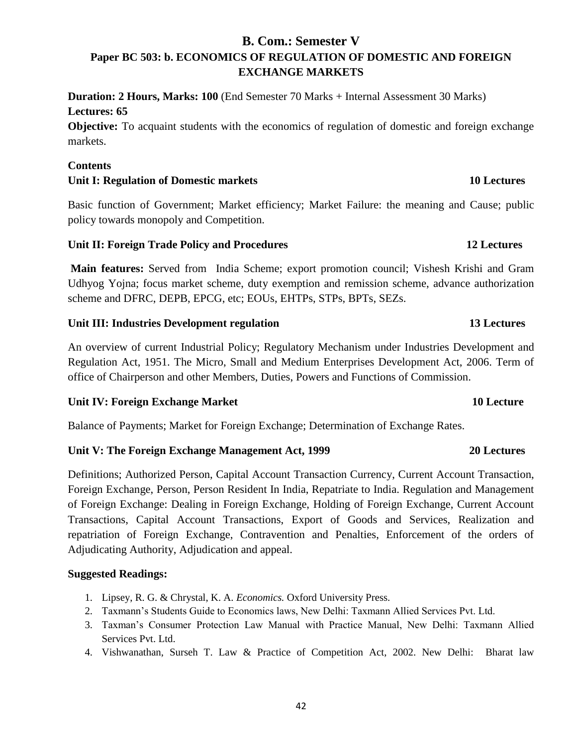# **B. Com.: Semester V Paper BC 503: b. ECONOMICS OF REGULATION OF DOMESTIC AND FOREIGN EXCHANGE MARKETS**

**Duration: 2 Hours, Marks: 100** (End Semester 70 Marks + Internal Assessment 30 Marks) **Lectures: 65**

**Objective:** To acquaint students with the economics of regulation of domestic and foreign exchange markets.

### **Contents**

# **Unit I:** Regulation of Domestic markets 10 Lectures

Basic function of Government; Market efficiency; Market Failure: the meaning and Cause; public policy towards monopoly and Competition.

### **Unit II: Foreign Trade Policy and Procedures 12 Lectures**

**Main features:** Served from India Scheme; export promotion council; Vishesh Krishi and Gram Udhyog Yojna; focus market scheme, duty exemption and remission scheme, advance authorization scheme and DFRC, DEPB, EPCG, etc; EOUs, EHTPs, STPs, BPTs, SEZs.

## **Unit III: Industries Development regulation 13 Lectures**

An overview of current Industrial Policy; Regulatory Mechanism under Industries Development and Regulation Act, 1951. The Micro, Small and Medium Enterprises Development Act, 2006. Term of office of Chairperson and other Members, Duties, Powers and Functions of Commission.

## **Unit IV: Foreign Exchange Market 10 Lecture** 10 Lecture

Balance of Payments; Market for Foreign Exchange; Determination of Exchange Rates.

## **Unit V: The Foreign Exchange Management Act, 1999 20 Lectures**

Definitions; Authorized Person, Capital Account Transaction Currency, Current Account Transaction, Foreign Exchange, Person, Person Resident In India, Repatriate to India. Regulation and Management of Foreign Exchange: Dealing in Foreign Exchange, Holding of Foreign Exchange, Current Account Transactions, Capital Account Transactions, Export of Goods and Services, Realization and repatriation of Foreign Exchange, Contravention and Penalties, Enforcement of the orders of Adjudicating Authority, Adjudication and appeal.

### **Suggested Readings:**

- 1. Lipsey, R. G. & Chrystal, K. A. *Economics.* Oxford University Press.
- 2. Taxmann's Students Guide to Economics laws, New Delhi: Taxmann Allied Services Pvt. Ltd.
- 3. Taxman's Consumer Protection Law Manual with Practice Manual, New Delhi: Taxmann Allied Services Pvt. Ltd.
- 4. Vishwanathan, Surseh T. Law & Practice of Competition Act, 2002. New Delhi: Bharat law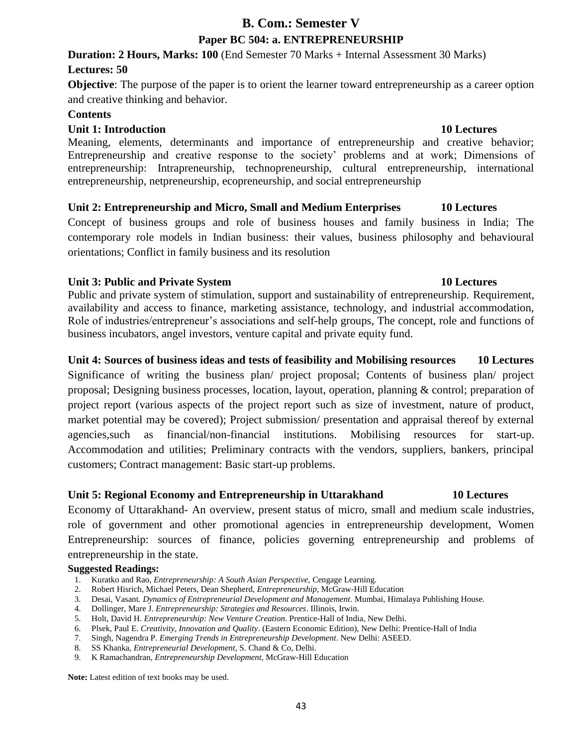#### **Paper BC 504: a. ENTREPRENEURSHIP**

**Duration: 2 Hours, Marks: 100** (End Semester 70 Marks + Internal Assessment 30 Marks)

#### **Lectures: 50**

**Objective**: The purpose of the paper is to orient the learner toward entrepreneurship as a career option and creative thinking and behavior.

#### **Contents**

#### **Unit 1: Introduction 10 Lectures**

Meaning, elements, determinants and importance of entrepreneurship and creative behavior; Entrepreneurship and creative response to the society' problems and at work; Dimensions of entrepreneurship: Intrapreneurship, technopreneurship, cultural entrepreneurship, international entrepreneurship, netpreneurship, ecopreneurship, and social entrepreneurship

### **Unit 2: Entrepreneurship and Micro, Small and Medium Enterprises 10 Lectures**

Concept of business groups and role of business houses and family business in India; The contemporary role models in Indian business: their values, business philosophy and behavioural orientations; Conflict in family business and its resolution

#### **Unit 3: Public and Private System 10 Lectures**

Public and private system of stimulation, support and sustainability of entrepreneurship. Requirement, availability and access to finance, marketing assistance, technology, and industrial accommodation, Role of industries/entrepreneur's associations and self-help groups, The concept, role and functions of business incubators, angel investors, venture capital and private equity fund.

#### **Unit 4: Sources of business ideas and tests of feasibility and Mobilising resources 10 Lectures**

Significance of writing the business plan/ project proposal; Contents of business plan/ project proposal; Designing business processes, location, layout, operation, planning & control; preparation of project report (various aspects of the project report such as size of investment, nature of product, market potential may be covered); Project submission/ presentation and appraisal thereof by external agencies,such as financial/non-financial institutions. Mobilising resources for start-up. Accommodation and utilities; Preliminary contracts with the vendors, suppliers, bankers, principal customers; Contract management: Basic start-up problems.

### **Unit 5: Regional Economy and Entrepreneurship in Uttarakhand 10 Lectures**

Economy of Uttarakhand- An overview, present status of micro, small and medium scale industries, role of government and other promotional agencies in entrepreneurship development, Women Entrepreneurship: sources of finance, policies governing entrepreneurship and problems of entrepreneurship in the state.

#### **Suggested Readings:**

- 1. Kuratko and Rao, *Entrepreneurship: A South Asian Perspective,* Cengage Learning.
- 2. Robert Hisrich, Michael Peters, Dean Shepherd, *Entrepreneurship,* McGraw-Hill Education
- 3. Desai, Vasant*. Dynamics of Entrepreneurial Development and Management*. Mumbai, Himalaya Publishing House.
- 4. Dollinger, Mare J. *Entrepreneurship: Strategies and Resources*. Illinois, Irwin.
- 5. Holt, David H. *Entrepreneurship: New Venture Creation*. Prentice-Hall of India, New Delhi.
- 6. Plsek, Paul E. *Creativity, Innovation and Quality*. (Eastern Economic Edition), New Delhi: Prentice-Hall of India
- 7. Singh, Nagendra P. *Emerging Trends in Entrepreneurship Development*. New Delhi: ASEED.
- 8. SS Khanka, *Entrepreneurial Development,* S. Chand & Co, Delhi.
- 9. K Ramachandran, *Entrepreneurship Development,* McGraw-Hill Education

**Note:** Latest edition of text books may be used.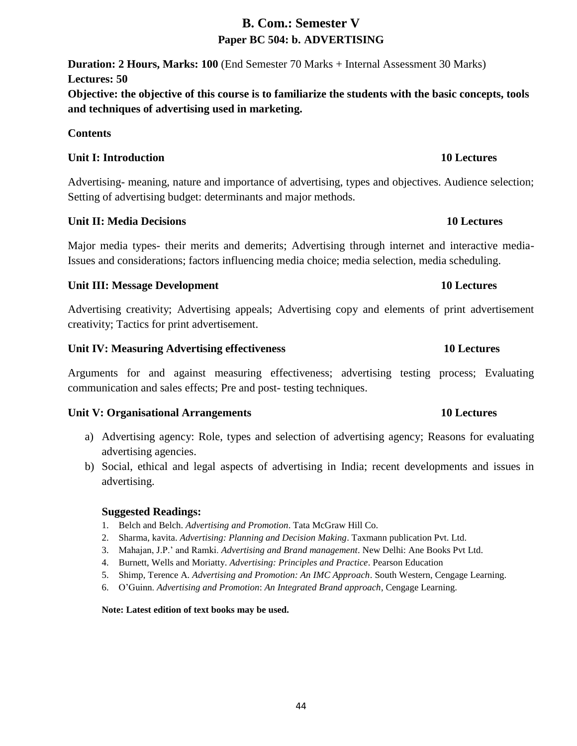# **B. Com.: Semester V Paper BC 504: b. ADVERTISING**

**Duration: 2 Hours, Marks: 100** (End Semester 70 Marks + Internal Assessment 30 Marks) **Lectures: 50 Objective: the objective of this course is to familiarize the students with the basic concepts, tools and techniques of advertising used in marketing.**

## **Contents**

# **Unit I: Introduction 10 Lectures**

Advertising- meaning, nature and importance of advertising, types and objectives. Audience selection; Setting of advertising budget: determinants and major methods.

# **Unit II: Media Decisions 10 Lectures**

Major media types- their merits and demerits; Advertising through internet and interactive media-Issues and considerations; factors influencing media choice; media selection, media scheduling.

# **Unit III: Message Development 10 Lectures**

Advertising creativity; Advertising appeals; Advertising copy and elements of print advertisement creativity; Tactics for print advertisement.

### **Unit IV: Measuring Advertising effectiveness 10 Lectures**

Arguments for and against measuring effectiveness; advertising testing process; Evaluating communication and sales effects; Pre and post- testing techniques.

## **Unit V: Organisational Arrangements 10 Lectures**

- a) Advertising agency: Role, types and selection of advertising agency; Reasons for evaluating advertising agencies.
- b) Social, ethical and legal aspects of advertising in India; recent developments and issues in advertising.

## **Suggested Readings:**

- 1. Belch and Belch. *Advertising and Promotion*. Tata McGraw Hill Co.
- 2. Sharma, kavita. *Advertising: Planning and Decision Making*. Taxmann publication Pvt. Ltd.
- 3. Mahajan, J.P.' and Ramki. *Advertising and Brand management*. New Delhi: Ane Books Pvt Ltd.
- 4. Burnett, Wells and Moriatty. *Advertising: Principles and Practice*. Pearson Education
- 5. Shimp, Terence A. *Advertising and Promotion: An IMC Approach*. South Western, Cengage Learning.
- 6. O'Guinn. *Advertising and Promotion*: *An Integrated Brand approach*, Cengage Learning.

### **Note: Latest edition of text books may be used.**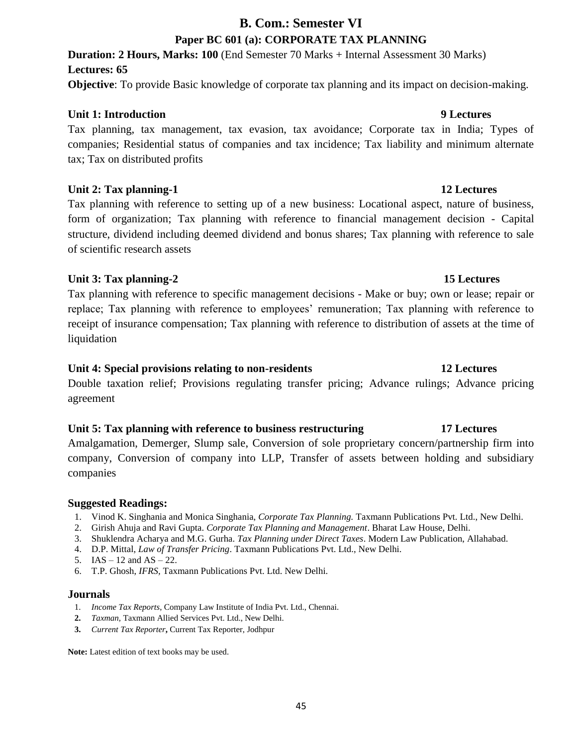#### **Paper BC 601 (a): CORPORATE TAX PLANNING**

### **Duration: 2 Hours, Marks: 100** (End Semester 70 Marks + Internal Assessment 30 Marks) **Lectures: 65**

**Objective**: To provide Basic knowledge of corporate tax planning and its impact on decision-making.

#### **Unit 1: Introduction 9 Lectures**

Tax planning, tax management, tax evasion, tax avoidance; Corporate tax in India; Types of companies; Residential status of companies and tax incidence; Tax liability and minimum alternate tax; Tax on distributed profits

#### **Unit 2: Tax planning-1 12 Lectures**

Tax planning with reference to setting up of a new business: Locational aspect, nature of business, form of organization; Tax planning with reference to financial management decision - Capital structure, dividend including deemed dividend and bonus shares; Tax planning with reference to sale of scientific research assets

#### **Unit 3: Tax planning-2 15 Lectures**

Tax planning with reference to specific management decisions - Make or buy; own or lease; repair or replace; Tax planning with reference to employees' remuneration; Tax planning with reference to receipt of insurance compensation; Tax planning with reference to distribution of assets at the time of liquidation

#### **Unit 4: Special provisions relating to non-residents 12 Lectures**

Double taxation relief; Provisions regulating transfer pricing; Advance rulings; Advance pricing agreement

#### **Unit 5: Tax planning with reference to business restructuring 17 Lectures**

Amalgamation, Demerger, Slump sale, Conversion of sole proprietary concern/partnership firm into company, Conversion of company into LLP, Transfer of assets between holding and subsidiary companies

#### **Suggested Readings:**

- 1. Vinod K. Singhania and Monica Singhania, *Corporate Tax Planning.* Taxmann Publications Pvt. Ltd., New Delhi.
- 2. Girish Ahuja and Ravi Gupta. *Corporate Tax Planning and Management*. Bharat Law House, Delhi.
- 3. Shuklendra Acharya and M.G. Gurha. *Tax Planning under Direct Taxes*. Modern Law Publication, Allahabad.
- 4. D.P. Mittal, *Law of Transfer Pricing*. Taxmann Publications Pvt. Ltd., New Delhi.
- 5.  $IAS 12$  and  $AS 22$ .
- 6. T.P. Ghosh, *IFRS,* Taxmann Publications Pvt. Ltd. New Delhi.

#### **Journals**

- 1. *Income Tax Reports*, Company Law Institute of India Pvt. Ltd., Chennai.
- **2.** *Taxman,* Taxmann Allied Services Pvt. Ltd., New Delhi.
- **3.** *Current Tax Reporter***,** Current Tax Reporter, Jodhpur

Note: Latest edition of text books may be used.

45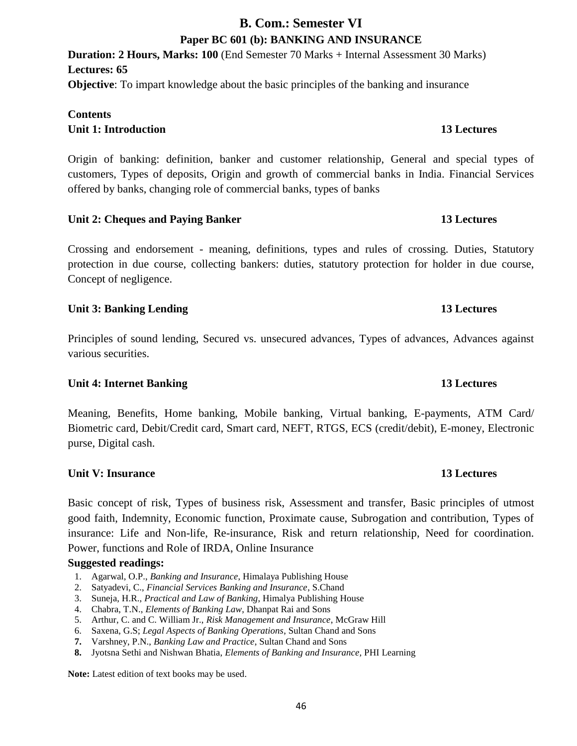# **B. Com.: Semester VI Paper BC 601 (b): BANKING AND INSURANCE**

**Duration: 2 Hours, Marks: 100** (End Semester 70 Marks + Internal Assessment 30 Marks) **Lectures: 65 Objective**: To impart knowledge about the basic principles of the banking and insurance

# **Contents Unit 1: Introduction 13 Lectures**

Origin of banking: definition, banker and customer relationship, General and special types of customers, Types of deposits, Origin and growth of commercial banks in India. Financial Services offered by banks, changing role of commercial banks, types of banks

# **Unit 2: Cheques and Paying Banker 13 Lectures**

Crossing and endorsement - meaning, definitions, types and rules of crossing. Duties, Statutory protection in due course, collecting bankers: duties, statutory protection for holder in due course, Concept of negligence.

# **Unit 3: Banking Lending 13 Lectures**

Principles of sound lending, Secured vs. unsecured advances, Types of advances, Advances against various securities.

# **Unit 4: Internet Banking 13 Lectures**

Meaning, Benefits, Home banking, Mobile banking, Virtual banking, E-payments, ATM Card/ Biometric card, Debit/Credit card, Smart card, NEFT, RTGS, ECS (credit/debit), E-money, Electronic purse, Digital cash.

# **Unit V: Insurance 13 Lectures**

Basic concept of risk, Types of business risk, Assessment and transfer, Basic principles of utmost good faith, Indemnity, Economic function, Proximate cause, Subrogation and contribution, Types of insurance: Life and Non-life, Re-insurance, Risk and return relationship, Need for coordination. Power, functions and Role of IRDA, Online Insurance

# **Suggested readings:**

- 1. Agarwal, O.P., *Banking and Insurance*, Himalaya Publishing House
- 2. Satyadevi, C., *Financial Services Banking and Insurance*, S.Chand
- 3. Suneja, H.R., *Practical and Law of Banking*, Himalya Publishing House
- 4. Chabra, T.N., *Elements of Banking Law*, Dhanpat Rai and Sons
- 5. Arthur, C. and C. William Jr., *Risk Management and Insurance*, McGraw Hill
- 6. Saxena, G.S; *Legal Aspects of Banking Operations*, Sultan Chand and Sons
- **7.** Varshney, P.N., *Banking Law and Practice*, Sultan Chand and Sons
- **8.** Jyotsna Sethi and Nishwan Bhatia, *Elements of Banking and Insurance,* PHI Learning

Note: Latest edition of text books may be used.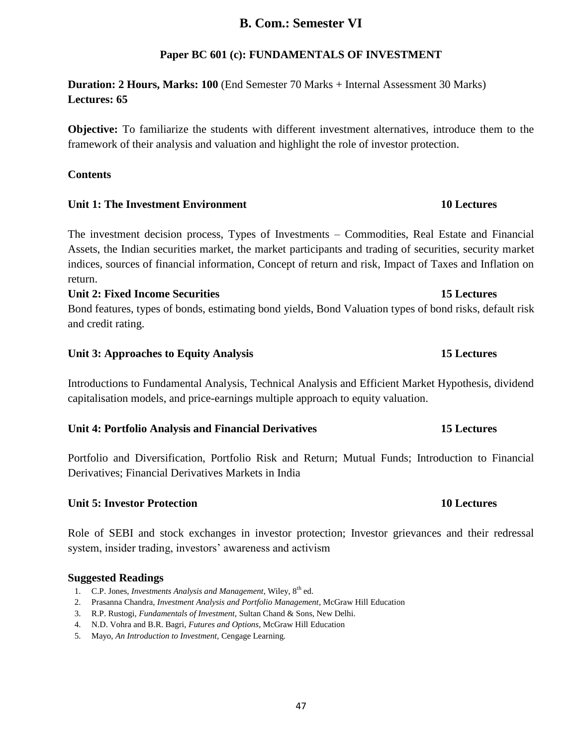### **Paper BC 601 (c): FUNDAMENTALS OF INVESTMENT**

**Duration: 2 Hours, Marks: 100** (End Semester 70 Marks + Internal Assessment 30 Marks) **Lectures: 65**

**Objective:** To familiarize the students with different investment alternatives, introduce them to the framework of their analysis and valuation and highlight the role of investor protection.

#### **Contents**

#### **Unit 1: The Investment Environment 10 Lectures**

The investment decision process, Types of Investments – Commodities, Real Estate and Financial Assets, the Indian securities market, the market participants and trading of securities, security market indices, sources of financial information, Concept of return and risk, Impact of Taxes and Inflation on return.

#### **Unit 2: Fixed Income Securities 15 Lectures**

Bond features, types of bonds, estimating bond yields, Bond Valuation types of bond risks, default risk and credit rating.

#### **Unit 3: Approaches to Equity Analysis 15 Lectures**

Introductions to Fundamental Analysis, Technical Analysis and Efficient Market Hypothesis, dividend capitalisation models, and price-earnings multiple approach to equity valuation.

#### **Unit 4: Portfolio Analysis and Financial Derivatives 15 Lectures**

Portfolio and Diversification, Portfolio Risk and Return; Mutual Funds; Introduction to Financial Derivatives; Financial Derivatives Markets in India

#### **Unit 5: Investor Protection 10 Lectures**

Role of SEBI and stock exchanges in investor protection; Investor grievances and their redressal system, insider trading, investors' awareness and activism

#### **Suggested Readings**

- 1. C.P. Jones, *Investments Analysis and Management*, Wiley, 8<sup>th</sup> ed.
- 2. Prasanna Chandra, *Investment Analysis and Portfolio Management*, McGraw Hill Education
- 3. R.P. Rustogi, *Fundamentals of Investment,* Sultan Chand & Sons, New Delhi.
- 4. N.D. Vohra and B.R. Bagri, *Futures and Options*, McGraw Hill Education
- 5. Mayo, *An Introduction to Investment,* Cengage Learning.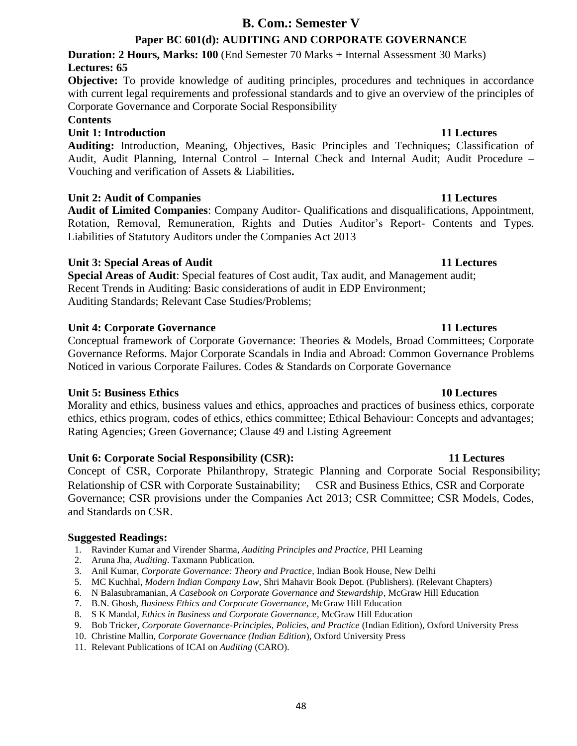# **Paper BC 601(d): AUDITING AND CORPORATE GOVERNANCE**

**Duration: 2 Hours, Marks: 100** (End Semester 70 Marks + Internal Assessment 30 Marks) **Lectures: 65**

**Objective:** To provide knowledge of auditing principles, procedures and techniques in accordance with current legal requirements and professional standards and to give an overview of the principles of Corporate Governance and Corporate Social Responsibility

### **Contents**

#### **Unit 1: Introduction 11 Lectures** 11 Lectures

**Auditing:** Introduction, Meaning, Objectives, Basic Principles and Techniques; Classification of Audit, Audit Planning, Internal Control – Internal Check and Internal Audit; Audit Procedure – Vouching and verification of Assets & Liabilities**.**

### **Unit 2: Audit of Companies 11 Lectures**

**Audit of Limited Companies**: Company Auditor- Qualifications and disqualifications, Appointment, Rotation, Removal, Remuneration, Rights and Duties Auditor's Report- Contents and Types. Liabilities of Statutory Auditors under the Companies Act 2013

### **Unit 3: Special Areas of Audit 11 Lectures**

**Special Areas of Audit**: Special features of Cost audit, Tax audit, and Management audit; Recent Trends in Auditing: Basic considerations of audit in EDP Environment; Auditing Standards; Relevant Case Studies/Problems;

#### **Unit 4: Corporate Governance 11 Lectures**

Conceptual framework of Corporate Governance: Theories & Models, Broad Committees; Corporate Governance Reforms. Major Corporate Scandals in India and Abroad: Common Governance Problems Noticed in various Corporate Failures. Codes & Standards on Corporate Governance

### **Unit 5: Business Ethics 10 Lectures**

Morality and ethics, business values and ethics, approaches and practices of business ethics, corporate ethics, ethics program, codes of ethics, ethics committee; Ethical Behaviour: Concepts and advantages; Rating Agencies; Green Governance; Clause 49 and Listing Agreement

### **Unit 6: Corporate Social Responsibility (CSR): 11 Lectures**

Concept of CSR, Corporate Philanthropy, Strategic Planning and Corporate Social Responsibility; Relationship of CSR with Corporate Sustainability; CSR and Business Ethics, CSR and Corporate Governance; CSR provisions under the Companies Act 2013; CSR Committee; CSR Models, Codes, and Standards on CSR.

### **Suggested Readings:**

- 1. Ravinder Kumar and Virender Sharma, *Auditing Principles and Practice*, PHI Learning
- 2. Aruna Jha, *Auditing*. Taxmann Publication.
- 3. Anil Kumar, *Corporate Governance: Theory and Practice*, Indian Book House, New Delhi
- 5. MC Kuchhal, *Modern Indian Company Law*, Shri Mahavir Book Depot. (Publishers). (Relevant Chapters)
- 6. N Balasubramanian, *A Casebook on Corporate Governance and Stewardship*, McGraw Hill Education
- 7. B.N. Ghosh, *Business Ethics and Corporate Governance*, McGraw Hill Education
- 8. S K Mandal*, Ethics in Business and Corporate Governance*, McGraw Hill Education
- 9. Bob Tricker, *Corporate Governance-Principles, Policies, and Practice* (Indian Edition), Oxford University Press
- 10. Christine Mallin, *Corporate Governance (Indian Edition*), Oxford University Press
- 11. Relevant Publications of ICAI on *Auditing* (CARO).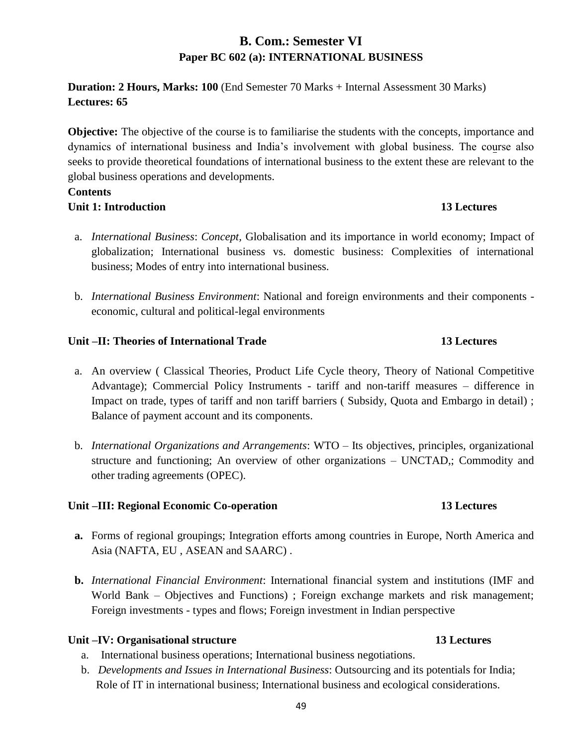# **B. Com.: Semester VI Paper BC 602 (a): INTERNATIONAL BUSINESS**

**Duration: 2 Hours, Marks: 100** (End Semester 70 Marks + Internal Assessment 30 Marks) **Lectures: 65**

**Objective:** The objective of the course is to familiarise the students with the concepts, importance and dynamics of international business and India's involvement with global business. The course also seeks to provide theoretical foundations of international business to the extent these are relevant to the global business operations and developments.

#### **Contents Unit 1: Introduction 13 Lectures**

- a. *International Business*: *Concept,* Globalisation and its importance in world economy; Impact of globalization; International business vs. domestic business: Complexities of international business; Modes of entry into international business.
- b. *International Business Environment*: National and foreign environments and their components economic, cultural and political-legal environments

# **Unit –II: Theories of International Trade 13 Lectures**

- a. An overview ( Classical Theories, Product Life Cycle theory, Theory of National Competitive Advantage); Commercial Policy Instruments - tariff and non-tariff measures – difference in Impact on trade, types of tariff and non tariff barriers ( Subsidy, Quota and Embargo in detail) ; Balance of payment account and its components.
- b. *International Organizations and Arrangements*: WTO Its objectives, principles, organizational structure and functioning; An overview of other organizations – UNCTAD,; Commodity and other trading agreements (OPEC).

## **Unit –III: Regional Economic Co-operation 13 Lectures**

- **a.** Forms of regional groupings; Integration efforts among countries in Europe, North America and Asia (NAFTA, EU , ASEAN and SAARC) .
- **b.** *International Financial Environment*: International financial system and institutions (IMF and World Bank – Objectives and Functions) ; Foreign exchange markets and risk management; Foreign investments - types and flows; Foreign investment in Indian perspective

## **Unit –IV: Organisational structure 13 Lectures**

- a. International business operations; International business negotiations.
- b. *Developments and Issues in International Business*: Outsourcing and its potentials for India; Role of IT in international business; International business and ecological considerations.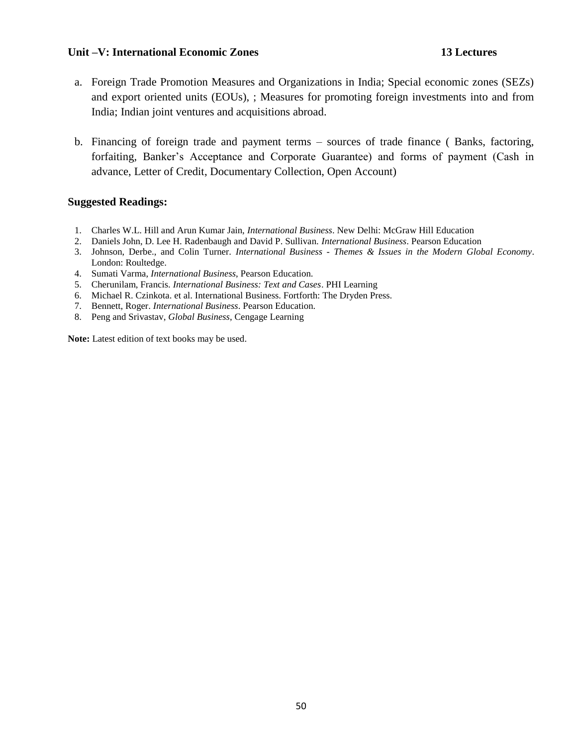#### **Unit –V: International Economic Zones 13 Lectures**

- a. Foreign Trade Promotion Measures and Organizations in India; Special economic zones (SEZs) and export oriented units (EOUs), ; Measures for promoting foreign investments into and from India; Indian joint ventures and acquisitions abroad.
- b. Financing of foreign trade and payment terms sources of trade finance ( Banks, factoring, forfaiting, Banker's Acceptance and Corporate Guarantee) and forms of payment (Cash in advance, Letter of Credit, Documentary Collection, Open Account)

#### **Suggested Readings:**

- 1. Charles W.L. Hill and Arun Kumar Jain, *International Business*. New Delhi: McGraw Hill Education
- 2. Daniels John, D. Lee H. Radenbaugh and David P. Sullivan. *International Business*. Pearson Education
- 3. Johnson, Derbe., and Colin Turner. *International Business - Themes & Issues in the Modern Global Economy*. London: Roultedge.
- 4. Sumati Varma, *International Business*, Pearson Education.
- 5. Cherunilam, Francis. *International Business: Text and Cases*. PHI Learning
- 6. Michael R. Czinkota. et al. International Business. Fortforth: The Dryden Press.
- 7. Bennett, Roger. *International Business*. Pearson Education.
- 8. Peng and Srivastav, *Global Business*, Cengage Learning

**Note:** Latest edition of text books may be used.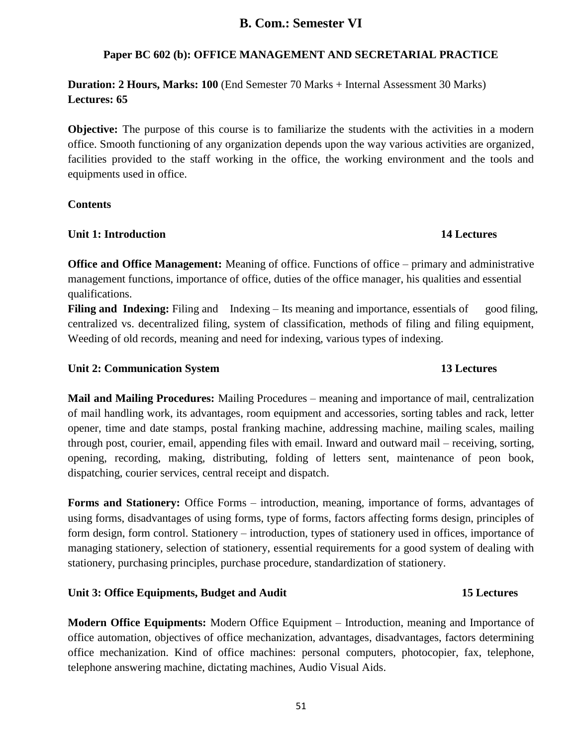### **Paper BC 602 (b): OFFICE MANAGEMENT AND SECRETARIAL PRACTICE**

**Duration: 2 Hours, Marks: 100** (End Semester 70 Marks + Internal Assessment 30 Marks) **Lectures: 65**

**Objective:** The purpose of this course is to familiarize the students with the activities in a modern office. Smooth functioning of any organization depends upon the way various activities are organized, facilities provided to the staff working in the office, the working environment and the tools and equipments used in office.

#### **Contents**

#### **Unit 1: Introduction 14 Lectures**

**Office and Office Management:** Meaning of office. Functions of office – primary and administrative management functions, importance of office, duties of the office manager, his qualities and essential qualifications.

**Filing and Indexing:** Filing and Indexing – Its meaning and importance, essentials of good filing, centralized vs. decentralized filing, system of classification, methods of filing and filing equipment, Weeding of old records, meaning and need for indexing, various types of indexing.

#### **Unit 2: Communication System 13 Lectures**

**Mail and Mailing Procedures:** Mailing Procedures – meaning and importance of mail, centralization of mail handling work, its advantages, room equipment and accessories, sorting tables and rack, letter opener, time and date stamps, postal franking machine, addressing machine, mailing scales, mailing through post, courier, email, appending files with email. Inward and outward mail – receiving, sorting, opening, recording, making, distributing, folding of letters sent, maintenance of peon book, dispatching, courier services, central receipt and dispatch.

**Forms and Stationery:** Office Forms – introduction, meaning, importance of forms, advantages of using forms, disadvantages of using forms, type of forms, factors affecting forms design, principles of form design, form control. Stationery – introduction, types of stationery used in offices, importance of managing stationery, selection of stationery, essential requirements for a good system of dealing with stationery, purchasing principles, purchase procedure, standardization of stationery.

#### Unit 3: Office Equipments, Budget and Audit 15 Lectures

**Modern Office Equipments:** Modern Office Equipment – Introduction, meaning and Importance of office automation, objectives of office mechanization, advantages, disadvantages, factors determining office mechanization. Kind of office machines: personal computers, photocopier, fax, telephone, telephone answering machine, dictating machines, Audio Visual Aids.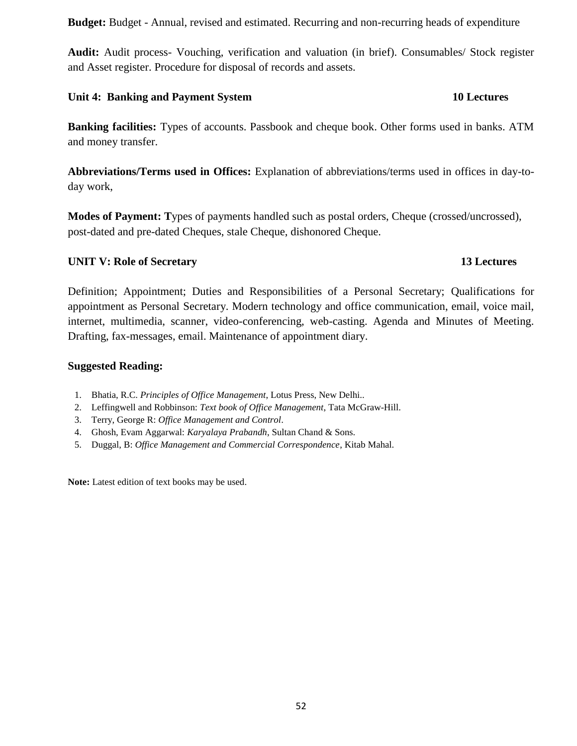**Budget:** Budget - Annual, revised and estimated. Recurring and non-recurring heads of expenditure

**Audit:** Audit process- Vouching, verification and valuation (in brief). Consumables/ Stock register and Asset register. Procedure for disposal of records and assets.

#### Unit 4: Banking and Payment System 10 Lectures

# **Banking facilities:** Types of accounts. Passbook and cheque book. Other forms used in banks. ATM and money transfer.

**Abbreviations/Terms used in Offices:** Explanation of abbreviations/terms used in offices in day-today work,

**Modes of Payment: T**ypes of payments handled such as postal orders, Cheque (crossed/uncrossed), post-dated and pre-dated Cheques, stale Cheque, dishonored Cheque.

### **UNIT V: Role of Secretary 13 Lectures**

Definition; Appointment; Duties and Responsibilities of a Personal Secretary; Qualifications for appointment as Personal Secretary. Modern technology and office communication, email, voice mail, internet, multimedia, scanner, video-conferencing, web-casting. Agenda and Minutes of Meeting. Drafting, fax-messages, email. Maintenance of appointment diary.

#### **Suggested Reading:**

- 1. Bhatia, R.C. *Principles of Office Management*, Lotus Press, New Delhi..
- 2. Leffingwell and Robbinson: *Text book of Office Management*, Tata McGraw-Hill.
- 3. Terry, George R: *Office Management and Control*.
- 4. Ghosh, Evam Aggarwal: *Karyalaya Prabandh*, Sultan Chand & Sons.
- 5. Duggal, B: *Office Management and Commercial Correspondence*, Kitab Mahal.

Note: Latest edition of text books may be used.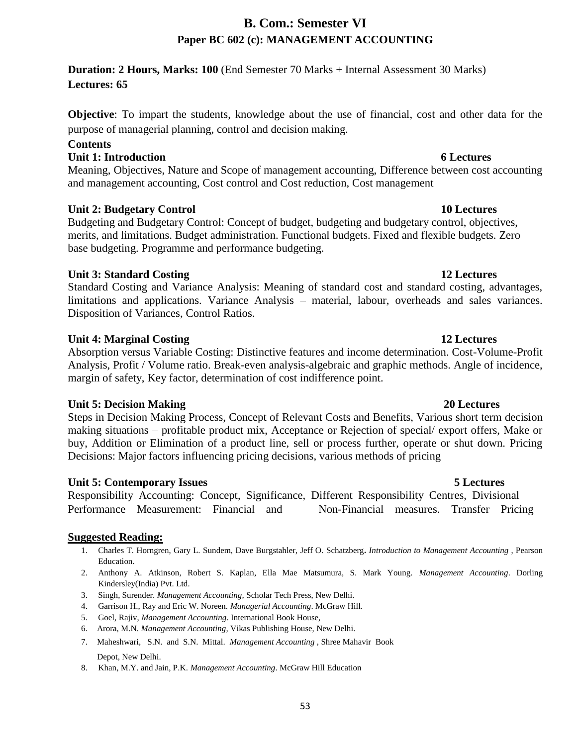# **B. Com.: Semester VI Paper BC 602 (c): MANAGEMENT ACCOUNTING**

**Duration: 2 Hours, Marks: 100** (End Semester 70 Marks + Internal Assessment 30 Marks) **Lectures: 65**

**Objective**: To impart the students, knowledge about the use of financial, cost and other data for the purpose of managerial planning, control and decision making.

### **Contents**

### **Unit 1: Introduction 6 Lectures**

Meaning, Objectives, Nature and Scope of management accounting, Difference between cost accounting and management accounting, Cost control and Cost reduction, Cost management

### **Unit 2: Budgetary Control 10 Lectures**

Budgeting and Budgetary Control: Concept of budget, budgeting and budgetary control, objectives, merits, and limitations. Budget administration. Functional budgets. Fixed and flexible budgets. Zero base budgeting. Programme and performance budgeting.

### **Unit 3: Standard Costing 12 Lectures**

Standard Costing and Variance Analysis: Meaning of standard cost and standard costing, advantages, limitations and applications. Variance Analysis – material, labour, overheads and sales variances. Disposition of Variances, Control Ratios.

### **Unit 4: Marginal Costing 12 Lectures**

Absorption versus Variable Costing: Distinctive features and income determination. Cost-Volume-Profit Analysis, Profit / Volume ratio. Break-even analysis-algebraic and graphic methods. Angle of incidence, margin of safety, Key factor, determination of cost indifference point.

### **Unit 5: Decision Making 20 Lectures**

Steps in Decision Making Process, Concept of Relevant Costs and Benefits, Various short term decision making situations – profitable product mix, Acceptance or Rejection of special/ export offers, Make or buy, Addition or Elimination of a product line, sell or process further, operate or shut down. Pricing Decisions: Major factors influencing pricing decisions, various methods of pricing

### **Unit 5: Contemporary Issues 5 Lectures**

Responsibility Accounting: Concept, Significance, Different Responsibility Centres, Divisional Performance Measurement: Financial and Non-Financial measures. Transfer Pricing

### **Suggested Reading:**

- 1. Charles T. Horngren, Gary L. Sundem, Dave Burgstahler, Jeff O. Schatzberg**.** *Introduction to Management Accounting* , Pearson Education.
- 2. Anthony A. Atkinson, Robert S. Kaplan, Ella Mae Matsumura, S. Mark Young. *Management Accounting*. Dorling Kindersley(India) Pvt. Ltd.
- 3. Singh, Surender. *Management Accounting,* Scholar Tech Press, New Delhi.
- 4. Garrison H., Ray and Eric W. Noreen*. Managerial Accounting*. McGraw Hill.
- 5. Goel, Rajiv, *Management Accounting*. International Book House,
- 6. Arora, M.N*. Management Accounting,* Vikas Publishing House, New Delhi.
- 7. Maheshwari, S.N. and S.N. Mittal. *Management Accounting* , Shree Mahavir Book Depot, New Delhi.
- 8. Khan, M.Y. and Jain, P.K. *Management Accounting*. McGraw Hill Education

#### 53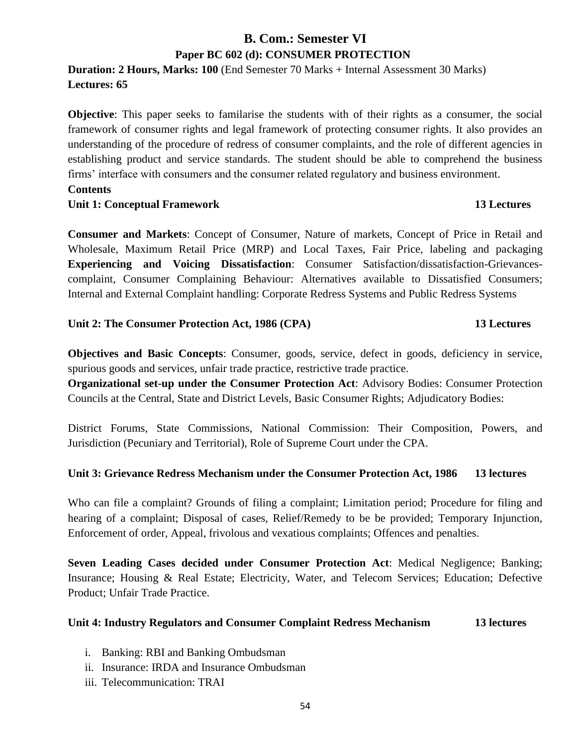# **B. Com.: Semester VI Paper BC 602 (d): CONSUMER PROTECTION**

**Duration: 2 Hours, Marks: 100** (End Semester 70 Marks + Internal Assessment 30 Marks) **Lectures: 65**

**Objective**: This paper seeks to familarise the students with of their rights as a consumer, the social framework of consumer rights and legal framework of protecting consumer rights. It also provides an understanding of the procedure of redress of consumer complaints, and the role of different agencies in establishing product and service standards. The student should be able to comprehend the business firms' interface with consumers and the consumer related regulatory and business environment.

#### **Contents**

#### **Unit 1: Conceptual Framework 13 Lectures**

**Consumer and Markets**: Concept of Consumer, Nature of markets, Concept of Price in Retail and Wholesale, Maximum Retail Price (MRP) and Local Taxes, Fair Price, labeling and packaging **Experiencing and Voicing Dissatisfaction**: Consumer Satisfaction/dissatisfaction-Grievancescomplaint, Consumer Complaining Behaviour: Alternatives available to Dissatisfied Consumers; Internal and External Complaint handling: Corporate Redress Systems and Public Redress Systems

**Unit 2: The Consumer Protection Act, 1986 (CPA) 13 Lectures**

**Objectives and Basic Concepts**: Consumer, goods, service, defect in goods, deficiency in service, spurious goods and services, unfair trade practice, restrictive trade practice.

**Organizational set-up under the Consumer Protection Act**: Advisory Bodies: Consumer Protection Councils at the Central, State and District Levels, Basic Consumer Rights; Adjudicatory Bodies:

District Forums, State Commissions, National Commission: Their Composition, Powers, and Jurisdiction (Pecuniary and Territorial), Role of Supreme Court under the CPA.

### **Unit 3: Grievance Redress Mechanism under the Consumer Protection Act, 1986 13 lectures**

Who can file a complaint? Grounds of filing a complaint; Limitation period; Procedure for filing and hearing of a complaint; Disposal of cases, Relief/Remedy to be be provided; Temporary Injunction, Enforcement of order, Appeal, frivolous and vexatious complaints; Offences and penalties.

**Seven Leading Cases decided under Consumer Protection Act**: Medical Negligence; Banking; Insurance; Housing & Real Estate; Electricity, Water, and Telecom Services; Education; Defective Product; Unfair Trade Practice.

### **Unit 4: Industry Regulators and Consumer Complaint Redress Mechanism 13 lectures**

- i. Banking: RBI and Banking Ombudsman
- ii. Insurance: IRDA and Insurance Ombudsman
- iii. Telecommunication: TRAI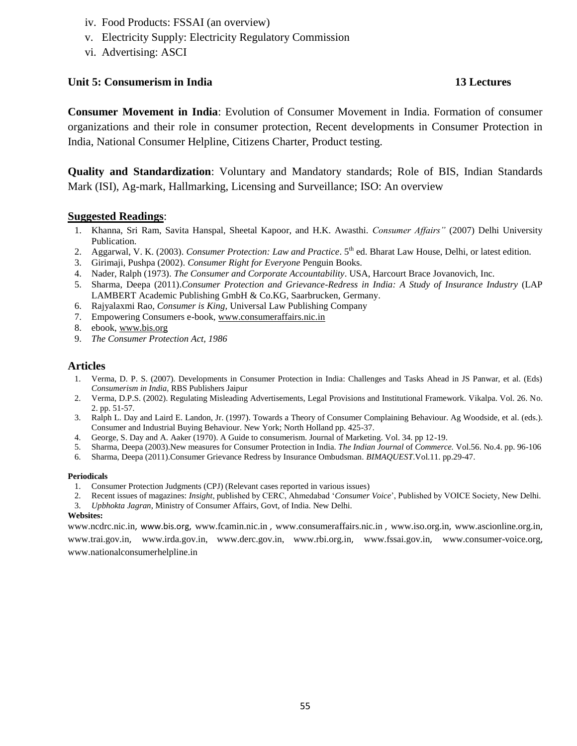- iv. Food Products: FSSAI (an overview)
- v. Electricity Supply: Electricity Regulatory Commission
- vi. Advertising: ASCI

#### **Unit 5: Consumerism in India 13 Lectures**

**Consumer Movement in India**: Evolution of Consumer Movement in India. Formation of consumer organizations and their role in consumer protection, Recent developments in Consumer Protection in India, National Consumer Helpline, Citizens Charter, Product testing.

**Quality and Standardization**: Voluntary and Mandatory standards; Role of BIS, Indian Standards Mark (ISI), Ag-mark, Hallmarking, Licensing and Surveillance; ISO: An overview

#### **Suggested Readings**:

- 1. Khanna, Sri Ram, Savita Hanspal, Sheetal Kapoor, and H.K. Awasthi. *Consumer Affairs"* (2007) Delhi University Publication.
- 2. Aggarwal, V. K. (2003). *Consumer Protection: Law and Practice*. 5<sup>th</sup> ed. Bharat Law House, Delhi, or latest edition.
- 3. Girimaji, Pushpa (2002). *Consumer Right for Everyone* Penguin Books.
- 4. Nader, Ralph (1973). *The Consumer and Corporate Accountability*. USA, Harcourt Brace Jovanovich, Inc.
- 5. Sharma, Deepa (2011).*Consumer Protection and Grievance-Redress in India: A Study of Insurance Industry* (LAP LAMBERT Academic Publishing GmbH & Co.KG, Saarbrucken, Germany.
- 6. Rajyalaxmi Rao, *Consumer is King,* Universal Law Publishing Company
- 7. Empowering Consumers e-book, www.consumeraffairs.nic.in
- 8. ebook, www.bis.org
- 9. *The Consumer Protection Act, 1986*

#### **Articles**

- 1. Verma, D. P. S. (2007). Developments in Consumer Protection in India: Challenges and Tasks Ahead in JS Panwar, et al. (Eds) *Consumerism in India,* RBS Publishers Jaipur
- 2. Verma, D.P.S. (2002). Regulating Misleading Advertisements, Legal Provisions and Institutional Framework. Vikalpa. Vol. 26. No. 2. pp. 51-57.
- 3. Ralph L. Day and Laird E. Landon, Jr. (1997). Towards a Theory of Consumer Complaining Behaviour. Ag Woodside, et al. (eds.). Consumer and Industrial Buying Behaviour. New York; North Holland pp. 425-37.
- 4. George, S. Day and A. Aaker (1970). A Guide to consumerism. Journal of Marketing. Vol. 34. pp 12-19.
- 5. Sharma, Deepa (2003).New measures for Consumer Protection in India. *The Indian Journal* of *Commerce.* Vol.56. No.4. pp. 96-106
- 6. Sharma, Deepa (2011).Consumer Grievance Redress by Insurance Ombudsman. *BIMAQUEST*.Vol.11. pp.29-47.

#### **Periodicals**

- 1. Consumer Protection Judgments (CPJ) (Relevant cases reported in various issues)
- 2. Recent issues of magazines: *Insight*, published by CERC, Ahmedabad ‗*Consumer Voice*', Published by VOICE Society, New Delhi.
- 3. *Upbhokta Jagran*, Ministry of Consumer Affairs, Govt, of India. New Delhi.

#### **Websites:**

[www.ncdrc.nic.in](http://www.ncdrc.nic.in/), [www.bis.org,](http://www.bis.org/) [www.fcamin.nic.in](http://www.fcamin.nic.in/) , [www.consumeraffairs.nic.in](http://www.consumeraffairs.nic.in/) , [www.iso.org.in](http://www.iso.org.in/), [www.ascionline.org.in](http://www.ascionline.org.in/), [www.trai.gov.in](http://www.trai.gov.in/), [www.irda.gov.in,](http://www.irda.gov.in/) [www.derc.gov.in,](http://www.derc.gov.in/) [www.rbi.org.in](http://www.rbi.org.in/), [www.fssai.gov.in](http://www.fssai.gov.in/), [www.consumer-voice.org](http://www.consumer-voice.org/), www.nationalconsumerhelpline.in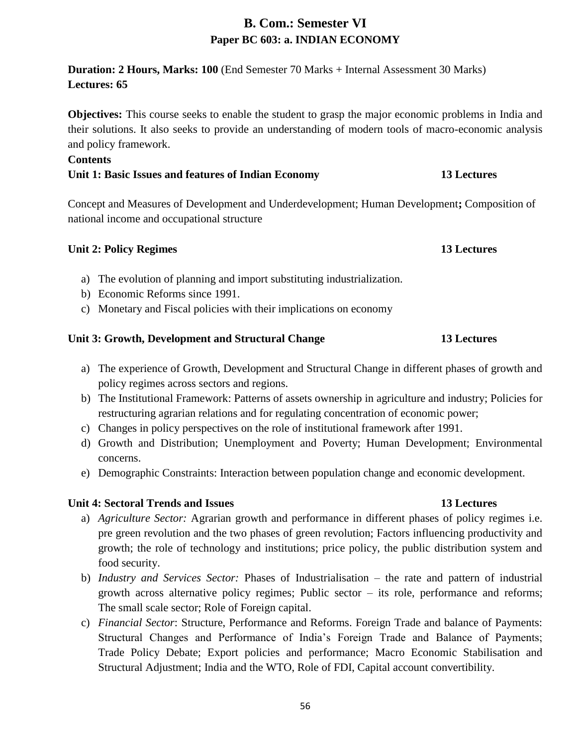**B. Com.: Semester VI Paper BC 603: a. INDIAN ECONOMY**

**Duration: 2 Hours, Marks: 100** (End Semester 70 Marks + Internal Assessment 30 Marks) **Lectures: 65**

**Objectives:** This course seeks to enable the student to grasp the major economic problems in India and their solutions. It also seeks to provide an understanding of modern tools of macro-economic analysis and policy framework.

#### **Contents**

Concept and Measures of Development and Underdevelopment; Human Development**;** Composition of

national income and occupational structure

### **Unit 2: Policy Regimes 13 Lectures**

- a) The evolution of planning and import substituting industrialization.
- b) Economic Reforms since 1991.
- c) Monetary and Fiscal policies with their implications on economy

## **Unit 3: Growth, Development and Structural Change 13 Lectures**

- a) The experience of Growth, Development and Structural Change in different phases of growth and policy regimes across sectors and regions.
- b) The Institutional Framework: Patterns of assets ownership in agriculture and industry; Policies for restructuring agrarian relations and for regulating concentration of economic power;
- c) Changes in policy perspectives on the role of institutional framework after 1991.
- d) Growth and Distribution; Unemployment and Poverty; Human Development; Environmental concerns.
- e) Demographic Constraints: Interaction between population change and economic development.

## **Unit 4: Sectoral Trends and Issues 13 Lectures**

- a) *Agriculture Sector:* Agrarian growth and performance in different phases of policy regimes i.e. pre green revolution and the two phases of green revolution; Factors influencing productivity and growth; the role of technology and institutions; price policy, the public distribution system and food security.
- b) *Industry and Services Sector:* Phases of Industrialisation the rate and pattern of industrial growth across alternative policy regimes; Public sector – its role, performance and reforms; The small scale sector; Role of Foreign capital.
- c) *Financial Sector*: Structure, Performance and Reforms. Foreign Trade and balance of Payments: Structural Changes and Performance of India's Foreign Trade and Balance of Payments; Trade Policy Debate; Export policies and performance; Macro Economic Stabilisation and Structural Adjustment; India and the WTO, Role of FDI, Capital account convertibility.

## **Unit 1: Basic Issues and features of Indian Economy 13 Lectures**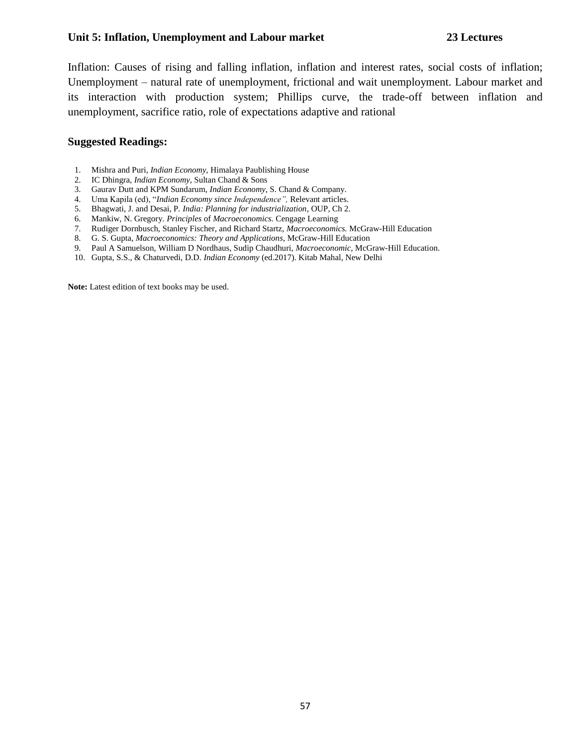#### **Unit 5: Inflation, Unemployment and Labour market 23 Lectures**

Inflation: Causes of rising and falling inflation, inflation and interest rates, social costs of inflation; Unemployment – natural rate of unemployment, frictional and wait unemployment. Labour market and its interaction with production system; Phillips curve, the trade-off between inflation and unemployment, sacrifice ratio, role of expectations adaptive and rational

#### **Suggested Readings:**

- 1. Mishra and Puri, *Indian Economy*, Himalaya Paublishing House
- 2. IC Dhingra, *Indian Economy*, Sultan Chand & Sons<br>3. Gaurav Dutt and KPM Sundarum, *Indian Economy*,
- 3. Gaurav Dutt and KPM Sundarum, *Indian Economy*, S. Chand & Company.<br>4. Uma Kapila (ed), "*Indian Economy since Independence*", Relevant articles.<br>5. Bhagwati, J. and Desai, P. *India: Planning for industrialization*, OU
- Uma Kapila (ed), "Indian Economy since Independence", Relevant articles.
- 5. Bhagwati, J. and Desai, P. *India: Planning for industrialization*, OUP, Ch 2.<br>6. Mankiw, N. Gregory. *Principles* of *Macroeconomics*. Cengage Learning<br>7. Rudiger Dornbusch, Stanley Fischer, and Richard Startz, *Macroe*
- 6. Mankiw, N. Gregory. *Principles* of *Macroeconomics.* Cengage Learning
- 7. Rudiger Dornbusch, Stanley Fischer, and Richard Startz, *Macroeconomics.* McGraw-Hill Education
- 8. G. S. Gupta, *Macroeconomics: Theory and Applications*, McGraw-Hill Education<br>9. Paul A Samuelson, William D Nordhaus, Sudip Chaudhuri, *Macroeconomic*, McG
- 9. Paul A Samuelson, William D Nordhaus, Sudip Chaudhuri, *Macroeconomic,* McGraw-Hill Education.
- 10. Gupta, S.S., & Chaturvedi, D.D. *Indian Economy* (ed.2017). Kitab Mahal, New Delhi

Note: Latest edition of text books may be used.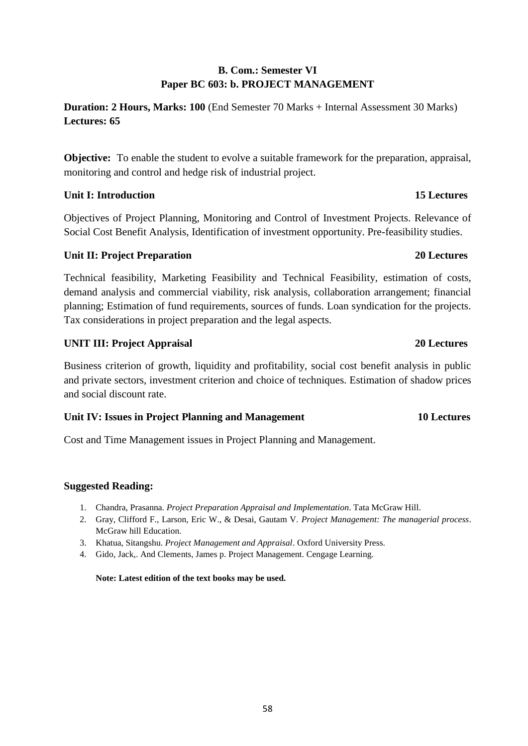# **B. Com.: Semester VI Paper BC 603: b. PROJECT MANAGEMENT**

**Duration: 2 Hours, Marks: 100** (End Semester 70 Marks + Internal Assessment 30 Marks) **Lectures: 65**

**Objective:** To enable the student to evolve a suitable framework for the preparation, appraisal, monitoring and control and hedge risk of industrial project.

# **Unit I: Introduction 15 Lectures**

Objectives of Project Planning, Monitoring and Control of Investment Projects. Relevance of Social Cost Benefit Analysis, Identification of investment opportunity. Pre-feasibility studies.

### **Unit II: Project Preparation 20 Lectures**

Technical feasibility, Marketing Feasibility and Technical Feasibility, estimation of costs, demand analysis and commercial viability, risk analysis, collaboration arrangement; financial planning; Estimation of fund requirements, sources of funds. Loan syndication for the projects. Tax considerations in project preparation and the legal aspects.

# **UNIT III: Project Appraisal 20 Lectures**

Business criterion of growth, liquidity and profitability, social cost benefit analysis in public and private sectors, investment criterion and choice of techniques. Estimation of shadow prices and social discount rate.

# **Unit IV: Issues in Project Planning and Management 10 Lectures**

Cost and Time Management issues in Project Planning and Management.

# **Suggested Reading:**

- 1. Chandra, Prasanna. *Project Preparation Appraisal and Implementation*. Tata McGraw Hill.
- 2. Gray, Clifford F., Larson, Eric W., & Desai, Gautam V. *Project Management: The managerial process*. McGraw hill Education.
- 3. Khatua, Sitangshu. *Project Management and Appraisal*. Oxford University Press.
- 4. Gido, Jack,. And Clements, James p. Project Management. Cengage Learning.

**Note: Latest edition of the text books may be used.**